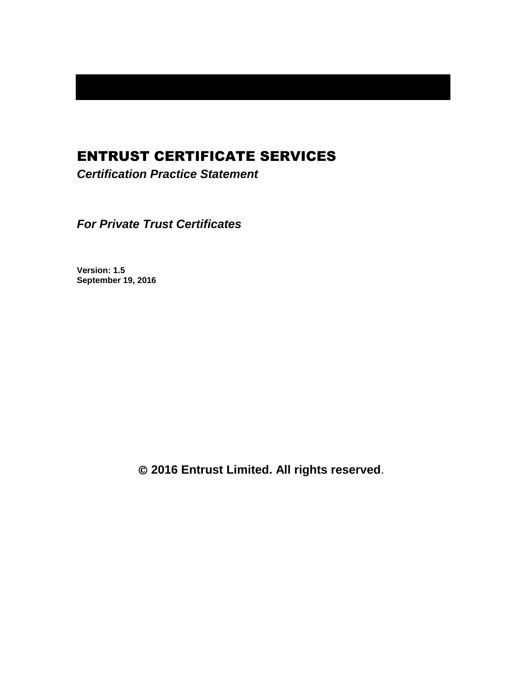# ENTRUST CERTIFICATE SERVICES

*Certification Practice Statement*

*For Private Trust Certificates*

**Version: 1.5 September 19, 2016**

**2016 Entrust Limited. All rights reserved**.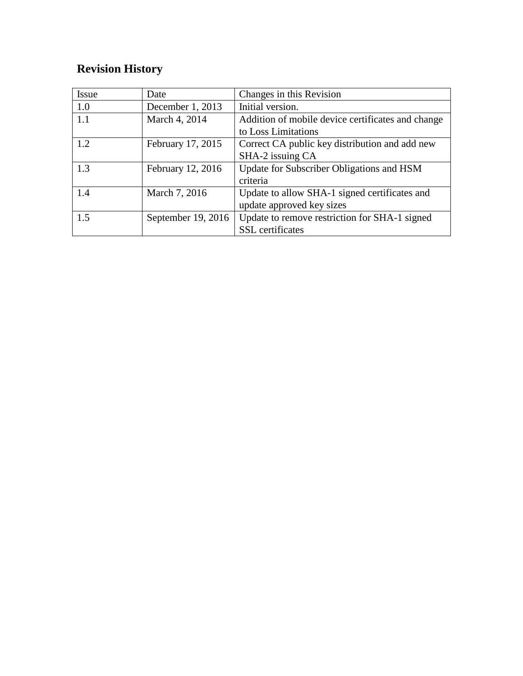# **Revision History**

| <b>Issue</b> | Date                 | Changes in this Revision                          |
|--------------|----------------------|---------------------------------------------------|
| 1.0          | December 1, 2013     | Initial version.                                  |
| 1.1          | March 4, 2014        | Addition of mobile device certificates and change |
|              |                      | to Loss Limitations                               |
| 1.2          | February 17, 2015    | Correct CA public key distribution and add new    |
|              |                      | SHA-2 issuing CA                                  |
| 1.3          | February 12, 2016    | Update for Subscriber Obligations and HSM         |
|              |                      | criteria                                          |
| 1.4          | March 7, 2016        | Update to allow SHA-1 signed certificates and     |
|              |                      | update approved key sizes                         |
| 1.5          | September $19, 2016$ | Update to remove restriction for SHA-1 signed     |
|              |                      | <b>SSL</b> certificates                           |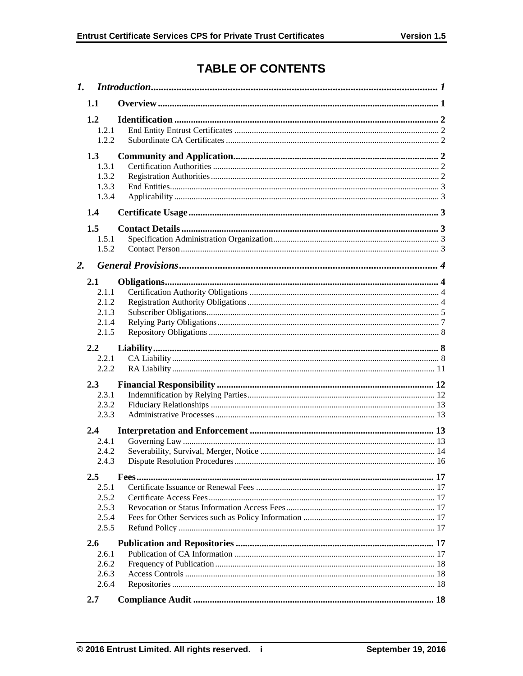# **TABLE OF CONTENTS**

| 1. |                                                  |  |  |
|----|--------------------------------------------------|--|--|
|    | 1.1                                              |  |  |
|    | 1.2<br>1.2.1<br>1.2.2                            |  |  |
|    | 1.3<br>1.3.1<br>1.3.2<br>1.3.3<br>1.3.4          |  |  |
|    | 1.4                                              |  |  |
| 2. | 1.5<br>1.5.1<br>1.5.2                            |  |  |
|    |                                                  |  |  |
|    | 2.1<br>2.1.1<br>2.1.2<br>2.1.3<br>2.1.4<br>2.1.5 |  |  |
|    | 2.2<br>2.2.1<br>2.2.2                            |  |  |
|    | 2.3<br>2.3.1<br>2.3.2<br>2.3.3                   |  |  |
|    | 2.4                                              |  |  |
|    | 2.4.1<br>2.4.2<br>2.4.3                          |  |  |
|    | $2.5\,$                                          |  |  |
|    | 2.5.1<br>2.5.2<br>2.5.3<br>2.5.4<br>2.5.5        |  |  |
|    | 2.6                                              |  |  |
|    | 2.6.1<br>2.6.2<br>2.6.3<br>2.6.4                 |  |  |
|    | 2.7                                              |  |  |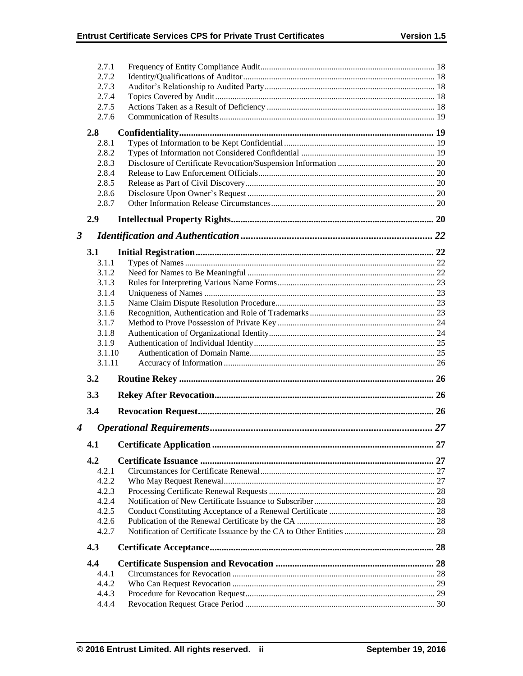|                      | 2.7.1          |  |
|----------------------|----------------|--|
|                      | 2.7.2          |  |
|                      | 2.7.3          |  |
|                      | 2.7.4          |  |
|                      | 2.7.5          |  |
|                      | 2.7.6          |  |
|                      | 2.8            |  |
|                      | 2.8.1          |  |
|                      | 2.8.2          |  |
|                      | 2.8.3          |  |
|                      | 2.8.4          |  |
|                      | 2.8.5          |  |
|                      | 2.8.6          |  |
|                      | 2.8.7          |  |
|                      | 2.9            |  |
| $\boldsymbol{\beta}$ |                |  |
|                      | 3.1            |  |
|                      | 3.1.1          |  |
|                      | 3.1.2          |  |
|                      | 3.1.3          |  |
|                      | 3.1.4          |  |
|                      | 3.1.5          |  |
|                      | 3.1.6          |  |
|                      | 3.1.7          |  |
|                      | 3.1.8          |  |
|                      | 3.1.9          |  |
|                      |                |  |
|                      | 3.1.10         |  |
|                      | 3.1.11         |  |
|                      | 3.2            |  |
|                      | 3.3            |  |
|                      | 3.4            |  |
|                      |                |  |
| 4                    |                |  |
|                      | 4.1            |  |
|                      | 4.2            |  |
|                      | 4.2.1          |  |
|                      | 4.2.2          |  |
|                      | 4.2.3          |  |
|                      | 4.2.4          |  |
|                      | 4.2.5          |  |
|                      | 4.2.6          |  |
|                      | 4.2.7          |  |
|                      | 4.3            |  |
|                      | 4.4            |  |
|                      | 4.4.1          |  |
|                      | 4.4.2          |  |
|                      | 4.4.3<br>4.4.4 |  |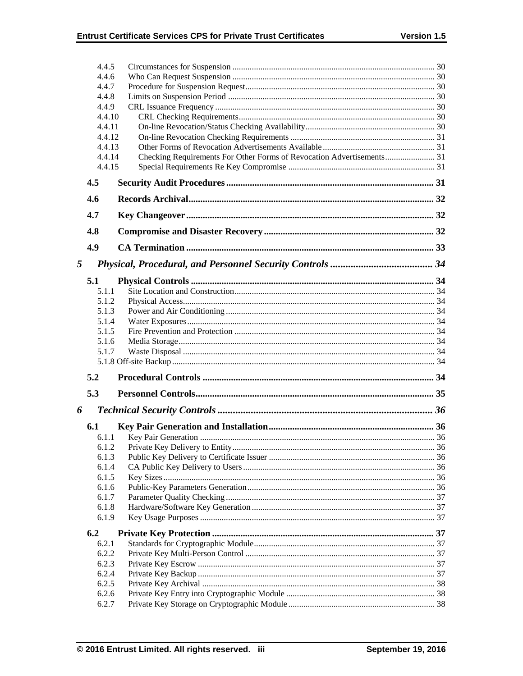|                                  | 4.4.5            |                                                                       |  |
|----------------------------------|------------------|-----------------------------------------------------------------------|--|
| 4.4.6<br>4.4.7<br>4.4.8<br>4.4.9 |                  |                                                                       |  |
|                                  |                  |                                                                       |  |
|                                  |                  |                                                                       |  |
|                                  |                  |                                                                       |  |
|                                  | 4.4.10           |                                                                       |  |
|                                  | 4.4.11           |                                                                       |  |
|                                  | 4.4.12<br>4.4.13 |                                                                       |  |
|                                  | 4.4.14           | Checking Requirements For Other Forms of Revocation Advertisements 31 |  |
|                                  | 4.4.15           |                                                                       |  |
|                                  | 4.5              |                                                                       |  |
|                                  | 4.6              |                                                                       |  |
|                                  | 4.7              |                                                                       |  |
|                                  | 4.8              |                                                                       |  |
|                                  | 4.9              |                                                                       |  |
|                                  |                  |                                                                       |  |
| 5                                |                  |                                                                       |  |
|                                  | 5.1              |                                                                       |  |
|                                  | 5.1.1            |                                                                       |  |
|                                  | 5.1.2            |                                                                       |  |
|                                  | 5.1.3            |                                                                       |  |
|                                  | 5.1.4            |                                                                       |  |
|                                  | 5.1.5<br>5.1.6   |                                                                       |  |
|                                  | 5.1.7            |                                                                       |  |
|                                  |                  |                                                                       |  |
|                                  | 5.2              |                                                                       |  |
|                                  | 5.3              |                                                                       |  |
|                                  |                  |                                                                       |  |
| 6                                |                  |                                                                       |  |
|                                  | 6.1              |                                                                       |  |
|                                  | 6.1.1            |                                                                       |  |
|                                  | 6.1.2            |                                                                       |  |
|                                  | 6.1.3<br>6.1.4   |                                                                       |  |
|                                  | 6.1.5            |                                                                       |  |
|                                  | 6.1.6            |                                                                       |  |
|                                  | 6.1.7            |                                                                       |  |
|                                  | 6.1.8            |                                                                       |  |
|                                  | 6.1.9            |                                                                       |  |
|                                  | 6.2              |                                                                       |  |
|                                  | 6.2.1            |                                                                       |  |
|                                  | 6.2.2            |                                                                       |  |
|                                  | 6.2.3            |                                                                       |  |
|                                  | 6.2.4            |                                                                       |  |
|                                  | 6.2.5            |                                                                       |  |
|                                  |                  |                                                                       |  |
|                                  | 6.2.6<br>6.2.7   |                                                                       |  |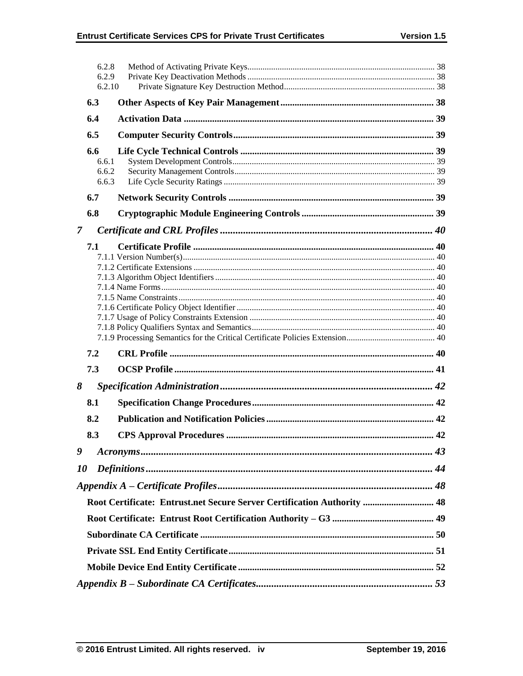|                | 6.2.8<br>6.2.9<br>6.2.10       |                                                                         |  |  |
|----------------|--------------------------------|-------------------------------------------------------------------------|--|--|
|                | 6.3                            |                                                                         |  |  |
|                | 6.4                            |                                                                         |  |  |
|                | 6.5                            |                                                                         |  |  |
|                | 6.6<br>6.6.1<br>6.6.2<br>6.6.3 |                                                                         |  |  |
|                | 6.7                            |                                                                         |  |  |
|                | 6.8                            |                                                                         |  |  |
| $\overline{7}$ |                                |                                                                         |  |  |
| 7.1            |                                |                                                                         |  |  |
|                | 7.2                            |                                                                         |  |  |
|                | 7.3                            |                                                                         |  |  |
| 8              |                                |                                                                         |  |  |
|                | 8.1                            |                                                                         |  |  |
|                | 8.2                            |                                                                         |  |  |
|                | 8.3                            |                                                                         |  |  |
| 9              |                                |                                                                         |  |  |
| 10             |                                |                                                                         |  |  |
|                |                                |                                                                         |  |  |
|                |                                | Root Certificate: Entrust.net Secure Server Certification Authority  48 |  |  |
|                |                                |                                                                         |  |  |
|                |                                |                                                                         |  |  |
|                |                                |                                                                         |  |  |
|                |                                |                                                                         |  |  |
|                |                                |                                                                         |  |  |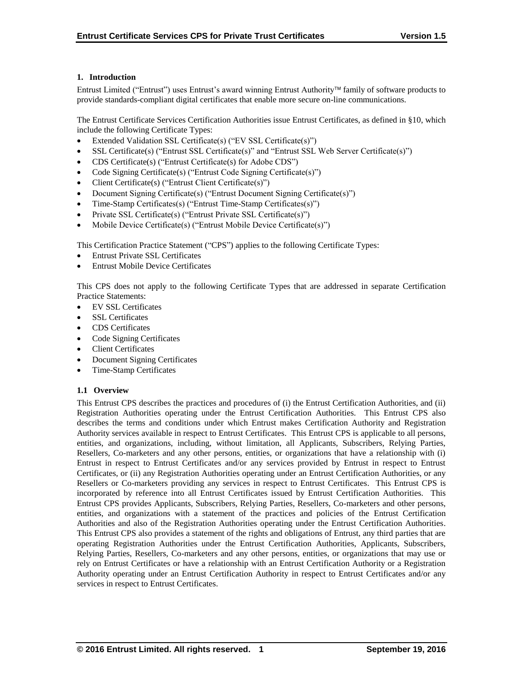## **1. Introduction**

Entrust Limited ("Entrust") uses Entrust's award winning Entrust Authority family of software products to provide standards-compliant digital certificates that enable more secure on-line communications.

The Entrust Certificate Services Certification Authorities issue Entrust Certificates, as defined in §10, which include the following Certificate Types:

- Extended Validation SSL Certificate(s) ("EV SSL Certificate(s)")
- SSL Certificate(s) ("Entrust SSL Certificate(s)" and "Entrust SSL Web Server Certificate(s)")
- CDS Certificate(s) ("Entrust Certificate(s) for Adobe CDS")
- Code Signing Certificate(s) ("Entrust Code Signing Certificate(s)")
- Client Certificate(s) ("Entrust Client Certificate(s)")
- Document Signing Certificate(s) ("Entrust Document Signing Certificate(s)")
- Time-Stamp Certificates(s) ("Entrust Time-Stamp Certificates(s)")
- Private SSL Certificate(s) ("Entrust Private SSL Certificate(s)")
- Mobile Device Certificate(s) ("Entrust Mobile Device Certificate(s)")

This Certification Practice Statement ("CPS") applies to the following Certificate Types:

- Entrust Private SSL Certificates
- Entrust Mobile Device Certificates

This CPS does not apply to the following Certificate Types that are addressed in separate Certification Practice Statements:

- EV SSL Certificates
- SSL Certificates
- CDS Certificates
- Code Signing Certificates
- Client Certificates
- Document Signing Certificates
- Time-Stamp Certificates

#### **1.1 Overview**

This Entrust CPS describes the practices and procedures of (i) the Entrust Certification Authorities, and (ii) Registration Authorities operating under the Entrust Certification Authorities. This Entrust CPS also describes the terms and conditions under which Entrust makes Certification Authority and Registration Authority services available in respect to Entrust Certificates. This Entrust CPS is applicable to all persons, entities, and organizations, including, without limitation, all Applicants, Subscribers, Relying Parties, Resellers, Co-marketers and any other persons, entities, or organizations that have a relationship with (i) Entrust in respect to Entrust Certificates and/or any services provided by Entrust in respect to Entrust Certificates, or (ii) any Registration Authorities operating under an Entrust Certification Authorities, or any Resellers or Co-marketers providing any services in respect to Entrust Certificates. This Entrust CPS is incorporated by reference into all Entrust Certificates issued by Entrust Certification Authorities. This Entrust CPS provides Applicants, Subscribers, Relying Parties, Resellers, Co-marketers and other persons, entities, and organizations with a statement of the practices and policies of the Entrust Certification Authorities and also of the Registration Authorities operating under the Entrust Certification Authorities. This Entrust CPS also provides a statement of the rights and obligations of Entrust, any third parties that are operating Registration Authorities under the Entrust Certification Authorities, Applicants, Subscribers, Relying Parties, Resellers, Co-marketers and any other persons, entities, or organizations that may use or rely on Entrust Certificates or have a relationship with an Entrust Certification Authority or a Registration Authority operating under an Entrust Certification Authority in respect to Entrust Certificates and/or any services in respect to Entrust Certificates.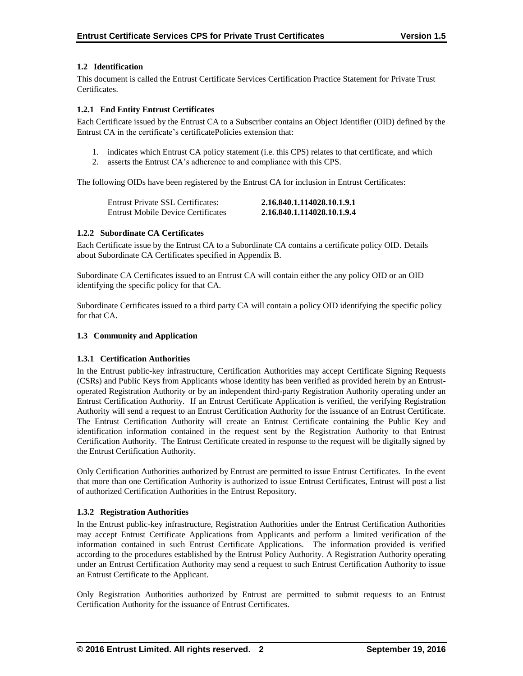## **1.2 Identification**

This document is called the Entrust Certificate Services Certification Practice Statement for Private Trust Certificates.

## **1.2.1 End Entity Entrust Certificates**

Each Certificate issued by the Entrust CA to a Subscriber contains an Object Identifier (OID) defined by the Entrust CA in the certificate's certificatePolicies extension that:

- 1. indicates which Entrust CA policy statement (i.e. this CPS) relates to that certificate, and which
- 2. asserts the Entrust CA's adherence to and compliance with this CPS.

The following OIDs have been registered by the Entrust CA for inclusion in Entrust Certificates:

| Entrust Private SSL Certificates:         | 2.16.840.1.114028.10.1.9.1 |
|-------------------------------------------|----------------------------|
| <b>Entrust Mobile Device Certificates</b> | 2.16.840.1.114028.10.1.9.4 |

#### **1.2.2 Subordinate CA Certificates**

Each Certificate issue by the Entrust CA to a Subordinate CA contains a certificate policy OID. Details about Subordinate CA Certificates specified in Appendix B.

Subordinate CA Certificates issued to an Entrust CA will contain either the any policy OID or an OID identifying the specific policy for that CA.

Subordinate Certificates issued to a third party CA will contain a policy OID identifying the specific policy for that CA.

## **1.3 Community and Application**

#### **1.3.1 Certification Authorities**

In the Entrust public-key infrastructure, Certification Authorities may accept Certificate Signing Requests (CSRs) and Public Keys from Applicants whose identity has been verified as provided herein by an Entrustoperated Registration Authority or by an independent third-party Registration Authority operating under an Entrust Certification Authority. If an Entrust Certificate Application is verified, the verifying Registration Authority will send a request to an Entrust Certification Authority for the issuance of an Entrust Certificate. The Entrust Certification Authority will create an Entrust Certificate containing the Public Key and identification information contained in the request sent by the Registration Authority to that Entrust Certification Authority. The Entrust Certificate created in response to the request will be digitally signed by the Entrust Certification Authority.

Only Certification Authorities authorized by Entrust are permitted to issue Entrust Certificates. In the event that more than one Certification Authority is authorized to issue Entrust Certificates, Entrust will post a list of authorized Certification Authorities in the Entrust Repository.

# **1.3.2 Registration Authorities**

In the Entrust public-key infrastructure, Registration Authorities under the Entrust Certification Authorities may accept Entrust Certificate Applications from Applicants and perform a limited verification of the information contained in such Entrust Certificate Applications. The information provided is verified according to the procedures established by the Entrust Policy Authority. A Registration Authority operating under an Entrust Certification Authority may send a request to such Entrust Certification Authority to issue an Entrust Certificate to the Applicant.

Only Registration Authorities authorized by Entrust are permitted to submit requests to an Entrust Certification Authority for the issuance of Entrust Certificates.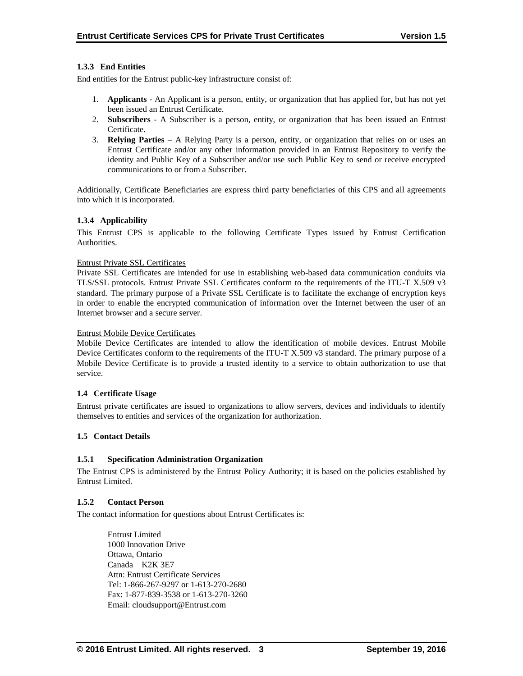## **1.3.3 End Entities**

End entities for the Entrust public-key infrastructure consist of:

- 1. **Applicants** An Applicant is a person, entity, or organization that has applied for, but has not yet been issued an Entrust Certificate.
- 2. **Subscribers**  A Subscriber is a person, entity, or organization that has been issued an Entrust Certificate.
- 3. **Relying Parties**  A Relying Party is a person, entity, or organization that relies on or uses an Entrust Certificate and/or any other information provided in an Entrust Repository to verify the identity and Public Key of a Subscriber and/or use such Public Key to send or receive encrypted communications to or from a Subscriber.

Additionally, Certificate Beneficiaries are express third party beneficiaries of this CPS and all agreements into which it is incorporated.

#### **1.3.4 Applicability**

This Entrust CPS is applicable to the following Certificate Types issued by Entrust Certification Authorities.

#### Entrust Private SSL Certificates

Private SSL Certificates are intended for use in establishing web-based data communication conduits via TLS/SSL protocols. Entrust Private SSL Certificates conform to the requirements of the ITU-T X.509 v3 standard. The primary purpose of a Private SSL Certificate is to facilitate the exchange of encryption keys in order to enable the encrypted communication of information over the Internet between the user of an Internet browser and a secure server.

#### Entrust Mobile Device Certificates

Mobile Device Certificates are intended to allow the identification of mobile devices. Entrust Mobile Device Certificates conform to the requirements of the ITU-T X.509 v3 standard. The primary purpose of a Mobile Device Certificate is to provide a trusted identity to a service to obtain authorization to use that service.

#### **1.4 Certificate Usage**

Entrust private certificates are issued to organizations to allow servers, devices and individuals to identify themselves to entities and services of the organization for authorization.

#### **1.5 Contact Details**

#### **1.5.1 Specification Administration Organization**

The Entrust CPS is administered by the Entrust Policy Authority; it is based on the policies established by Entrust Limited.

#### **1.5.2 Contact Person**

The contact information for questions about Entrust Certificates is:

Entrust Limited 1000 Innovation Drive Ottawa, Ontario Canada K2K 3E7 Attn: Entrust Certificate Services Tel: 1-866-267-9297 or 1-613-270-2680 Fax: 1-877-839-3538 or 1-613-270-3260 Email: cloudsupport@Entrust.com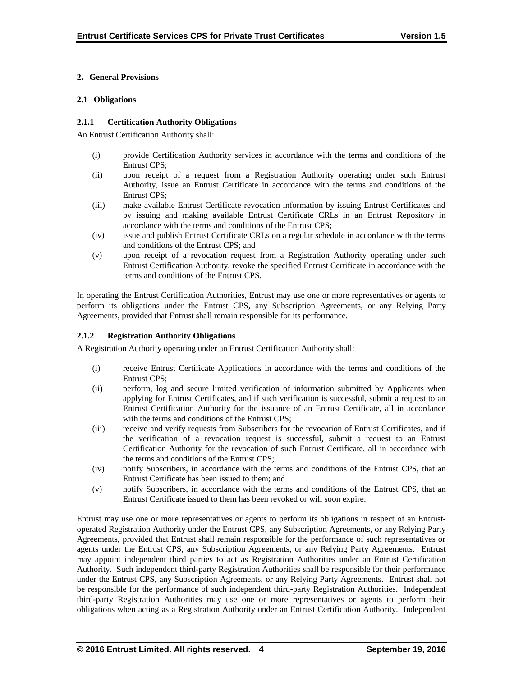## **2. General Provisions**

#### **2.1 Obligations**

#### **2.1.1 Certification Authority Obligations**

An Entrust Certification Authority shall:

- (i) provide Certification Authority services in accordance with the terms and conditions of the Entrust CPS;
- (ii) upon receipt of a request from a Registration Authority operating under such Entrust Authority, issue an Entrust Certificate in accordance with the terms and conditions of the Entrust CPS;
- (iii) make available Entrust Certificate revocation information by issuing Entrust Certificates and by issuing and making available Entrust Certificate CRLs in an Entrust Repository in accordance with the terms and conditions of the Entrust CPS;
- (iv) issue and publish Entrust Certificate CRLs on a regular schedule in accordance with the terms and conditions of the Entrust CPS; and
- (v) upon receipt of a revocation request from a Registration Authority operating under such Entrust Certification Authority, revoke the specified Entrust Certificate in accordance with the terms and conditions of the Entrust CPS.

In operating the Entrust Certification Authorities, Entrust may use one or more representatives or agents to perform its obligations under the Entrust CPS, any Subscription Agreements, or any Relying Party Agreements, provided that Entrust shall remain responsible for its performance.

## **2.1.2 Registration Authority Obligations**

A Registration Authority operating under an Entrust Certification Authority shall:

- (i) receive Entrust Certificate Applications in accordance with the terms and conditions of the Entrust CPS;
- (ii) perform, log and secure limited verification of information submitted by Applicants when applying for Entrust Certificates, and if such verification is successful, submit a request to an Entrust Certification Authority for the issuance of an Entrust Certificate, all in accordance with the terms and conditions of the Entrust CPS;
- (iii) receive and verify requests from Subscribers for the revocation of Entrust Certificates, and if the verification of a revocation request is successful, submit a request to an Entrust Certification Authority for the revocation of such Entrust Certificate, all in accordance with the terms and conditions of the Entrust CPS;
- (iv) notify Subscribers, in accordance with the terms and conditions of the Entrust CPS, that an Entrust Certificate has been issued to them; and
- (v) notify Subscribers, in accordance with the terms and conditions of the Entrust CPS, that an Entrust Certificate issued to them has been revoked or will soon expire.

Entrust may use one or more representatives or agents to perform its obligations in respect of an Entrustoperated Registration Authority under the Entrust CPS, any Subscription Agreements, or any Relying Party Agreements, provided that Entrust shall remain responsible for the performance of such representatives or agents under the Entrust CPS, any Subscription Agreements, or any Relying Party Agreements. Entrust may appoint independent third parties to act as Registration Authorities under an Entrust Certification Authority. Such independent third-party Registration Authorities shall be responsible for their performance under the Entrust CPS, any Subscription Agreements, or any Relying Party Agreements. Entrust shall not be responsible for the performance of such independent third-party Registration Authorities. Independent third-party Registration Authorities may use one or more representatives or agents to perform their obligations when acting as a Registration Authority under an Entrust Certification Authority. Independent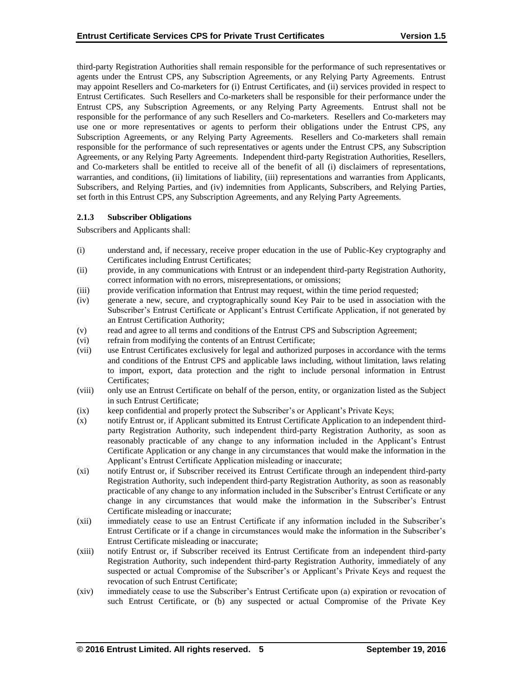third-party Registration Authorities shall remain responsible for the performance of such representatives or agents under the Entrust CPS, any Subscription Agreements, or any Relying Party Agreements. Entrust may appoint Resellers and Co-marketers for (i) Entrust Certificates, and (ii) services provided in respect to Entrust Certificates. Such Resellers and Co-marketers shall be responsible for their performance under the Entrust CPS, any Subscription Agreements, or any Relying Party Agreements. Entrust shall not be responsible for the performance of any such Resellers and Co-marketers. Resellers and Co-marketers may use one or more representatives or agents to perform their obligations under the Entrust CPS, any Subscription Agreements, or any Relying Party Agreements. Resellers and Co-marketers shall remain responsible for the performance of such representatives or agents under the Entrust CPS, any Subscription Agreements, or any Relying Party Agreements. Independent third-party Registration Authorities, Resellers, and Co-marketers shall be entitled to receive all of the benefit of all (i) disclaimers of representations, warranties, and conditions, (ii) limitations of liability, (iii) representations and warranties from Applicants, Subscribers, and Relying Parties, and (iv) indemnities from Applicants, Subscribers, and Relying Parties, set forth in this Entrust CPS, any Subscription Agreements, and any Relying Party Agreements.

#### **2.1.3 Subscriber Obligations**

Subscribers and Applicants shall:

- (i) understand and, if necessary, receive proper education in the use of Public-Key cryptography and Certificates including Entrust Certificates;
- (ii) provide, in any communications with Entrust or an independent third-party Registration Authority, correct information with no errors, misrepresentations, or omissions;
- (iii) provide verification information that Entrust may request, within the time period requested;
- (iv) generate a new, secure, and cryptographically sound Key Pair to be used in association with the Subscriber's Entrust Certificate or Applicant's Entrust Certificate Application, if not generated by an Entrust Certification Authority;
- (v) read and agree to all terms and conditions of the Entrust CPS and Subscription Agreement;
- (vi) refrain from modifying the contents of an Entrust Certificate;
- (vii) use Entrust Certificates exclusively for legal and authorized purposes in accordance with the terms and conditions of the Entrust CPS and applicable laws including, without limitation, laws relating to import, export, data protection and the right to include personal information in Entrust Certificates;
- (viii) only use an Entrust Certificate on behalf of the person, entity, or organization listed as the Subject in such Entrust Certificate;
- (ix) keep confidential and properly protect the Subscriber's or Applicant's Private Keys;
- (x) notify Entrust or, if Applicant submitted its Entrust Certificate Application to an independent thirdparty Registration Authority, such independent third-party Registration Authority, as soon as reasonably practicable of any change to any information included in the Applicant's Entrust Certificate Application or any change in any circumstances that would make the information in the Applicant's Entrust Certificate Application misleading or inaccurate;
- (xi) notify Entrust or, if Subscriber received its Entrust Certificate through an independent third-party Registration Authority, such independent third-party Registration Authority, as soon as reasonably practicable of any change to any information included in the Subscriber's Entrust Certificate or any change in any circumstances that would make the information in the Subscriber's Entrust Certificate misleading or inaccurate;
- (xii) immediately cease to use an Entrust Certificate if any information included in the Subscriber's Entrust Certificate or if a change in circumstances would make the information in the Subscriber's Entrust Certificate misleading or inaccurate;
- (xiii) notify Entrust or, if Subscriber received its Entrust Certificate from an independent third-party Registration Authority, such independent third-party Registration Authority, immediately of any suspected or actual Compromise of the Subscriber's or Applicant's Private Keys and request the revocation of such Entrust Certificate;
- (xiv) immediately cease to use the Subscriber's Entrust Certificate upon (a) expiration or revocation of such Entrust Certificate, or (b) any suspected or actual Compromise of the Private Key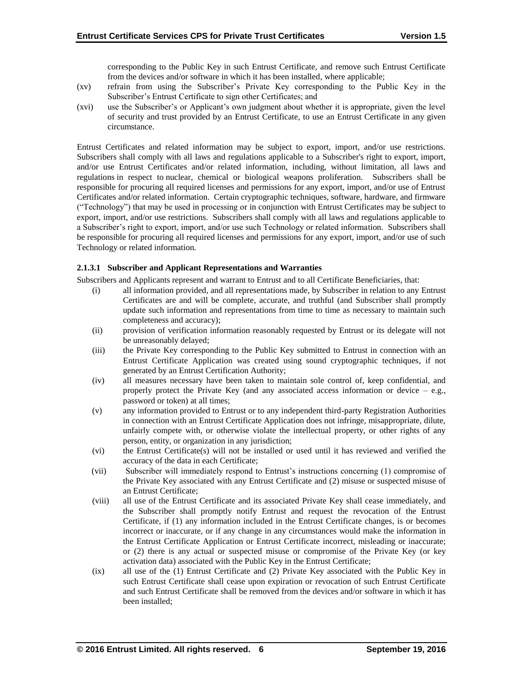corresponding to the Public Key in such Entrust Certificate, and remove such Entrust Certificate from the devices and/or software in which it has been installed, where applicable;

- (xv) refrain from using the Subscriber's Private Key corresponding to the Public Key in the Subscriber's Entrust Certificate to sign other Certificates; and
- (xvi) use the Subscriber's or Applicant's own judgment about whether it is appropriate, given the level of security and trust provided by an Entrust Certificate, to use an Entrust Certificate in any given circumstance.

Entrust Certificates and related information may be subject to export, import, and/or use restrictions. Subscribers shall comply with all laws and regulations applicable to a Subscriber's right to export, import, and/or use Entrust Certificates and/or related information, including, without limitation, all laws and regulations in respect to nuclear, chemical or biological weapons proliferation. Subscribers shall be responsible for procuring all required licenses and permissions for any export, import, and/or use of Entrust Certificates and/or related information. Certain cryptographic techniques, software, hardware, and firmware ("Technology") that may be used in processing or in conjunction with Entrust Certificates may be subject to export, import, and/or use restrictions. Subscribers shall comply with all laws and regulations applicable to a Subscriber's right to export, import, and/or use such Technology or related information. Subscribers shall be responsible for procuring all required licenses and permissions for any export, import, and/or use of such Technology or related information.

## **2.1.3.1 Subscriber and Applicant Representations and Warranties**

Subscribers and Applicants represent and warrant to Entrust and to all Certificate Beneficiaries, that:

- (i) all information provided, and all representations made, by Subscriber in relation to any Entrust Certificates are and will be complete, accurate, and truthful (and Subscriber shall promptly update such information and representations from time to time as necessary to maintain such completeness and accuracy);
- (ii) provision of verification information reasonably requested by Entrust or its delegate will not be unreasonably delayed;
- (iii) the Private Key corresponding to the Public Key submitted to Entrust in connection with an Entrust Certificate Application was created using sound cryptographic techniques, if not generated by an Entrust Certification Authority;
- (iv) all measures necessary have been taken to maintain sole control of, keep confidential, and properly protect the Private Key (and any associated access information or device – e.g., password or token) at all times;
- (v) any information provided to Entrust or to any independent third-party Registration Authorities in connection with an Entrust Certificate Application does not infringe, misappropriate, dilute, unfairly compete with, or otherwise violate the intellectual property, or other rights of any person, entity, or organization in any jurisdiction;
- (vi) the Entrust Certificate(s) will not be installed or used until it has reviewed and verified the accuracy of the data in each Certificate;
- (vii) Subscriber will immediately respond to Entrust's instructions concerning (1) compromise of the Private Key associated with any Entrust Certificate and (2) misuse or suspected misuse of an Entrust Certificate;
- (viii) all use of the Entrust Certificate and its associated Private Key shall cease immediately, and the Subscriber shall promptly notify Entrust and request the revocation of the Entrust Certificate, if (1) any information included in the Entrust Certificate changes, is or becomes incorrect or inaccurate, or if any change in any circumstances would make the information in the Entrust Certificate Application or Entrust Certificate incorrect, misleading or inaccurate; or (2) there is any actual or suspected misuse or compromise of the Private Key (or key activation data) associated with the Public Key in the Entrust Certificate;
- (ix) all use of the (1) Entrust Certificate and (2) Private Key associated with the Public Key in such Entrust Certificate shall cease upon expiration or revocation of such Entrust Certificate and such Entrust Certificate shall be removed from the devices and/or software in which it has been installed;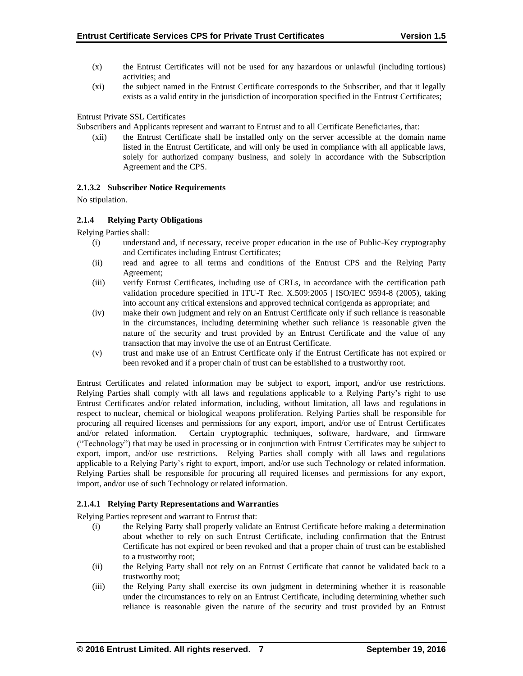- (x) the Entrust Certificates will not be used for any hazardous or unlawful (including tortious) activities; and
- (xi) the subject named in the Entrust Certificate corresponds to the Subscriber, and that it legally exists as a valid entity in the jurisdiction of incorporation specified in the Entrust Certificates;

## Entrust Private SSL Certificates

Subscribers and Applicants represent and warrant to Entrust and to all Certificate Beneficiaries, that:

(xii) the Entrust Certificate shall be installed only on the server accessible at the domain name listed in the Entrust Certificate, and will only be used in compliance with all applicable laws, solely for authorized company business, and solely in accordance with the Subscription Agreement and the CPS.

## **2.1.3.2 Subscriber Notice Requirements**

No stipulation.

## **2.1.4 Relying Party Obligations**

Relying Parties shall:

- (i) understand and, if necessary, receive proper education in the use of Public-Key cryptography and Certificates including Entrust Certificates;
- (ii) read and agree to all terms and conditions of the Entrust CPS and the Relying Party Agreement;
- (iii) verify Entrust Certificates, including use of CRLs, in accordance with the certification path validation procedure specified in ITU-T Rec. X.509:2005 | ISO/IEC 9594-8 (2005), taking into account any critical extensions and approved technical corrigenda as appropriate; and
- (iv) make their own judgment and rely on an Entrust Certificate only if such reliance is reasonable in the circumstances, including determining whether such reliance is reasonable given the nature of the security and trust provided by an Entrust Certificate and the value of any transaction that may involve the use of an Entrust Certificate.
- (v) trust and make use of an Entrust Certificate only if the Entrust Certificate has not expired or been revoked and if a proper chain of trust can be established to a trustworthy root.

Entrust Certificates and related information may be subject to export, import, and/or use restrictions. Relying Parties shall comply with all laws and regulations applicable to a Relying Party's right to use Entrust Certificates and/or related information, including, without limitation, all laws and regulations in respect to nuclear, chemical or biological weapons proliferation. Relying Parties shall be responsible for procuring all required licenses and permissions for any export, import, and/or use of Entrust Certificates and/or related information. Certain cryptographic techniques, software, hardware, and firmware ("Technology") that may be used in processing or in conjunction with Entrust Certificates may be subject to export, import, and/or use restrictions. Relying Parties shall comply with all laws and regulations applicable to a Relying Party's right to export, import, and/or use such Technology or related information. Relying Parties shall be responsible for procuring all required licenses and permissions for any export, import, and/or use of such Technology or related information.

# **2.1.4.1 Relying Party Representations and Warranties**

Relying Parties represent and warrant to Entrust that:

- (i) the Relying Party shall properly validate an Entrust Certificate before making a determination about whether to rely on such Entrust Certificate, including confirmation that the Entrust Certificate has not expired or been revoked and that a proper chain of trust can be established to a trustworthy root;
- (ii) the Relying Party shall not rely on an Entrust Certificate that cannot be validated back to a trustworthy root;
- (iii) the Relying Party shall exercise its own judgment in determining whether it is reasonable under the circumstances to rely on an Entrust Certificate, including determining whether such reliance is reasonable given the nature of the security and trust provided by an Entrust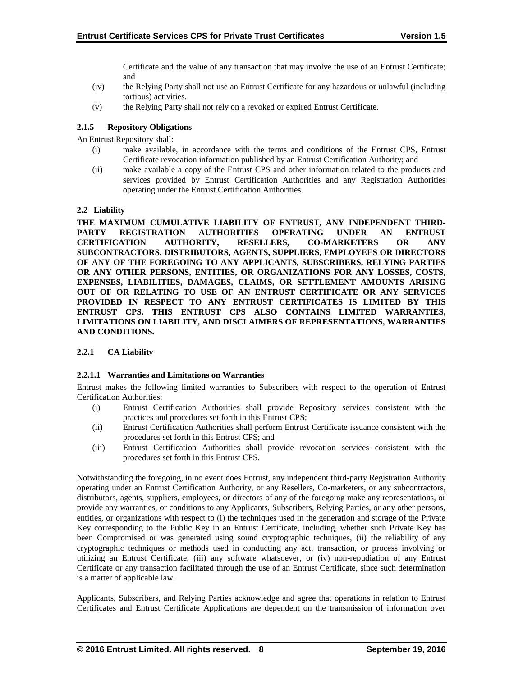Certificate and the value of any transaction that may involve the use of an Entrust Certificate; and

- (iv) the Relying Party shall not use an Entrust Certificate for any hazardous or unlawful (including tortious) activities.
- (v) the Relying Party shall not rely on a revoked or expired Entrust Certificate.

# **2.1.5 Repository Obligations**

An Entrust Repository shall:

- (i) make available, in accordance with the terms and conditions of the Entrust CPS, Entrust Certificate revocation information published by an Entrust Certification Authority; and
- (ii) make available a copy of the Entrust CPS and other information related to the products and services provided by Entrust Certification Authorities and any Registration Authorities operating under the Entrust Certification Authorities.

## **2.2 Liability**

**THE MAXIMUM CUMULATIVE LIABILITY OF ENTRUST, ANY INDEPENDENT THIRD-PARTY REGISTRATION AUTHORITIES OPERATING UNDER AN ENTRUST CERTIFICATION AUTHORITY, RESELLERS, CO-MARKETERS OR ANY SUBCONTRACTORS, DISTRIBUTORS, AGENTS, SUPPLIERS, EMPLOYEES OR DIRECTORS OF ANY OF THE FOREGOING TO ANY APPLICANTS, SUBSCRIBERS, RELYING PARTIES OR ANY OTHER PERSONS, ENTITIES, OR ORGANIZATIONS FOR ANY LOSSES, COSTS, EXPENSES, LIABILITIES, DAMAGES, CLAIMS, OR SETTLEMENT AMOUNTS ARISING OUT OF OR RELATING TO USE OF AN ENTRUST CERTIFICATE OR ANY SERVICES PROVIDED IN RESPECT TO ANY ENTRUST CERTIFICATES IS LIMITED BY THIS ENTRUST CPS. THIS ENTRUST CPS ALSO CONTAINS LIMITED WARRANTIES, LIMITATIONS ON LIABILITY, AND DISCLAIMERS OF REPRESENTATIONS, WARRANTIES AND CONDITIONS.**

#### **2.2.1 CA Liability**

#### **2.2.1.1 Warranties and Limitations on Warranties**

Entrust makes the following limited warranties to Subscribers with respect to the operation of Entrust Certification Authorities:

- (i) Entrust Certification Authorities shall provide Repository services consistent with the practices and procedures set forth in this Entrust CPS;
- (ii) Entrust Certification Authorities shall perform Entrust Certificate issuance consistent with the procedures set forth in this Entrust CPS; and
- (iii) Entrust Certification Authorities shall provide revocation services consistent with the procedures set forth in this Entrust CPS.

Notwithstanding the foregoing, in no event does Entrust, any independent third-party Registration Authority operating under an Entrust Certification Authority, or any Resellers, Co-marketers, or any subcontractors, distributors, agents, suppliers, employees, or directors of any of the foregoing make any representations, or provide any warranties, or conditions to any Applicants, Subscribers, Relying Parties, or any other persons, entities, or organizations with respect to (i) the techniques used in the generation and storage of the Private Key corresponding to the Public Key in an Entrust Certificate, including, whether such Private Key has been Compromised or was generated using sound cryptographic techniques, (ii) the reliability of any cryptographic techniques or methods used in conducting any act, transaction, or process involving or utilizing an Entrust Certificate, (iii) any software whatsoever, or (iv) non-repudiation of any Entrust Certificate or any transaction facilitated through the use of an Entrust Certificate, since such determination is a matter of applicable law.

Applicants, Subscribers, and Relying Parties acknowledge and agree that operations in relation to Entrust Certificates and Entrust Certificate Applications are dependent on the transmission of information over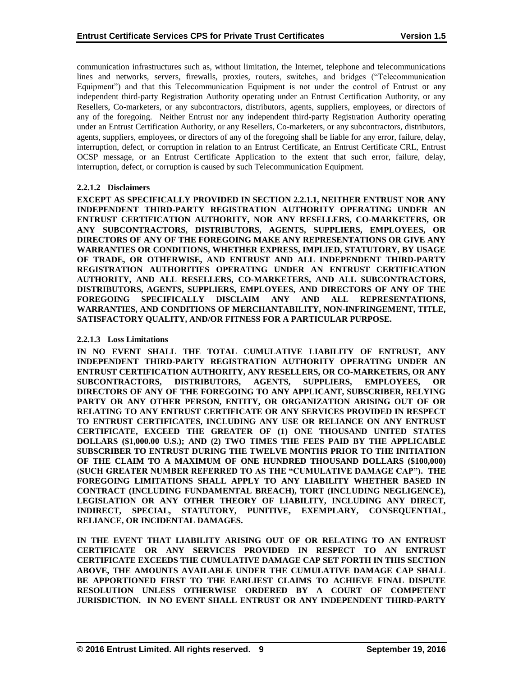communication infrastructures such as, without limitation, the Internet, telephone and telecommunications lines and networks, servers, firewalls, proxies, routers, switches, and bridges ("Telecommunication Equipment") and that this Telecommunication Equipment is not under the control of Entrust or any independent third-party Registration Authority operating under an Entrust Certification Authority, or any Resellers, Co-marketers, or any subcontractors, distributors, agents, suppliers, employees, or directors of any of the foregoing. Neither Entrust nor any independent third-party Registration Authority operating under an Entrust Certification Authority, or any Resellers, Co-marketers, or any subcontractors, distributors, agents, suppliers, employees, or directors of any of the foregoing shall be liable for any error, failure, delay, interruption, defect, or corruption in relation to an Entrust Certificate, an Entrust Certificate CRL, Entrust OCSP message, or an Entrust Certificate Application to the extent that such error, failure, delay, interruption, defect, or corruption is caused by such Telecommunication Equipment.

## **2.2.1.2 Disclaimers**

**EXCEPT AS SPECIFICALLY PROVIDED IN SECTION 2.2.1.1, NEITHER ENTRUST NOR ANY INDEPENDENT THIRD-PARTY REGISTRATION AUTHORITY OPERATING UNDER AN ENTRUST CERTIFICATION AUTHORITY, NOR ANY RESELLERS, CO-MARKETERS, OR ANY SUBCONTRACTORS, DISTRIBUTORS, AGENTS, SUPPLIERS, EMPLOYEES, OR DIRECTORS OF ANY OF THE FOREGOING MAKE ANY REPRESENTATIONS OR GIVE ANY WARRANTIES OR CONDITIONS, WHETHER EXPRESS, IMPLIED, STATUTORY, BY USAGE OF TRADE, OR OTHERWISE, AND ENTRUST AND ALL INDEPENDENT THIRD-PARTY REGISTRATION AUTHORITIES OPERATING UNDER AN ENTRUST CERTIFICATION AUTHORITY, AND ALL RESELLERS, CO-MARKETERS, AND ALL SUBCONTRACTORS, DISTRIBUTORS, AGENTS, SUPPLIERS, EMPLOYEES, AND DIRECTORS OF ANY OF THE FOREGOING SPECIFICALLY DISCLAIM ANY AND ALL REPRESENTATIONS, WARRANTIES, AND CONDITIONS OF MERCHANTABILITY, NON-INFRINGEMENT, TITLE, SATISFACTORY QUALITY, AND/OR FITNESS FOR A PARTICULAR PURPOSE.**

## **2.2.1.3 Loss Limitations**

**IN NO EVENT SHALL THE TOTAL CUMULATIVE LIABILITY OF ENTRUST, ANY INDEPENDENT THIRD-PARTY REGISTRATION AUTHORITY OPERATING UNDER AN ENTRUST CERTIFICATION AUTHORITY, ANY RESELLERS, OR CO-MARKETERS, OR ANY SUBCONTRACTORS, DISTRIBUTORS, AGENTS, SUPPLIERS, EMPLOYEES, OR DIRECTORS OF ANY OF THE FOREGOING TO ANY APPLICANT, SUBSCRIBER, RELYING PARTY OR ANY OTHER PERSON, ENTITY, OR ORGANIZATION ARISING OUT OF OR RELATING TO ANY ENTRUST CERTIFICATE OR ANY SERVICES PROVIDED IN RESPECT TO ENTRUST CERTIFICATES, INCLUDING ANY USE OR RELIANCE ON ANY ENTRUST CERTIFICATE, EXCEED THE GREATER OF (1) ONE THOUSAND UNITED STATES DOLLARS (\$1,000.00 U.S.); AND (2) TWO TIMES THE FEES PAID BY THE APPLICABLE SUBSCRIBER TO ENTRUST DURING THE TWELVE MONTHS PRIOR TO THE INITIATION OF THE CLAIM TO A MAXIMUM OF ONE HUNDRED THOUSAND DOLLARS (\$100,000) (SUCH GREATER NUMBER REFERRED TO AS THE "CUMULATIVE DAMAGE CAP"). THE FOREGOING LIMITATIONS SHALL APPLY TO ANY LIABILITY WHETHER BASED IN CONTRACT (INCLUDING FUNDAMENTAL BREACH), TORT (INCLUDING NEGLIGENCE), LEGISLATION OR ANY OTHER THEORY OF LIABILITY, INCLUDING ANY DIRECT, INDIRECT, SPECIAL, STATUTORY, PUNITIVE, EXEMPLARY, CONSEQUENTIAL, RELIANCE, OR INCIDENTAL DAMAGES.**

**IN THE EVENT THAT LIABILITY ARISING OUT OF OR RELATING TO AN ENTRUST CERTIFICATE OR ANY SERVICES PROVIDED IN RESPECT TO AN ENTRUST CERTIFICATE EXCEEDS THE CUMULATIVE DAMAGE CAP SET FORTH IN THIS SECTION ABOVE, THE AMOUNTS AVAILABLE UNDER THE CUMULATIVE DAMAGE CAP SHALL BE APPORTIONED FIRST TO THE EARLIEST CLAIMS TO ACHIEVE FINAL DISPUTE RESOLUTION UNLESS OTHERWISE ORDERED BY A COURT OF COMPETENT JURISDICTION. IN NO EVENT SHALL ENTRUST OR ANY INDEPENDENT THIRD-PARTY**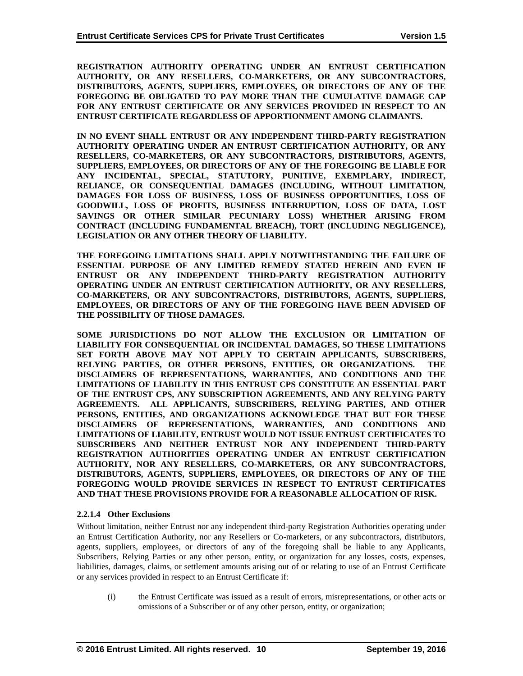**REGISTRATION AUTHORITY OPERATING UNDER AN ENTRUST CERTIFICATION AUTHORITY, OR ANY RESELLERS, CO-MARKETERS, OR ANY SUBCONTRACTORS, DISTRIBUTORS, AGENTS, SUPPLIERS, EMPLOYEES, OR DIRECTORS OF ANY OF THE FOREGOING BE OBLIGATED TO PAY MORE THAN THE CUMULATIVE DAMAGE CAP FOR ANY ENTRUST CERTIFICATE OR ANY SERVICES PROVIDED IN RESPECT TO AN ENTRUST CERTIFICATE REGARDLESS OF APPORTIONMENT AMONG CLAIMANTS.**

**IN NO EVENT SHALL ENTRUST OR ANY INDEPENDENT THIRD-PARTY REGISTRATION AUTHORITY OPERATING UNDER AN ENTRUST CERTIFICATION AUTHORITY, OR ANY RESELLERS, CO-MARKETERS, OR ANY SUBCONTRACTORS, DISTRIBUTORS, AGENTS, SUPPLIERS, EMPLOYEES, OR DIRECTORS OF ANY OF THE FOREGOING BE LIABLE FOR ANY INCIDENTAL, SPECIAL, STATUTORY, PUNITIVE, EXEMPLARY, INDIRECT, RELIANCE, OR CONSEQUENTIAL DAMAGES (INCLUDING, WITHOUT LIMITATION, DAMAGES FOR LOSS OF BUSINESS, LOSS OF BUSINESS OPPORTUNITIES, LOSS OF GOODWILL, LOSS OF PROFITS, BUSINESS INTERRUPTION, LOSS OF DATA, LOST SAVINGS OR OTHER SIMILAR PECUNIARY LOSS) WHETHER ARISING FROM CONTRACT (INCLUDING FUNDAMENTAL BREACH), TORT (INCLUDING NEGLIGENCE), LEGISLATION OR ANY OTHER THEORY OF LIABILITY.** 

**THE FOREGOING LIMITATIONS SHALL APPLY NOTWITHSTANDING THE FAILURE OF ESSENTIAL PURPOSE OF ANY LIMITED REMEDY STATED HEREIN AND EVEN IF ENTRUST OR ANY INDEPENDENT THIRD-PARTY REGISTRATION AUTHORITY OPERATING UNDER AN ENTRUST CERTIFICATION AUTHORITY, OR ANY RESELLERS, CO-MARKETERS, OR ANY SUBCONTRACTORS, DISTRIBUTORS, AGENTS, SUPPLIERS, EMPLOYEES, OR DIRECTORS OF ANY OF THE FOREGOING HAVE BEEN ADVISED OF THE POSSIBILITY OF THOSE DAMAGES.**

**SOME JURISDICTIONS DO NOT ALLOW THE EXCLUSION OR LIMITATION OF LIABILITY FOR CONSEQUENTIAL OR INCIDENTAL DAMAGES, SO THESE LIMITATIONS SET FORTH ABOVE MAY NOT APPLY TO CERTAIN APPLICANTS, SUBSCRIBERS, RELYING PARTIES, OR OTHER PERSONS, ENTITIES, OR ORGANIZATIONS. THE DISCLAIMERS OF REPRESENTATIONS, WARRANTIES, AND CONDITIONS AND THE LIMITATIONS OF LIABILITY IN THIS ENTRUST CPS CONSTITUTE AN ESSENTIAL PART OF THE ENTRUST CPS, ANY SUBSCRIPTION AGREEMENTS, AND ANY RELYING PARTY AGREEMENTS. ALL APPLICANTS, SUBSCRIBERS, RELYING PARTIES, AND OTHER PERSONS, ENTITIES, AND ORGANIZATIONS ACKNOWLEDGE THAT BUT FOR THESE DISCLAIMERS OF REPRESENTATIONS, WARRANTIES, AND CONDITIONS AND LIMITATIONS OF LIABILITY, ENTRUST WOULD NOT ISSUE ENTRUST CERTIFICATES TO SUBSCRIBERS AND NEITHER ENTRUST NOR ANY INDEPENDENT THIRD-PARTY REGISTRATION AUTHORITIES OPERATING UNDER AN ENTRUST CERTIFICATION AUTHORITY, NOR ANY RESELLERS, CO-MARKETERS, OR ANY SUBCONTRACTORS, DISTRIBUTORS, AGENTS, SUPPLIERS, EMPLOYEES, OR DIRECTORS OF ANY OF THE FOREGOING WOULD PROVIDE SERVICES IN RESPECT TO ENTRUST CERTIFICATES AND THAT THESE PROVISIONS PROVIDE FOR A REASONABLE ALLOCATION OF RISK.**

#### **2.2.1.4 Other Exclusions**

Without limitation, neither Entrust nor any independent third-party Registration Authorities operating under an Entrust Certification Authority, nor any Resellers or Co-marketers, or any subcontractors, distributors, agents, suppliers, employees, or directors of any of the foregoing shall be liable to any Applicants, Subscribers, Relying Parties or any other person, entity, or organization for any losses, costs, expenses, liabilities, damages, claims, or settlement amounts arising out of or relating to use of an Entrust Certificate or any services provided in respect to an Entrust Certificate if:

(i) the Entrust Certificate was issued as a result of errors, misrepresentations, or other acts or omissions of a Subscriber or of any other person, entity, or organization;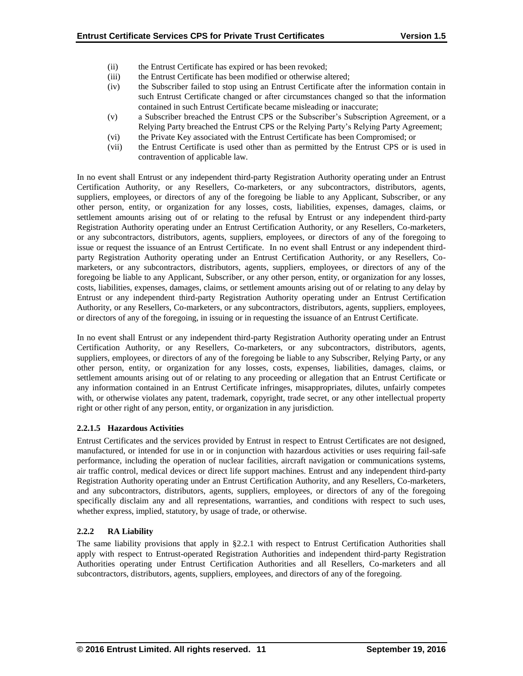- (ii) the Entrust Certificate has expired or has been revoked;
- (iii) the Entrust Certificate has been modified or otherwise altered;
- (iv) the Subscriber failed to stop using an Entrust Certificate after the information contain in such Entrust Certificate changed or after circumstances changed so that the information contained in such Entrust Certificate became misleading or inaccurate;
- (v) a Subscriber breached the Entrust CPS or the Subscriber's Subscription Agreement, or a Relying Party breached the Entrust CPS or the Relying Party's Relying Party Agreement;
- (vi) the Private Key associated with the Entrust Certificate has been Compromised; or
- (vii) the Entrust Certificate is used other than as permitted by the Entrust CPS or is used in contravention of applicable law.

In no event shall Entrust or any independent third-party Registration Authority operating under an Entrust Certification Authority, or any Resellers, Co-marketers, or any subcontractors, distributors, agents, suppliers, employees, or directors of any of the foregoing be liable to any Applicant, Subscriber, or any other person, entity, or organization for any losses, costs, liabilities, expenses, damages, claims, or settlement amounts arising out of or relating to the refusal by Entrust or any independent third-party Registration Authority operating under an Entrust Certification Authority, or any Resellers, Co-marketers, or any subcontractors, distributors, agents, suppliers, employees, or directors of any of the foregoing to issue or request the issuance of an Entrust Certificate. In no event shall Entrust or any independent thirdparty Registration Authority operating under an Entrust Certification Authority, or any Resellers, Comarketers, or any subcontractors, distributors, agents, suppliers, employees, or directors of any of the foregoing be liable to any Applicant, Subscriber, or any other person, entity, or organization for any losses, costs, liabilities, expenses, damages, claims, or settlement amounts arising out of or relating to any delay by Entrust or any independent third-party Registration Authority operating under an Entrust Certification Authority, or any Resellers, Co-marketers, or any subcontractors, distributors, agents, suppliers, employees, or directors of any of the foregoing, in issuing or in requesting the issuance of an Entrust Certificate.

In no event shall Entrust or any independent third-party Registration Authority operating under an Entrust Certification Authority, or any Resellers, Co-marketers, or any subcontractors, distributors, agents, suppliers, employees, or directors of any of the foregoing be liable to any Subscriber, Relying Party, or any other person, entity, or organization for any losses, costs, expenses, liabilities, damages, claims, or settlement amounts arising out of or relating to any proceeding or allegation that an Entrust Certificate or any information contained in an Entrust Certificate infringes, misappropriates, dilutes, unfairly competes with, or otherwise violates any patent, trademark, copyright, trade secret, or any other intellectual property right or other right of any person, entity, or organization in any jurisdiction.

# **2.2.1.5 Hazardous Activities**

Entrust Certificates and the services provided by Entrust in respect to Entrust Certificates are not designed, manufactured, or intended for use in or in conjunction with hazardous activities or uses requiring fail-safe performance, including the operation of nuclear facilities, aircraft navigation or communications systems, air traffic control, medical devices or direct life support machines. Entrust and any independent third-party Registration Authority operating under an Entrust Certification Authority, and any Resellers, Co-marketers, and any subcontractors, distributors, agents, suppliers, employees, or directors of any of the foregoing specifically disclaim any and all representations, warranties, and conditions with respect to such uses, whether express, implied, statutory, by usage of trade, or otherwise.

# **2.2.2 RA Liability**

The same liability provisions that apply in §2.2.1 with respect to Entrust Certification Authorities shall apply with respect to Entrust-operated Registration Authorities and independent third-party Registration Authorities operating under Entrust Certification Authorities and all Resellers, Co-marketers and all subcontractors, distributors, agents, suppliers, employees, and directors of any of the foregoing.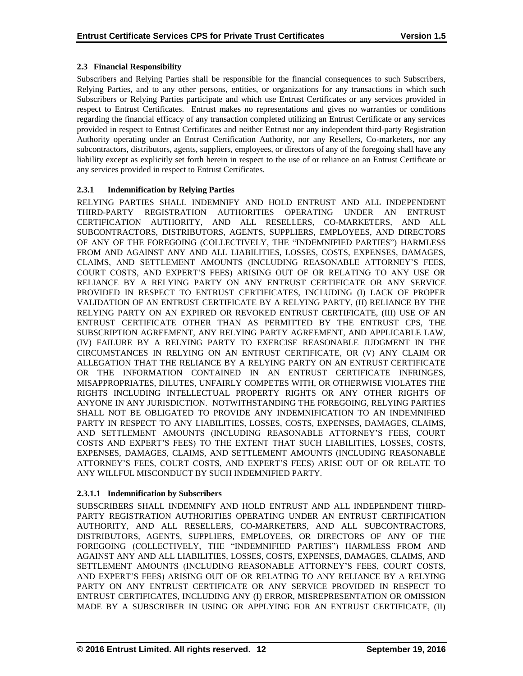## **2.3 Financial Responsibility**

Subscribers and Relying Parties shall be responsible for the financial consequences to such Subscribers, Relying Parties, and to any other persons, entities, or organizations for any transactions in which such Subscribers or Relying Parties participate and which use Entrust Certificates or any services provided in respect to Entrust Certificates. Entrust makes no representations and gives no warranties or conditions regarding the financial efficacy of any transaction completed utilizing an Entrust Certificate or any services provided in respect to Entrust Certificates and neither Entrust nor any independent third-party Registration Authority operating under an Entrust Certification Authority, nor any Resellers, Co-marketers, nor any subcontractors, distributors, agents, suppliers, employees, or directors of any of the foregoing shall have any liability except as explicitly set forth herein in respect to the use of or reliance on an Entrust Certificate or any services provided in respect to Entrust Certificates.

# **2.3.1 Indemnification by Relying Parties**

RELYING PARTIES SHALL INDEMNIFY AND HOLD ENTRUST AND ALL INDEPENDENT THIRD-PARTY REGISTRATION AUTHORITIES OPERATING UNDER AN ENTRUST CERTIFICATION AUTHORITY, AND ALL RESELLERS, CO-MARKETERS, AND ALL SUBCONTRACTORS, DISTRIBUTORS, AGENTS, SUPPLIERS, EMPLOYEES, AND DIRECTORS OF ANY OF THE FOREGOING (COLLECTIVELY, THE "INDEMNIFIED PARTIES") HARMLESS FROM AND AGAINST ANY AND ALL LIABILITIES, LOSSES, COSTS, EXPENSES, DAMAGES, CLAIMS, AND SETTLEMENT AMOUNTS (INCLUDING REASONABLE ATTORNEY'S FEES, COURT COSTS, AND EXPERT'S FEES) ARISING OUT OF OR RELATING TO ANY USE OR RELIANCE BY A RELYING PARTY ON ANY ENTRUST CERTIFICATE OR ANY SERVICE PROVIDED IN RESPECT TO ENTRUST CERTIFICATES, INCLUDING (I) LACK OF PROPER VALIDATION OF AN ENTRUST CERTIFICATE BY A RELYING PARTY, (II) RELIANCE BY THE RELYING PARTY ON AN EXPIRED OR REVOKED ENTRUST CERTIFICATE, (III) USE OF AN ENTRUST CERTIFICATE OTHER THAN AS PERMITTED BY THE ENTRUST CPS, THE SUBSCRIPTION AGREEMENT, ANY RELYING PARTY AGREEMENT, AND APPLICABLE LAW, (IV) FAILURE BY A RELYING PARTY TO EXERCISE REASONABLE JUDGMENT IN THE CIRCUMSTANCES IN RELYING ON AN ENTRUST CERTIFICATE, OR (V) ANY CLAIM OR ALLEGATION THAT THE RELIANCE BY A RELYING PARTY ON AN ENTRUST CERTIFICATE OR THE INFORMATION CONTAINED IN AN ENTRUST CERTIFICATE INFRINGES, MISAPPROPRIATES, DILUTES, UNFAIRLY COMPETES WITH, OR OTHERWISE VIOLATES THE RIGHTS INCLUDING INTELLECTUAL PROPERTY RIGHTS OR ANY OTHER RIGHTS OF ANYONE IN ANY JURISDICTION. NOTWITHSTANDING THE FOREGOING, RELYING PARTIES SHALL NOT BE OBLIGATED TO PROVIDE ANY INDEMNIFICATION TO AN INDEMNIFIED PARTY IN RESPECT TO ANY LIABILITIES, LOSSES, COSTS, EXPENSES, DAMAGES, CLAIMS, AND SETTLEMENT AMOUNTS (INCLUDING REASONABLE ATTORNEY'S FEES, COURT COSTS AND EXPERT'S FEES) TO THE EXTENT THAT SUCH LIABILITIES, LOSSES, COSTS, EXPENSES, DAMAGES, CLAIMS, AND SETTLEMENT AMOUNTS (INCLUDING REASONABLE ATTORNEY'S FEES, COURT COSTS, AND EXPERT'S FEES) ARISE OUT OF OR RELATE TO ANY WILLFUL MISCONDUCT BY SUCH INDEMNIFIED PARTY.

# **2.3.1.1 Indemnification by Subscribers**

SUBSCRIBERS SHALL INDEMNIFY AND HOLD ENTRUST AND ALL INDEPENDENT THIRD-PARTY REGISTRATION AUTHORITIES OPERATING UNDER AN ENTRUST CERTIFICATION AUTHORITY, AND ALL RESELLERS, CO-MARKETERS, AND ALL SUBCONTRACTORS, DISTRIBUTORS, AGENTS, SUPPLIERS, EMPLOYEES, OR DIRECTORS OF ANY OF THE FOREGOING (COLLECTIVELY, THE "INDEMNIFIED PARTIES") HARMLESS FROM AND AGAINST ANY AND ALL LIABILITIES, LOSSES, COSTS, EXPENSES, DAMAGES, CLAIMS, AND SETTLEMENT AMOUNTS (INCLUDING REASONABLE ATTORNEY'S FEES, COURT COSTS, AND EXPERT'S FEES) ARISING OUT OF OR RELATING TO ANY RELIANCE BY A RELYING PARTY ON ANY ENTRUST CERTIFICATE OR ANY SERVICE PROVIDED IN RESPECT TO ENTRUST CERTIFICATES, INCLUDING ANY (I) ERROR, MISREPRESENTATION OR OMISSION MADE BY A SUBSCRIBER IN USING OR APPLYING FOR AN ENTRUST CERTIFICATE, (II)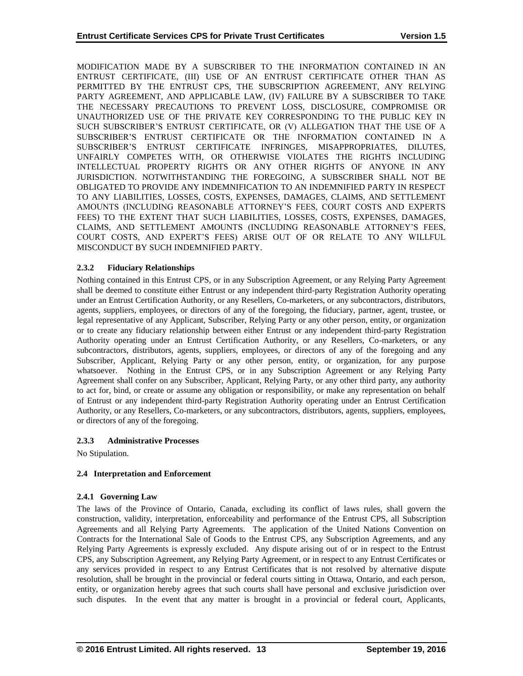MODIFICATION MADE BY A SUBSCRIBER TO THE INFORMATION CONTAINED IN AN ENTRUST CERTIFICATE, (III) USE OF AN ENTRUST CERTIFICATE OTHER THAN AS PERMITTED BY THE ENTRUST CPS, THE SUBSCRIPTION AGREEMENT, ANY RELYING PARTY AGREEMENT, AND APPLICABLE LAW, (IV) FAILURE BY A SUBSCRIBER TO TAKE THE NECESSARY PRECAUTIONS TO PREVENT LOSS, DISCLOSURE, COMPROMISE OR UNAUTHORIZED USE OF THE PRIVATE KEY CORRESPONDING TO THE PUBLIC KEY IN SUCH SUBSCRIBER'S ENTRUST CERTIFICATE, OR (V) ALLEGATION THAT THE USE OF A SUBSCRIBER'S ENTRUST CERTIFICATE OR THE INFORMATION CONTAINED IN A SUBSCRIBER'S ENTRUST CERTIFICATE INFRINGES, MISAPPROPRIATES, DILUTES, UNFAIRLY COMPETES WITH, OR OTHERWISE VIOLATES THE RIGHTS INCLUDING INTELLECTUAL PROPERTY RIGHTS OR ANY OTHER RIGHTS OF ANYONE IN ANY JURISDICTION. NOTWITHSTANDING THE FOREGOING, A SUBSCRIBER SHALL NOT BE OBLIGATED TO PROVIDE ANY INDEMNIFICATION TO AN INDEMNIFIED PARTY IN RESPECT TO ANY LIABILITIES, LOSSES, COSTS, EXPENSES, DAMAGES, CLAIMS, AND SETTLEMENT AMOUNTS (INCLUDING REASONABLE ATTORNEY'S FEES, COURT COSTS AND EXPERTS FEES) TO THE EXTENT THAT SUCH LIABILITIES, LOSSES, COSTS, EXPENSES, DAMAGES, CLAIMS, AND SETTLEMENT AMOUNTS (INCLUDING REASONABLE ATTORNEY'S FEES, COURT COSTS, AND EXPERT'S FEES) ARISE OUT OF OR RELATE TO ANY WILLFUL MISCONDUCT BY SUCH INDEMNIFIED PARTY.

# **2.3.2 Fiduciary Relationships**

Nothing contained in this Entrust CPS, or in any Subscription Agreement, or any Relying Party Agreement shall be deemed to constitute either Entrust or any independent third-party Registration Authority operating under an Entrust Certification Authority, or any Resellers, Co-marketers, or any subcontractors, distributors, agents, suppliers, employees, or directors of any of the foregoing, the fiduciary, partner, agent, trustee, or legal representative of any Applicant, Subscriber, Relying Party or any other person, entity, or organization or to create any fiduciary relationship between either Entrust or any independent third-party Registration Authority operating under an Entrust Certification Authority, or any Resellers, Co-marketers, or any subcontractors, distributors, agents, suppliers, employees, or directors of any of the foregoing and any Subscriber, Applicant, Relying Party or any other person, entity, or organization, for any purpose whatsoever. Nothing in the Entrust CPS, or in any Subscription Agreement or any Relying Party Agreement shall confer on any Subscriber, Applicant, Relying Party, or any other third party, any authority to act for, bind, or create or assume any obligation or responsibility, or make any representation on behalf of Entrust or any independent third-party Registration Authority operating under an Entrust Certification Authority, or any Resellers, Co-marketers, or any subcontractors, distributors, agents, suppliers, employees, or directors of any of the foregoing.

# **2.3.3 Administrative Processes**

No Stipulation.

# **2.4 Interpretation and Enforcement**

# **2.4.1 Governing Law**

The laws of the Province of Ontario, Canada, excluding its conflict of laws rules, shall govern the construction, validity, interpretation, enforceability and performance of the Entrust CPS, all Subscription Agreements and all Relying Party Agreements. The application of the United Nations Convention on Contracts for the International Sale of Goods to the Entrust CPS, any Subscription Agreements, and any Relying Party Agreements is expressly excluded. Any dispute arising out of or in respect to the Entrust CPS, any Subscription Agreement, any Relying Party Agreement, or in respect to any Entrust Certificates or any services provided in respect to any Entrust Certificates that is not resolved by alternative dispute resolution, shall be brought in the provincial or federal courts sitting in Ottawa, Ontario, and each person, entity, or organization hereby agrees that such courts shall have personal and exclusive jurisdiction over such disputes. In the event that any matter is brought in a provincial or federal court, Applicants,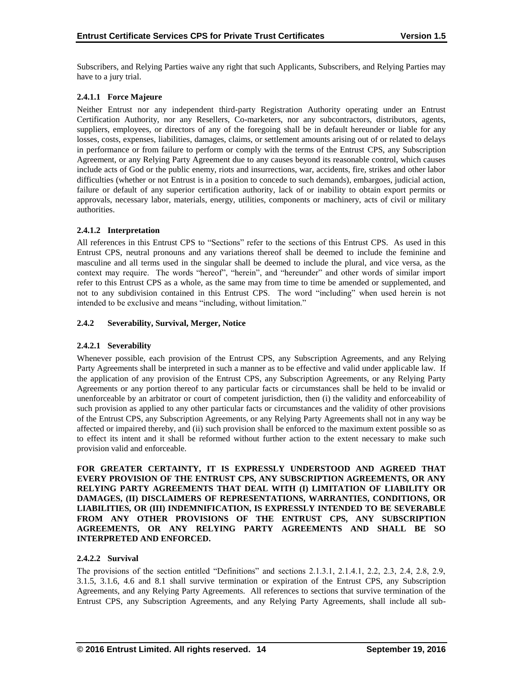Subscribers, and Relying Parties waive any right that such Applicants, Subscribers, and Relying Parties may have to a jury trial.

# **2.4.1.1 Force Majeure**

Neither Entrust nor any independent third-party Registration Authority operating under an Entrust Certification Authority, nor any Resellers, Co-marketers, nor any subcontractors, distributors, agents, suppliers, employees, or directors of any of the foregoing shall be in default hereunder or liable for any losses, costs, expenses, liabilities, damages, claims, or settlement amounts arising out of or related to delays in performance or from failure to perform or comply with the terms of the Entrust CPS, any Subscription Agreement, or any Relying Party Agreement due to any causes beyond its reasonable control, which causes include acts of God or the public enemy, riots and insurrections, war, accidents, fire, strikes and other labor difficulties (whether or not Entrust is in a position to concede to such demands), embargoes, judicial action, failure or default of any superior certification authority, lack of or inability to obtain export permits or approvals, necessary labor, materials, energy, utilities, components or machinery, acts of civil or military authorities.

# **2.4.1.2 Interpretation**

All references in this Entrust CPS to "Sections" refer to the sections of this Entrust CPS. As used in this Entrust CPS, neutral pronouns and any variations thereof shall be deemed to include the feminine and masculine and all terms used in the singular shall be deemed to include the plural, and vice versa, as the context may require. The words "hereof", "herein", and "hereunder" and other words of similar import refer to this Entrust CPS as a whole, as the same may from time to time be amended or supplemented, and not to any subdivision contained in this Entrust CPS. The word "including" when used herein is not intended to be exclusive and means "including, without limitation."

## **2.4.2 Severability, Survival, Merger, Notice**

# **2.4.2.1 Severability**

Whenever possible, each provision of the Entrust CPS, any Subscription Agreements, and any Relying Party Agreements shall be interpreted in such a manner as to be effective and valid under applicable law. If the application of any provision of the Entrust CPS, any Subscription Agreements, or any Relying Party Agreements or any portion thereof to any particular facts or circumstances shall be held to be invalid or unenforceable by an arbitrator or court of competent jurisdiction, then (i) the validity and enforceability of such provision as applied to any other particular facts or circumstances and the validity of other provisions of the Entrust CPS, any Subscription Agreements, or any Relying Party Agreements shall not in any way be affected or impaired thereby, and (ii) such provision shall be enforced to the maximum extent possible so as to effect its intent and it shall be reformed without further action to the extent necessary to make such provision valid and enforceable.

**FOR GREATER CERTAINTY, IT IS EXPRESSLY UNDERSTOOD AND AGREED THAT EVERY PROVISION OF THE ENTRUST CPS, ANY SUBSCRIPTION AGREEMENTS, OR ANY RELYING PARTY AGREEMENTS THAT DEAL WITH (I) LIMITATION OF LIABILITY OR DAMAGES, (II) DISCLAIMERS OF REPRESENTATIONS, WARRANTIES, CONDITIONS, OR LIABILITIES, OR (III) INDEMNIFICATION, IS EXPRESSLY INTENDED TO BE SEVERABLE FROM ANY OTHER PROVISIONS OF THE ENTRUST CPS, ANY SUBSCRIPTION AGREEMENTS, OR ANY RELYING PARTY AGREEMENTS AND SHALL BE SO INTERPRETED AND ENFORCED.**

#### **2.4.2.2 Survival**

The provisions of the section entitled "Definitions" and sections 2.1.3.1, 2.1.4.1, 2.2, 2.3, 2.4, 2.8, 2.9, 3.1.5, 3.1.6, 4.6 and 8.1 shall survive termination or expiration of the Entrust CPS, any Subscription Agreements, and any Relying Party Agreements. All references to sections that survive termination of the Entrust CPS, any Subscription Agreements, and any Relying Party Agreements, shall include all sub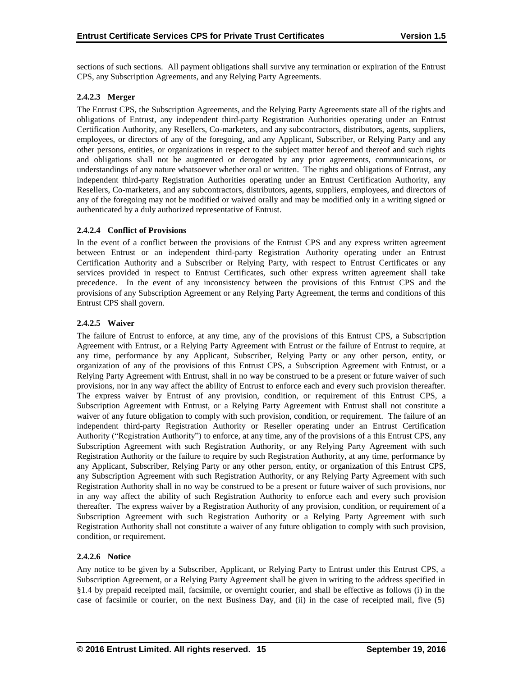sections of such sections. All payment obligations shall survive any termination or expiration of the Entrust CPS, any Subscription Agreements, and any Relying Party Agreements.

## **2.4.2.3 Merger**

The Entrust CPS, the Subscription Agreements, and the Relying Party Agreements state all of the rights and obligations of Entrust, any independent third-party Registration Authorities operating under an Entrust Certification Authority, any Resellers, Co-marketers, and any subcontractors, distributors, agents, suppliers, employees, or directors of any of the foregoing, and any Applicant, Subscriber, or Relying Party and any other persons, entities, or organizations in respect to the subject matter hereof and thereof and such rights and obligations shall not be augmented or derogated by any prior agreements, communications, or understandings of any nature whatsoever whether oral or written. The rights and obligations of Entrust, any independent third-party Registration Authorities operating under an Entrust Certification Authority, any Resellers, Co-marketers, and any subcontractors, distributors, agents, suppliers, employees, and directors of any of the foregoing may not be modified or waived orally and may be modified only in a writing signed or authenticated by a duly authorized representative of Entrust.

## **2.4.2.4 Conflict of Provisions**

In the event of a conflict between the provisions of the Entrust CPS and any express written agreement between Entrust or an independent third-party Registration Authority operating under an Entrust Certification Authority and a Subscriber or Relying Party, with respect to Entrust Certificates or any services provided in respect to Entrust Certificates, such other express written agreement shall take precedence. In the event of any inconsistency between the provisions of this Entrust CPS and the provisions of any Subscription Agreement or any Relying Party Agreement, the terms and conditions of this Entrust CPS shall govern.

## **2.4.2.5 Waiver**

The failure of Entrust to enforce, at any time, any of the provisions of this Entrust CPS, a Subscription Agreement with Entrust, or a Relying Party Agreement with Entrust or the failure of Entrust to require, at any time, performance by any Applicant, Subscriber, Relying Party or any other person, entity, or organization of any of the provisions of this Entrust CPS, a Subscription Agreement with Entrust, or a Relying Party Agreement with Entrust, shall in no way be construed to be a present or future waiver of such provisions, nor in any way affect the ability of Entrust to enforce each and every such provision thereafter. The express waiver by Entrust of any provision, condition, or requirement of this Entrust CPS, a Subscription Agreement with Entrust, or a Relying Party Agreement with Entrust shall not constitute a waiver of any future obligation to comply with such provision, condition, or requirement. The failure of an independent third-party Registration Authority or Reseller operating under an Entrust Certification Authority ("Registration Authority") to enforce, at any time, any of the provisions of a this Entrust CPS, any Subscription Agreement with such Registration Authority, or any Relying Party Agreement with such Registration Authority or the failure to require by such Registration Authority, at any time, performance by any Applicant, Subscriber, Relying Party or any other person, entity, or organization of this Entrust CPS, any Subscription Agreement with such Registration Authority, or any Relying Party Agreement with such Registration Authority shall in no way be construed to be a present or future waiver of such provisions, nor in any way affect the ability of such Registration Authority to enforce each and every such provision thereafter. The express waiver by a Registration Authority of any provision, condition, or requirement of a Subscription Agreement with such Registration Authority or a Relying Party Agreement with such Registration Authority shall not constitute a waiver of any future obligation to comply with such provision, condition, or requirement.

#### **2.4.2.6 Notice**

Any notice to be given by a Subscriber, Applicant, or Relying Party to Entrust under this Entrust CPS, a Subscription Agreement, or a Relying Party Agreement shall be given in writing to the address specified in §1.4 by prepaid receipted mail, facsimile, or overnight courier, and shall be effective as follows (i) in the case of facsimile or courier, on the next Business Day, and (ii) in the case of receipted mail, five (5)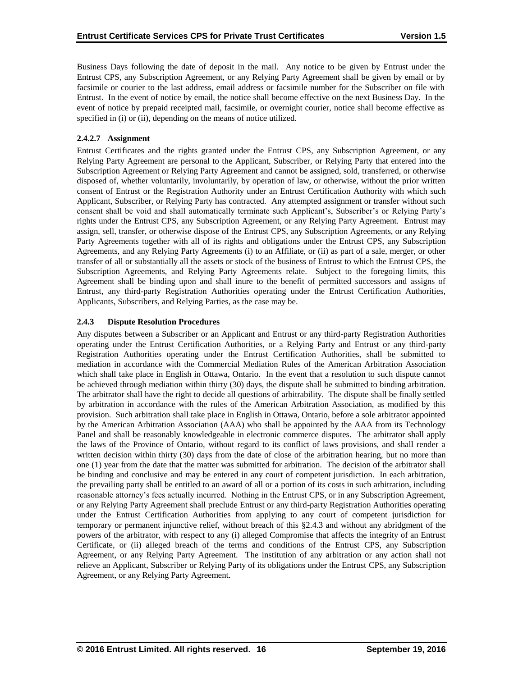Business Days following the date of deposit in the mail. Any notice to be given by Entrust under the Entrust CPS, any Subscription Agreement, or any Relying Party Agreement shall be given by email or by facsimile or courier to the last address, email address or facsimile number for the Subscriber on file with Entrust. In the event of notice by email, the notice shall become effective on the next Business Day. In the event of notice by prepaid receipted mail, facsimile, or overnight courier, notice shall become effective as specified in (i) or (ii), depending on the means of notice utilized.

# **2.4.2.7 Assignment**

Entrust Certificates and the rights granted under the Entrust CPS, any Subscription Agreement, or any Relying Party Agreement are personal to the Applicant, Subscriber, or Relying Party that entered into the Subscription Agreement or Relying Party Agreement and cannot be assigned, sold, transferred, or otherwise disposed of, whether voluntarily, involuntarily, by operation of law, or otherwise, without the prior written consent of Entrust or the Registration Authority under an Entrust Certification Authority with which such Applicant, Subscriber, or Relying Party has contracted. Any attempted assignment or transfer without such consent shall be void and shall automatically terminate such Applicant's, Subscriber's or Relying Party's rights under the Entrust CPS, any Subscription Agreement, or any Relying Party Agreement. Entrust may assign, sell, transfer, or otherwise dispose of the Entrust CPS, any Subscription Agreements, or any Relying Party Agreements together with all of its rights and obligations under the Entrust CPS, any Subscription Agreements, and any Relying Party Agreements (i) to an Affiliate, or (ii) as part of a sale, merger, or other transfer of all or substantially all the assets or stock of the business of Entrust to which the Entrust CPS, the Subscription Agreements, and Relying Party Agreements relate. Subject to the foregoing limits, this Agreement shall be binding upon and shall inure to the benefit of permitted successors and assigns of Entrust, any third-party Registration Authorities operating under the Entrust Certification Authorities, Applicants, Subscribers, and Relying Parties, as the case may be.

## **2.4.3 Dispute Resolution Procedures**

Any disputes between a Subscriber or an Applicant and Entrust or any third-party Registration Authorities operating under the Entrust Certification Authorities, or a Relying Party and Entrust or any third-party Registration Authorities operating under the Entrust Certification Authorities, shall be submitted to mediation in accordance with the Commercial Mediation Rules of the American Arbitration Association which shall take place in English in Ottawa, Ontario. In the event that a resolution to such dispute cannot be achieved through mediation within thirty (30) days, the dispute shall be submitted to binding arbitration. The arbitrator shall have the right to decide all questions of arbitrability. The dispute shall be finally settled by arbitration in accordance with the rules of the American Arbitration Association, as modified by this provision. Such arbitration shall take place in English in Ottawa, Ontario, before a sole arbitrator appointed by the American Arbitration Association (AAA) who shall be appointed by the AAA from its Technology Panel and shall be reasonably knowledgeable in electronic commerce disputes. The arbitrator shall apply the laws of the Province of Ontario, without regard to its conflict of laws provisions, and shall render a written decision within thirty (30) days from the date of close of the arbitration hearing, but no more than one (1) year from the date that the matter was submitted for arbitration. The decision of the arbitrator shall be binding and conclusive and may be entered in any court of competent jurisdiction. In each arbitration, the prevailing party shall be entitled to an award of all or a portion of its costs in such arbitration, including reasonable attorney's fees actually incurred. Nothing in the Entrust CPS, or in any Subscription Agreement, or any Relying Party Agreement shall preclude Entrust or any third-party Registration Authorities operating under the Entrust Certification Authorities from applying to any court of competent jurisdiction for temporary or permanent injunctive relief, without breach of this §2.4.3 and without any abridgment of the powers of the arbitrator, with respect to any (i) alleged Compromise that affects the integrity of an Entrust Certificate, or (ii) alleged breach of the terms and conditions of the Entrust CPS, any Subscription Agreement, or any Relying Party Agreement. The institution of any arbitration or any action shall not relieve an Applicant, Subscriber or Relying Party of its obligations under the Entrust CPS, any Subscription Agreement, or any Relying Party Agreement.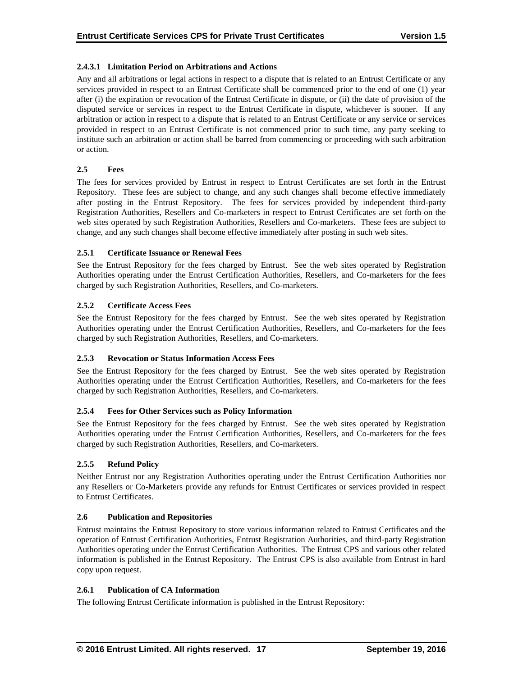## **2.4.3.1 Limitation Period on Arbitrations and Actions**

Any and all arbitrations or legal actions in respect to a dispute that is related to an Entrust Certificate or any services provided in respect to an Entrust Certificate shall be commenced prior to the end of one (1) year after (i) the expiration or revocation of the Entrust Certificate in dispute, or (ii) the date of provision of the disputed service or services in respect to the Entrust Certificate in dispute, whichever is sooner. If any arbitration or action in respect to a dispute that is related to an Entrust Certificate or any service or services provided in respect to an Entrust Certificate is not commenced prior to such time, any party seeking to institute such an arbitration or action shall be barred from commencing or proceeding with such arbitration or action.

## **2.5 Fees**

The fees for services provided by Entrust in respect to Entrust Certificates are set forth in the Entrust Repository. These fees are subject to change, and any such changes shall become effective immediately after posting in the Entrust Repository. The fees for services provided by independent third-party Registration Authorities, Resellers and Co-marketers in respect to Entrust Certificates are set forth on the web sites operated by such Registration Authorities, Resellers and Co-marketers. These fees are subject to change, and any such changes shall become effective immediately after posting in such web sites.

## **2.5.1 Certificate Issuance or Renewal Fees**

See the Entrust Repository for the fees charged by Entrust. See the web sites operated by Registration Authorities operating under the Entrust Certification Authorities, Resellers, and Co-marketers for the fees charged by such Registration Authorities, Resellers, and Co-marketers.

## **2.5.2 Certificate Access Fees**

See the Entrust Repository for the fees charged by Entrust. See the web sites operated by Registration Authorities operating under the Entrust Certification Authorities, Resellers, and Co-marketers for the fees charged by such Registration Authorities, Resellers, and Co-marketers.

#### **2.5.3 Revocation or Status Information Access Fees**

See the Entrust Repository for the fees charged by Entrust. See the web sites operated by Registration Authorities operating under the Entrust Certification Authorities, Resellers, and Co-marketers for the fees charged by such Registration Authorities, Resellers, and Co-marketers.

# **2.5.4 Fees for Other Services such as Policy Information**

See the Entrust Repository for the fees charged by Entrust. See the web sites operated by Registration Authorities operating under the Entrust Certification Authorities, Resellers, and Co-marketers for the fees charged by such Registration Authorities, Resellers, and Co-marketers.

# **2.5.5 Refund Policy**

Neither Entrust nor any Registration Authorities operating under the Entrust Certification Authorities nor any Resellers or Co-Marketers provide any refunds for Entrust Certificates or services provided in respect to Entrust Certificates.

# **2.6 Publication and Repositories**

Entrust maintains the Entrust Repository to store various information related to Entrust Certificates and the operation of Entrust Certification Authorities, Entrust Registration Authorities, and third-party Registration Authorities operating under the Entrust Certification Authorities. The Entrust CPS and various other related information is published in the Entrust Repository. The Entrust CPS is also available from Entrust in hard copy upon request.

#### **2.6.1 Publication of CA Information**

The following Entrust Certificate information is published in the Entrust Repository: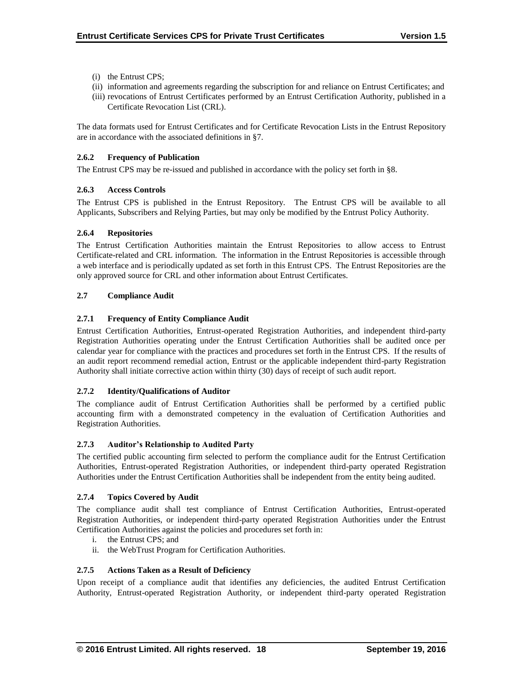- (i) the Entrust CPS;
- (ii) information and agreements regarding the subscription for and reliance on Entrust Certificates; and
- (iii) revocations of Entrust Certificates performed by an Entrust Certification Authority, published in a Certificate Revocation List (CRL).

The data formats used for Entrust Certificates and for Certificate Revocation Lists in the Entrust Repository are in accordance with the associated definitions in §7.

## **2.6.2 Frequency of Publication**

The Entrust CPS may be re-issued and published in accordance with the policy set forth in §8.

## **2.6.3 Access Controls**

The Entrust CPS is published in the Entrust Repository. The Entrust CPS will be available to all Applicants, Subscribers and Relying Parties, but may only be modified by the Entrust Policy Authority.

#### **2.6.4 Repositories**

The Entrust Certification Authorities maintain the Entrust Repositories to allow access to Entrust Certificate-related and CRL information. The information in the Entrust Repositories is accessible through a web interface and is periodically updated as set forth in this Entrust CPS. The Entrust Repositories are the only approved source for CRL and other information about Entrust Certificates.

## **2.7 Compliance Audit**

## **2.7.1 Frequency of Entity Compliance Audit**

Entrust Certification Authorities, Entrust-operated Registration Authorities, and independent third-party Registration Authorities operating under the Entrust Certification Authorities shall be audited once per calendar year for compliance with the practices and procedures set forth in the Entrust CPS. If the results of an audit report recommend remedial action, Entrust or the applicable independent third-party Registration Authority shall initiate corrective action within thirty (30) days of receipt of such audit report.

#### **2.7.2 Identity/Qualifications of Auditor**

The compliance audit of Entrust Certification Authorities shall be performed by a certified public accounting firm with a demonstrated competency in the evaluation of Certification Authorities and Registration Authorities.

#### **2.7.3 Auditor's Relationship to Audited Party**

The certified public accounting firm selected to perform the compliance audit for the Entrust Certification Authorities, Entrust-operated Registration Authorities, or independent third-party operated Registration Authorities under the Entrust Certification Authorities shall be independent from the entity being audited.

#### **2.7.4 Topics Covered by Audit**

The compliance audit shall test compliance of Entrust Certification Authorities, Entrust-operated Registration Authorities, or independent third-party operated Registration Authorities under the Entrust Certification Authorities against the policies and procedures set forth in:

- i. the Entrust CPS; and
- ii. the WebTrust Program for Certification Authorities.

#### **2.7.5 Actions Taken as a Result of Deficiency**

Upon receipt of a compliance audit that identifies any deficiencies, the audited Entrust Certification Authority, Entrust-operated Registration Authority, or independent third-party operated Registration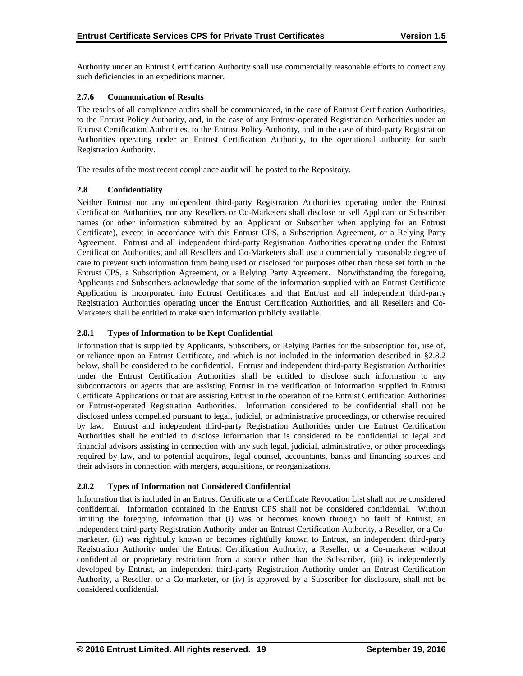Authority under an Entrust Certification Authority shall use commercially reasonable efforts to correct any such deficiencies in an expeditious manner.

## **2.7.6 Communication of Results**

The results of all compliance audits shall be communicated, in the case of Entrust Certification Authorities, to the Entrust Policy Authority, and, in the case of any Entrust-operated Registration Authorities under an Entrust Certification Authorities, to the Entrust Policy Authority, and in the case of third-party Registration Authorities operating under an Entrust Certification Authority, to the operational authority for such Registration Authority.

The results of the most recent compliance audit will be posted to the Repository.

## **2.8 Confidentiality**

Neither Entrust nor any independent third-party Registration Authorities operating under the Entrust Certification Authorities, nor any Resellers or Co-Marketers shall disclose or sell Applicant or Subscriber names (or other information submitted by an Applicant or Subscriber when applying for an Entrust Certificate), except in accordance with this Entrust CPS, a Subscription Agreement, or a Relying Party Agreement. Entrust and all independent third-party Registration Authorities operating under the Entrust Certification Authorities, and all Resellers and Co-Marketers shall use a commercially reasonable degree of care to prevent such information from being used or disclosed for purposes other than those set forth in the Entrust CPS, a Subscription Agreement, or a Relying Party Agreement. Notwithstanding the foregoing, Applicants and Subscribers acknowledge that some of the information supplied with an Entrust Certificate Application is incorporated into Entrust Certificates and that Entrust and all independent third-party Registration Authorities operating under the Entrust Certification Authorities, and all Resellers and Co-Marketers shall be entitled to make such information publicly available.

## **2.8.1 Types of Information to be Kept Confidential**

Information that is supplied by Applicants, Subscribers, or Relying Parties for the subscription for, use of, or reliance upon an Entrust Certificate, and which is not included in the information described in §2.8.2 below, shall be considered to be confidential. Entrust and independent third-party Registration Authorities under the Entrust Certification Authorities shall be entitled to disclose such information to any subcontractors or agents that are assisting Entrust in the verification of information supplied in Entrust Certificate Applications or that are assisting Entrust in the operation of the Entrust Certification Authorities or Entrust-operated Registration Authorities. Information considered to be confidential shall not be disclosed unless compelled pursuant to legal, judicial, or administrative proceedings, or otherwise required by law. Entrust and independent third-party Registration Authorities under the Entrust Certification Authorities shall be entitled to disclose information that is considered to be confidential to legal and financial advisors assisting in connection with any such legal, judicial, administrative, or other proceedings required by law, and to potential acquirors, legal counsel, accountants, banks and financing sources and their advisors in connection with mergers, acquisitions, or reorganizations.

# **2.8.2 Types of Information not Considered Confidential**

Information that is included in an Entrust Certificate or a Certificate Revocation List shall not be considered confidential. Information contained in the Entrust CPS shall not be considered confidential. Without limiting the foregoing, information that (i) was or becomes known through no fault of Entrust, an independent third-party Registration Authority under an Entrust Certification Authority, a Reseller, or a Comarketer, (ii) was rightfully known or becomes rightfully known to Entrust, an independent third-party Registration Authority under the Entrust Certification Authority, a Reseller, or a Co-marketer without confidential or proprietary restriction from a source other than the Subscriber, (iii) is independently developed by Entrust, an independent third-party Registration Authority under an Entrust Certification Authority, a Reseller, or a Co-marketer, or (iv) is approved by a Subscriber for disclosure, shall not be considered confidential.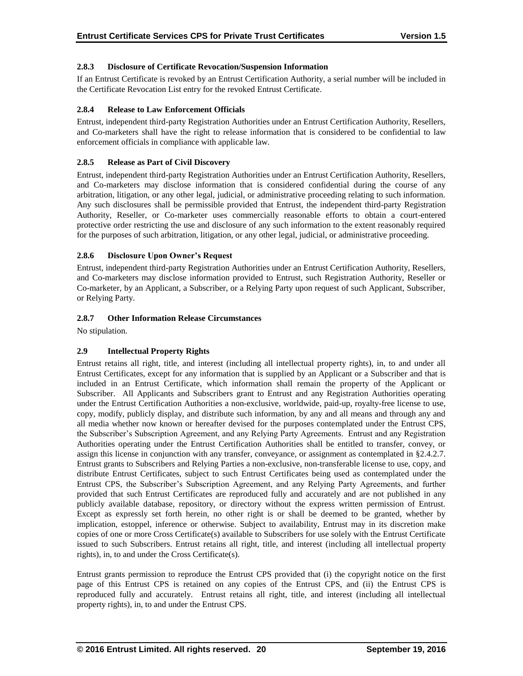## **2.8.3 Disclosure of Certificate Revocation/Suspension Information**

If an Entrust Certificate is revoked by an Entrust Certification Authority, a serial number will be included in the Certificate Revocation List entry for the revoked Entrust Certificate.

## **2.8.4 Release to Law Enforcement Officials**

Entrust, independent third-party Registration Authorities under an Entrust Certification Authority, Resellers, and Co-marketers shall have the right to release information that is considered to be confidential to law enforcement officials in compliance with applicable law.

## **2.8.5 Release as Part of Civil Discovery**

Entrust, independent third-party Registration Authorities under an Entrust Certification Authority, Resellers, and Co-marketers may disclose information that is considered confidential during the course of any arbitration, litigation, or any other legal, judicial, or administrative proceeding relating to such information. Any such disclosures shall be permissible provided that Entrust, the independent third-party Registration Authority, Reseller, or Co-marketer uses commercially reasonable efforts to obtain a court-entered protective order restricting the use and disclosure of any such information to the extent reasonably required for the purposes of such arbitration, litigation, or any other legal, judicial, or administrative proceeding.

## **2.8.6 Disclosure Upon Owner's Request**

Entrust, independent third-party Registration Authorities under an Entrust Certification Authority, Resellers, and Co-marketers may disclose information provided to Entrust, such Registration Authority, Reseller or Co-marketer, by an Applicant, a Subscriber, or a Relying Party upon request of such Applicant, Subscriber, or Relying Party.

## **2.8.7 Other Information Release Circumstances**

No stipulation.

# **2.9 Intellectual Property Rights**

Entrust retains all right, title, and interest (including all intellectual property rights), in, to and under all Entrust Certificates, except for any information that is supplied by an Applicant or a Subscriber and that is included in an Entrust Certificate, which information shall remain the property of the Applicant or Subscriber. All Applicants and Subscribers grant to Entrust and any Registration Authorities operating under the Entrust Certification Authorities a non-exclusive, worldwide, paid-up, royalty-free license to use, copy, modify, publicly display, and distribute such information, by any and all means and through any and all media whether now known or hereafter devised for the purposes contemplated under the Entrust CPS, the Subscriber's Subscription Agreement, and any Relying Party Agreements. Entrust and any Registration Authorities operating under the Entrust Certification Authorities shall be entitled to transfer, convey, or assign this license in conjunction with any transfer, conveyance, or assignment as contemplated in §2.4.2.7. Entrust grants to Subscribers and Relying Parties a non-exclusive, non-transferable license to use, copy, and distribute Entrust Certificates, subject to such Entrust Certificates being used as contemplated under the Entrust CPS, the Subscriber's Subscription Agreement, and any Relying Party Agreements, and further provided that such Entrust Certificates are reproduced fully and accurately and are not published in any publicly available database, repository, or directory without the express written permission of Entrust. Except as expressly set forth herein, no other right is or shall be deemed to be granted, whether by implication, estoppel, inference or otherwise. Subject to availability, Entrust may in its discretion make copies of one or more Cross Certificate(s) available to Subscribers for use solely with the Entrust Certificate issued to such Subscribers. Entrust retains all right, title, and interest (including all intellectual property rights), in, to and under the Cross Certificate(s).

Entrust grants permission to reproduce the Entrust CPS provided that (i) the copyright notice on the first page of this Entrust CPS is retained on any copies of the Entrust CPS, and (ii) the Entrust CPS is reproduced fully and accurately. Entrust retains all right, title, and interest (including all intellectual property rights), in, to and under the Entrust CPS.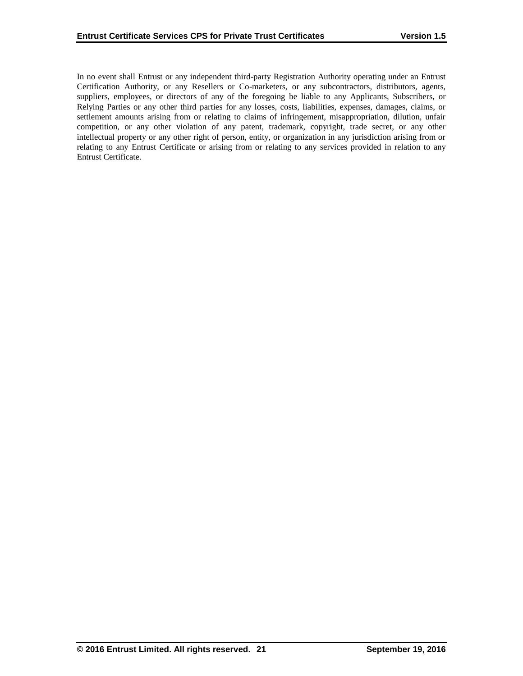In no event shall Entrust or any independent third-party Registration Authority operating under an Entrust Certification Authority, or any Resellers or Co-marketers, or any subcontractors, distributors, agents, suppliers, employees, or directors of any of the foregoing be liable to any Applicants, Subscribers, or Relying Parties or any other third parties for any losses, costs, liabilities, expenses, damages, claims, or settlement amounts arising from or relating to claims of infringement, misappropriation, dilution, unfair competition, or any other violation of any patent, trademark, copyright, trade secret, or any other intellectual property or any other right of person, entity, or organization in any jurisdiction arising from or relating to any Entrust Certificate or arising from or relating to any services provided in relation to any Entrust Certificate.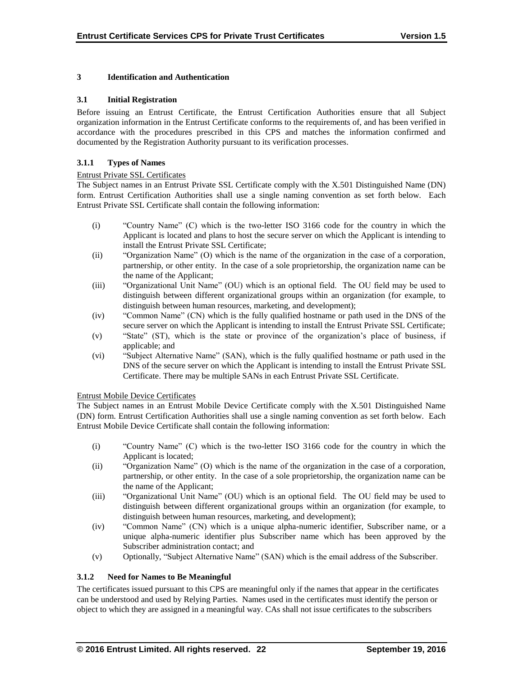## **3 Identification and Authentication**

#### **3.1 Initial Registration**

Before issuing an Entrust Certificate, the Entrust Certification Authorities ensure that all Subject organization information in the Entrust Certificate conforms to the requirements of, and has been verified in accordance with the procedures prescribed in this CPS and matches the information confirmed and documented by the Registration Authority pursuant to its verification processes.

#### **3.1.1 Types of Names**

#### Entrust Private SSL Certificates

The Subject names in an Entrust Private SSL Certificate comply with the X.501 Distinguished Name (DN) form. Entrust Certification Authorities shall use a single naming convention as set forth below. Each Entrust Private SSL Certificate shall contain the following information:

- (i) "Country Name" (C) which is the two-letter ISO 3166 code for the country in which the Applicant is located and plans to host the secure server on which the Applicant is intending to install the Entrust Private SSL Certificate;
- (ii) "Organization Name" (O) which is the name of the organization in the case of a corporation, partnership, or other entity. In the case of a sole proprietorship, the organization name can be the name of the Applicant;
- (iii) "Organizational Unit Name" (OU) which is an optional field. The OU field may be used to distinguish between different organizational groups within an organization (for example, to distinguish between human resources, marketing, and development);
- (iv) "Common Name" (CN) which is the fully qualified hostname or path used in the DNS of the secure server on which the Applicant is intending to install the Entrust Private SSL Certificate;
- (v) "State" (ST), which is the state or province of the organization's place of business, if applicable; and
- (vi) "Subject Alternative Name" (SAN), which is the fully qualified hostname or path used in the DNS of the secure server on which the Applicant is intending to install the Entrust Private SSL Certificate. There may be multiple SANs in each Entrust Private SSL Certificate.

#### Entrust Mobile Device Certificates

The Subject names in an Entrust Mobile Device Certificate comply with the X.501 Distinguished Name (DN) form. Entrust Certification Authorities shall use a single naming convention as set forth below. Each Entrust Mobile Device Certificate shall contain the following information:

- (i) "Country Name" (C) which is the two-letter ISO 3166 code for the country in which the Applicant is located;
- (ii) "Organization Name" (O) which is the name of the organization in the case of a corporation, partnership, or other entity. In the case of a sole proprietorship, the organization name can be the name of the Applicant;
- (iii) "Organizational Unit Name" (OU) which is an optional field. The OU field may be used to distinguish between different organizational groups within an organization (for example, to distinguish between human resources, marketing, and development);
- (iv) "Common Name" (CN) which is a unique alpha-numeric identifier, Subscriber name, or a unique alpha-numeric identifier plus Subscriber name which has been approved by the Subscriber administration contact; and
- (v) Optionally, "Subject Alternative Name" (SAN) which is the email address of the Subscriber.

### **3.1.2 Need for Names to Be Meaningful**

The certificates issued pursuant to this CPS are meaningful only if the names that appear in the certificates can be understood and used by Relying Parties. Names used in the certificates must identify the person or object to which they are assigned in a meaningful way. CAs shall not issue certificates to the subscribers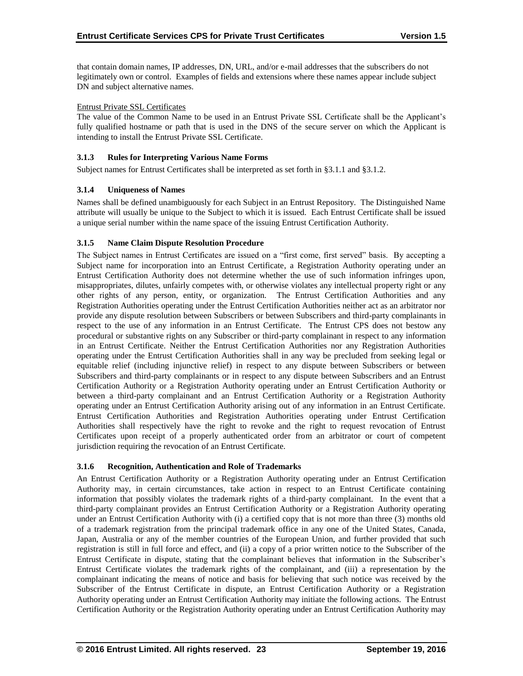that contain domain names, IP addresses, DN, URL, and/or e-mail addresses that the subscribers do not legitimately own or control. Examples of fields and extensions where these names appear include subject DN and subject alternative names.

#### Entrust Private SSL Certificates

The value of the Common Name to be used in an Entrust Private SSL Certificate shall be the Applicant's fully qualified hostname or path that is used in the DNS of the secure server on which the Applicant is intending to install the Entrust Private SSL Certificate.

#### **3.1.3 Rules for Interpreting Various Name Forms**

Subject names for Entrust Certificates shall be interpreted as set forth in §3.1.1 and §3.1.2.

#### **3.1.4 Uniqueness of Names**

Names shall be defined unambiguously for each Subject in an Entrust Repository. The Distinguished Name attribute will usually be unique to the Subject to which it is issued. Each Entrust Certificate shall be issued a unique serial number within the name space of the issuing Entrust Certification Authority.

#### **3.1.5 Name Claim Dispute Resolution Procedure**

The Subject names in Entrust Certificates are issued on a "first come, first served" basis. By accepting a Subject name for incorporation into an Entrust Certificate, a Registration Authority operating under an Entrust Certification Authority does not determine whether the use of such information infringes upon, misappropriates, dilutes, unfairly competes with, or otherwise violates any intellectual property right or any other rights of any person, entity, or organization. The Entrust Certification Authorities and any Registration Authorities operating under the Entrust Certification Authorities neither act as an arbitrator nor provide any dispute resolution between Subscribers or between Subscribers and third-party complainants in respect to the use of any information in an Entrust Certificate. The Entrust CPS does not bestow any procedural or substantive rights on any Subscriber or third-party complainant in respect to any information in an Entrust Certificate. Neither the Entrust Certification Authorities nor any Registration Authorities operating under the Entrust Certification Authorities shall in any way be precluded from seeking legal or equitable relief (including injunctive relief) in respect to any dispute between Subscribers or between Subscribers and third-party complainants or in respect to any dispute between Subscribers and an Entrust Certification Authority or a Registration Authority operating under an Entrust Certification Authority or between a third-party complainant and an Entrust Certification Authority or a Registration Authority operating under an Entrust Certification Authority arising out of any information in an Entrust Certificate. Entrust Certification Authorities and Registration Authorities operating under Entrust Certification Authorities shall respectively have the right to revoke and the right to request revocation of Entrust Certificates upon receipt of a properly authenticated order from an arbitrator or court of competent jurisdiction requiring the revocation of an Entrust Certificate.

#### **3.1.6 Recognition, Authentication and Role of Trademarks**

An Entrust Certification Authority or a Registration Authority operating under an Entrust Certification Authority may, in certain circumstances, take action in respect to an Entrust Certificate containing information that possibly violates the trademark rights of a third-party complainant. In the event that a third-party complainant provides an Entrust Certification Authority or a Registration Authority operating under an Entrust Certification Authority with (i) a certified copy that is not more than three (3) months old of a trademark registration from the principal trademark office in any one of the United States, Canada, Japan, Australia or any of the member countries of the European Union, and further provided that such registration is still in full force and effect, and (ii) a copy of a prior written notice to the Subscriber of the Entrust Certificate in dispute, stating that the complainant believes that information in the Subscriber's Entrust Certificate violates the trademark rights of the complainant, and (iii) a representation by the complainant indicating the means of notice and basis for believing that such notice was received by the Subscriber of the Entrust Certificate in dispute, an Entrust Certification Authority or a Registration Authority operating under an Entrust Certification Authority may initiate the following actions. The Entrust Certification Authority or the Registration Authority operating under an Entrust Certification Authority may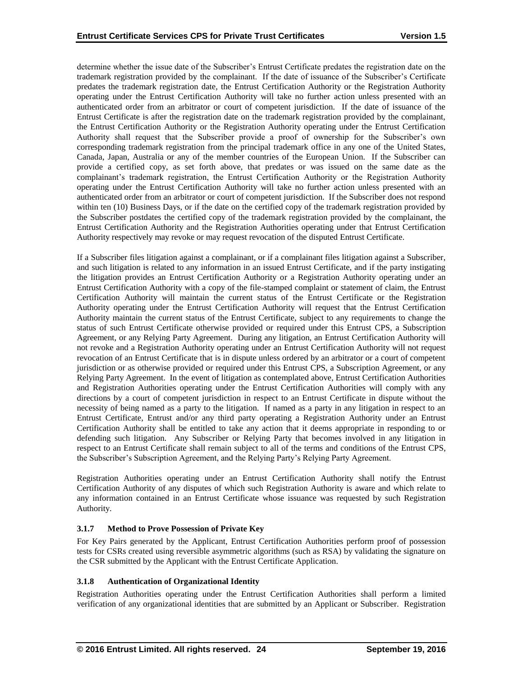determine whether the issue date of the Subscriber's Entrust Certificate predates the registration date on the trademark registration provided by the complainant. If the date of issuance of the Subscriber's Certificate predates the trademark registration date, the Entrust Certification Authority or the Registration Authority operating under the Entrust Certification Authority will take no further action unless presented with an authenticated order from an arbitrator or court of competent jurisdiction. If the date of issuance of the Entrust Certificate is after the registration date on the trademark registration provided by the complainant, the Entrust Certification Authority or the Registration Authority operating under the Entrust Certification Authority shall request that the Subscriber provide a proof of ownership for the Subscriber's own corresponding trademark registration from the principal trademark office in any one of the United States, Canada, Japan, Australia or any of the member countries of the European Union. If the Subscriber can provide a certified copy, as set forth above, that predates or was issued on the same date as the complainant's trademark registration, the Entrust Certification Authority or the Registration Authority operating under the Entrust Certification Authority will take no further action unless presented with an authenticated order from an arbitrator or court of competent jurisdiction. If the Subscriber does not respond within ten (10) Business Days, or if the date on the certified copy of the trademark registration provided by the Subscriber postdates the certified copy of the trademark registration provided by the complainant, the Entrust Certification Authority and the Registration Authorities operating under that Entrust Certification Authority respectively may revoke or may request revocation of the disputed Entrust Certificate.

If a Subscriber files litigation against a complainant, or if a complainant files litigation against a Subscriber, and such litigation is related to any information in an issued Entrust Certificate, and if the party instigating the litigation provides an Entrust Certification Authority or a Registration Authority operating under an Entrust Certification Authority with a copy of the file-stamped complaint or statement of claim, the Entrust Certification Authority will maintain the current status of the Entrust Certificate or the Registration Authority operating under the Entrust Certification Authority will request that the Entrust Certification Authority maintain the current status of the Entrust Certificate, subject to any requirements to change the status of such Entrust Certificate otherwise provided or required under this Entrust CPS, a Subscription Agreement, or any Relying Party Agreement. During any litigation, an Entrust Certification Authority will not revoke and a Registration Authority operating under an Entrust Certification Authority will not request revocation of an Entrust Certificate that is in dispute unless ordered by an arbitrator or a court of competent jurisdiction or as otherwise provided or required under this Entrust CPS, a Subscription Agreement, or any Relying Party Agreement. In the event of litigation as contemplated above, Entrust Certification Authorities and Registration Authorities operating under the Entrust Certification Authorities will comply with any directions by a court of competent jurisdiction in respect to an Entrust Certificate in dispute without the necessity of being named as a party to the litigation. If named as a party in any litigation in respect to an Entrust Certificate, Entrust and/or any third party operating a Registration Authority under an Entrust Certification Authority shall be entitled to take any action that it deems appropriate in responding to or defending such litigation. Any Subscriber or Relying Party that becomes involved in any litigation in respect to an Entrust Certificate shall remain subject to all of the terms and conditions of the Entrust CPS, the Subscriber's Subscription Agreement, and the Relying Party's Relying Party Agreement.

Registration Authorities operating under an Entrust Certification Authority shall notify the Entrust Certification Authority of any disputes of which such Registration Authority is aware and which relate to any information contained in an Entrust Certificate whose issuance was requested by such Registration Authority.

# **3.1.7 Method to Prove Possession of Private Key**

For Key Pairs generated by the Applicant, Entrust Certification Authorities perform proof of possession tests for CSRs created using reversible asymmetric algorithms (such as RSA) by validating the signature on the CSR submitted by the Applicant with the Entrust Certificate Application.

#### **3.1.8 Authentication of Organizational Identity**

Registration Authorities operating under the Entrust Certification Authorities shall perform a limited verification of any organizational identities that are submitted by an Applicant or Subscriber. Registration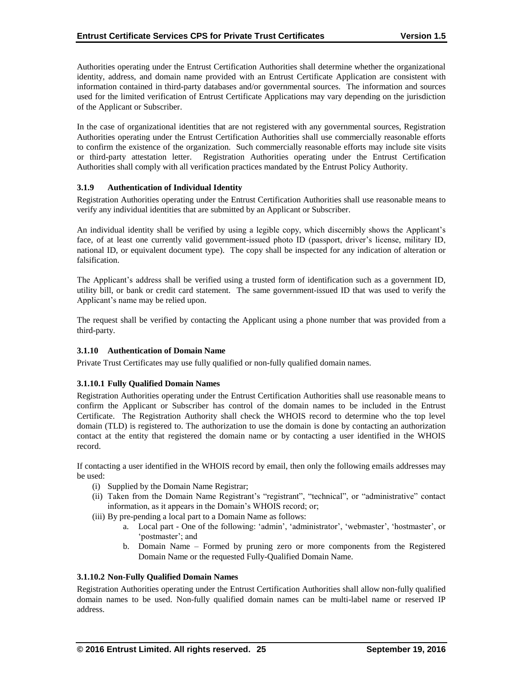Authorities operating under the Entrust Certification Authorities shall determine whether the organizational identity, address, and domain name provided with an Entrust Certificate Application are consistent with information contained in third-party databases and/or governmental sources. The information and sources used for the limited verification of Entrust Certificate Applications may vary depending on the jurisdiction of the Applicant or Subscriber.

In the case of organizational identities that are not registered with any governmental sources, Registration Authorities operating under the Entrust Certification Authorities shall use commercially reasonable efforts to confirm the existence of the organization. Such commercially reasonable efforts may include site visits or third-party attestation letter. Registration Authorities operating under the Entrust Certification Authorities shall comply with all verification practices mandated by the Entrust Policy Authority.

#### **3.1.9 Authentication of Individual Identity**

Registration Authorities operating under the Entrust Certification Authorities shall use reasonable means to verify any individual identities that are submitted by an Applicant or Subscriber.

An individual identity shall be verified by using a legible copy, which discernibly shows the Applicant's face, of at least one currently valid government-issued photo ID (passport, driver's license, military ID, national ID, or equivalent document type). The copy shall be inspected for any indication of alteration or falsification.

The Applicant's address shall be verified using a trusted form of identification such as a government ID, utility bill, or bank or credit card statement. The same government-issued ID that was used to verify the Applicant's name may be relied upon.

The request shall be verified by contacting the Applicant using a phone number that was provided from a third-party.

#### **3.1.10 Authentication of Domain Name**

Private Trust Certificates may use fully qualified or non-fully qualified domain names.

#### **3.1.10.1 Fully Qualified Domain Names**

Registration Authorities operating under the Entrust Certification Authorities shall use reasonable means to confirm the Applicant or Subscriber has control of the domain names to be included in the Entrust Certificate. The Registration Authority shall check the WHOIS record to determine who the top level domain (TLD) is registered to. The authorization to use the domain is done by contacting an authorization contact at the entity that registered the domain name or by contacting a user identified in the WHOIS record.

If contacting a user identified in the WHOIS record by email, then only the following emails addresses may be used:

- (i) Supplied by the Domain Name Registrar;
- (ii) Taken from the Domain Name Registrant's "registrant", "technical", or "administrative" contact information, as it appears in the Domain's WHOIS record; or;
- (iii) By pre-pending a local part to a Domain Name as follows:
	- a. Local part One of the following: 'admin', 'administrator', 'webmaster', 'hostmaster', or 'postmaster'; and
	- b. Domain Name Formed by pruning zero or more components from the Registered Domain Name or the requested Fully-Qualified Domain Name.

### **3.1.10.2 Non-Fully Qualified Domain Names**

Registration Authorities operating under the Entrust Certification Authorities shall allow non-fully qualified domain names to be used. Non-fully qualified domain names can be multi-label name or reserved IP address.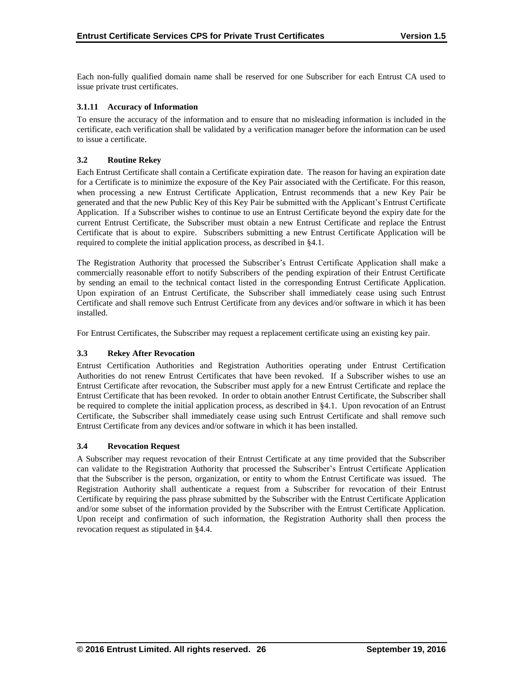Each non-fully qualified domain name shall be reserved for one Subscriber for each Entrust CA used to issue private trust certificates.

## **3.1.11 Accuracy of Information**

To ensure the accuracy of the information and to ensure that no misleading information is included in the certificate, each verification shall be validated by a verification manager before the information can be used to issue a certificate.

## **3.2 Routine Rekey**

Each Entrust Certificate shall contain a Certificate expiration date. The reason for having an expiration date for a Certificate is to minimize the exposure of the Key Pair associated with the Certificate. For this reason, when processing a new Entrust Certificate Application, Entrust recommends that a new Key Pair be generated and that the new Public Key of this Key Pair be submitted with the Applicant's Entrust Certificate Application. If a Subscriber wishes to continue to use an Entrust Certificate beyond the expiry date for the current Entrust Certificate, the Subscriber must obtain a new Entrust Certificate and replace the Entrust Certificate that is about to expire. Subscribers submitting a new Entrust Certificate Application will be required to complete the initial application process, as described in §4.1.

The Registration Authority that processed the Subscriber's Entrust Certificate Application shall make a commercially reasonable effort to notify Subscribers of the pending expiration of their Entrust Certificate by sending an email to the technical contact listed in the corresponding Entrust Certificate Application. Upon expiration of an Entrust Certificate, the Subscriber shall immediately cease using such Entrust Certificate and shall remove such Entrust Certificate from any devices and/or software in which it has been installed.

For Entrust Certificates, the Subscriber may request a replacement certificate using an existing key pair.

#### **3.3 Rekey After Revocation**

Entrust Certification Authorities and Registration Authorities operating under Entrust Certification Authorities do not renew Entrust Certificates that have been revoked. If a Subscriber wishes to use an Entrust Certificate after revocation, the Subscriber must apply for a new Entrust Certificate and replace the Entrust Certificate that has been revoked. In order to obtain another Entrust Certificate, the Subscriber shall be required to complete the initial application process, as described in §4.1. Upon revocation of an Entrust Certificate, the Subscriber shall immediately cease using such Entrust Certificate and shall remove such Entrust Certificate from any devices and/or software in which it has been installed.

#### **3.4 Revocation Request**

A Subscriber may request revocation of their Entrust Certificate at any time provided that the Subscriber can validate to the Registration Authority that processed the Subscriber's Entrust Certificate Application that the Subscriber is the person, organization, or entity to whom the Entrust Certificate was issued. The Registration Authority shall authenticate a request from a Subscriber for revocation of their Entrust Certificate by requiring the pass phrase submitted by the Subscriber with the Entrust Certificate Application and/or some subset of the information provided by the Subscriber with the Entrust Certificate Application. Upon receipt and confirmation of such information, the Registration Authority shall then process the revocation request as stipulated in §4.4.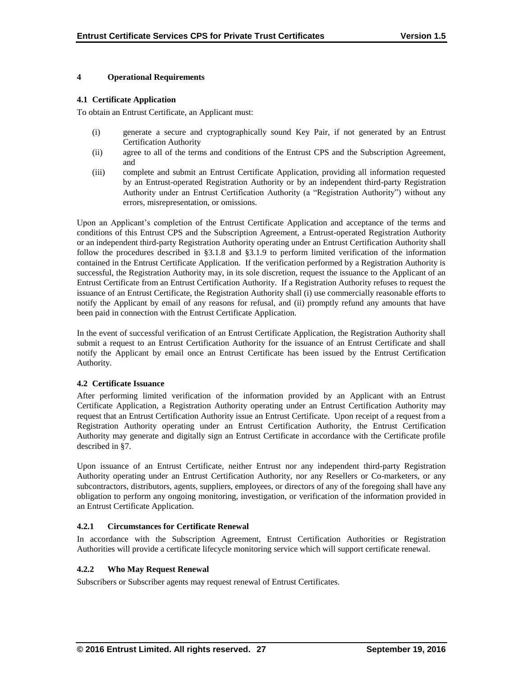#### **4 Operational Requirements**

#### **4.1 Certificate Application**

To obtain an Entrust Certificate, an Applicant must:

- (i) generate a secure and cryptographically sound Key Pair, if not generated by an Entrust Certification Authority
- (ii) agree to all of the terms and conditions of the Entrust CPS and the Subscription Agreement, and
- (iii) complete and submit an Entrust Certificate Application, providing all information requested by an Entrust-operated Registration Authority or by an independent third-party Registration Authority under an Entrust Certification Authority (a "Registration Authority") without any errors, misrepresentation, or omissions.

Upon an Applicant's completion of the Entrust Certificate Application and acceptance of the terms and conditions of this Entrust CPS and the Subscription Agreement, a Entrust-operated Registration Authority or an independent third-party Registration Authority operating under an Entrust Certification Authority shall follow the procedures described in §3.1.8 and §3.1.9 to perform limited verification of the information contained in the Entrust Certificate Application. If the verification performed by a Registration Authority is successful, the Registration Authority may, in its sole discretion, request the issuance to the Applicant of an Entrust Certificate from an Entrust Certification Authority. If a Registration Authority refuses to request the issuance of an Entrust Certificate, the Registration Authority shall (i) use commercially reasonable efforts to notify the Applicant by email of any reasons for refusal, and (ii) promptly refund any amounts that have been paid in connection with the Entrust Certificate Application.

In the event of successful verification of an Entrust Certificate Application, the Registration Authority shall submit a request to an Entrust Certification Authority for the issuance of an Entrust Certificate and shall notify the Applicant by email once an Entrust Certificate has been issued by the Entrust Certification Authority.

#### **4.2 Certificate Issuance**

After performing limited verification of the information provided by an Applicant with an Entrust Certificate Application, a Registration Authority operating under an Entrust Certification Authority may request that an Entrust Certification Authority issue an Entrust Certificate. Upon receipt of a request from a Registration Authority operating under an Entrust Certification Authority, the Entrust Certification Authority may generate and digitally sign an Entrust Certificate in accordance with the Certificate profile described in §7.

Upon issuance of an Entrust Certificate, neither Entrust nor any independent third-party Registration Authority operating under an Entrust Certification Authority, nor any Resellers or Co-marketers, or any subcontractors, distributors, agents, suppliers, employees, or directors of any of the foregoing shall have any obligation to perform any ongoing monitoring, investigation, or verification of the information provided in an Entrust Certificate Application.

## **4.2.1 Circumstances for Certificate Renewal**

In accordance with the Subscription Agreement, Entrust Certification Authorities or Registration Authorities will provide a certificate lifecycle monitoring service which will support certificate renewal.

#### **4.2.2 Who May Request Renewal**

Subscribers or Subscriber agents may request renewal of Entrust Certificates.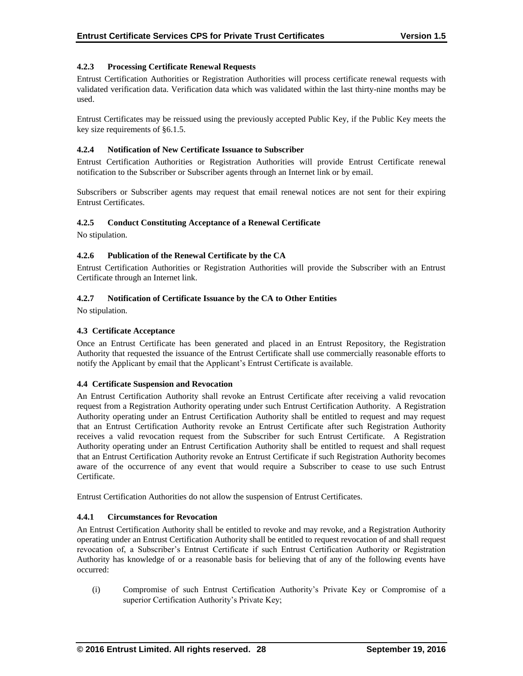## **4.2.3 Processing Certificate Renewal Requests**

Entrust Certification Authorities or Registration Authorities will process certificate renewal requests with validated verification data. Verification data which was validated within the last thirty-nine months may be used.

Entrust Certificates may be reissued using the previously accepted Public Key, if the Public Key meets the key size requirements of §6.1.5.

#### **4.2.4 Notification of New Certificate Issuance to Subscriber**

Entrust Certification Authorities or Registration Authorities will provide Entrust Certificate renewal notification to the Subscriber or Subscriber agents through an Internet link or by email.

Subscribers or Subscriber agents may request that email renewal notices are not sent for their expiring Entrust Certificates.

## **4.2.5 Conduct Constituting Acceptance of a Renewal Certificate**

No stipulation.

#### **4.2.6 Publication of the Renewal Certificate by the CA**

Entrust Certification Authorities or Registration Authorities will provide the Subscriber with an Entrust Certificate through an Internet link.

#### **4.2.7 Notification of Certificate Issuance by the CA to Other Entities**

No stipulation.

## **4.3 Certificate Acceptance**

Once an Entrust Certificate has been generated and placed in an Entrust Repository, the Registration Authority that requested the issuance of the Entrust Certificate shall use commercially reasonable efforts to notify the Applicant by email that the Applicant's Entrust Certificate is available.

#### **4.4 Certificate Suspension and Revocation**

An Entrust Certification Authority shall revoke an Entrust Certificate after receiving a valid revocation request from a Registration Authority operating under such Entrust Certification Authority. A Registration Authority operating under an Entrust Certification Authority shall be entitled to request and may request that an Entrust Certification Authority revoke an Entrust Certificate after such Registration Authority receives a valid revocation request from the Subscriber for such Entrust Certificate. A Registration Authority operating under an Entrust Certification Authority shall be entitled to request and shall request that an Entrust Certification Authority revoke an Entrust Certificate if such Registration Authority becomes aware of the occurrence of any event that would require a Subscriber to cease to use such Entrust Certificate.

Entrust Certification Authorities do not allow the suspension of Entrust Certificates.

## **4.4.1 Circumstances for Revocation**

An Entrust Certification Authority shall be entitled to revoke and may revoke, and a Registration Authority operating under an Entrust Certification Authority shall be entitled to request revocation of and shall request revocation of, a Subscriber's Entrust Certificate if such Entrust Certification Authority or Registration Authority has knowledge of or a reasonable basis for believing that of any of the following events have occurred:

(i) Compromise of such Entrust Certification Authority's Private Key or Compromise of a superior Certification Authority's Private Key;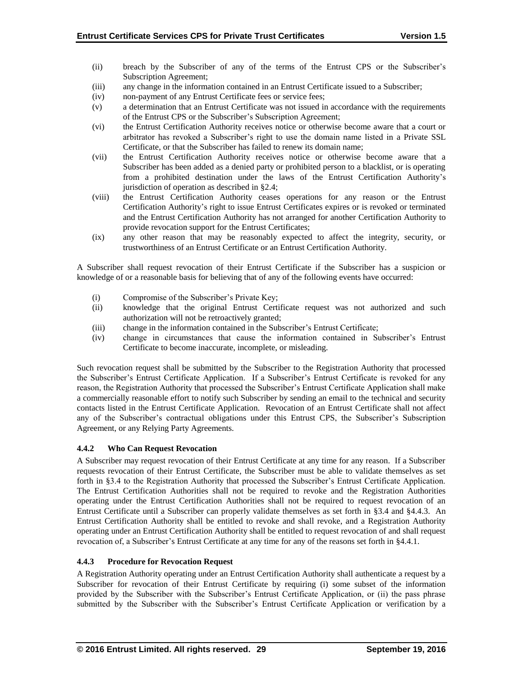- (ii) breach by the Subscriber of any of the terms of the Entrust CPS or the Subscriber's Subscription Agreement;
- (iii) any change in the information contained in an Entrust Certificate issued to a Subscriber;
- (iv) non-payment of any Entrust Certificate fees or service fees;
- (v) a determination that an Entrust Certificate was not issued in accordance with the requirements of the Entrust CPS or the Subscriber's Subscription Agreement;
- (vi) the Entrust Certification Authority receives notice or otherwise become aware that a court or arbitrator has revoked a Subscriber's right to use the domain name listed in a Private SSL Certificate, or that the Subscriber has failed to renew its domain name;
- (vii) the Entrust Certification Authority receives notice or otherwise become aware that a Subscriber has been added as a denied party or prohibited person to a blacklist, or is operating from a prohibited destination under the laws of the Entrust Certification Authority's jurisdiction of operation as described in §2.4;
- (viii) the Entrust Certification Authority ceases operations for any reason or the Entrust Certification Authority's right to issue Entrust Certificates expires or is revoked or terminated and the Entrust Certification Authority has not arranged for another Certification Authority to provide revocation support for the Entrust Certificates;
- (ix) any other reason that may be reasonably expected to affect the integrity, security, or trustworthiness of an Entrust Certificate or an Entrust Certification Authority.

A Subscriber shall request revocation of their Entrust Certificate if the Subscriber has a suspicion or knowledge of or a reasonable basis for believing that of any of the following events have occurred:

- (i) Compromise of the Subscriber's Private Key;
- (ii) knowledge that the original Entrust Certificate request was not authorized and such authorization will not be retroactively granted;
- (iii) change in the information contained in the Subscriber's Entrust Certificate;
- (iv) change in circumstances that cause the information contained in Subscriber's Entrust Certificate to become inaccurate, incomplete, or misleading.

Such revocation request shall be submitted by the Subscriber to the Registration Authority that processed the Subscriber's Entrust Certificate Application. If a Subscriber's Entrust Certificate is revoked for any reason, the Registration Authority that processed the Subscriber's Entrust Certificate Application shall make a commercially reasonable effort to notify such Subscriber by sending an email to the technical and security contacts listed in the Entrust Certificate Application. Revocation of an Entrust Certificate shall not affect any of the Subscriber's contractual obligations under this Entrust CPS, the Subscriber's Subscription Agreement, or any Relying Party Agreements.

# **4.4.2 Who Can Request Revocation**

A Subscriber may request revocation of their Entrust Certificate at any time for any reason. If a Subscriber requests revocation of their Entrust Certificate, the Subscriber must be able to validate themselves as set forth in §3.4 to the Registration Authority that processed the Subscriber's Entrust Certificate Application. The Entrust Certification Authorities shall not be required to revoke and the Registration Authorities operating under the Entrust Certification Authorities shall not be required to request revocation of an Entrust Certificate until a Subscriber can properly validate themselves as set forth in §3.4 and §4.4.3. An Entrust Certification Authority shall be entitled to revoke and shall revoke, and a Registration Authority operating under an Entrust Certification Authority shall be entitled to request revocation of and shall request revocation of, a Subscriber's Entrust Certificate at any time for any of the reasons set forth in §4.4.1.

# **4.4.3 Procedure for Revocation Request**

A Registration Authority operating under an Entrust Certification Authority shall authenticate a request by a Subscriber for revocation of their Entrust Certificate by requiring (i) some subset of the information provided by the Subscriber with the Subscriber's Entrust Certificate Application, or (ii) the pass phrase submitted by the Subscriber with the Subscriber's Entrust Certificate Application or verification by a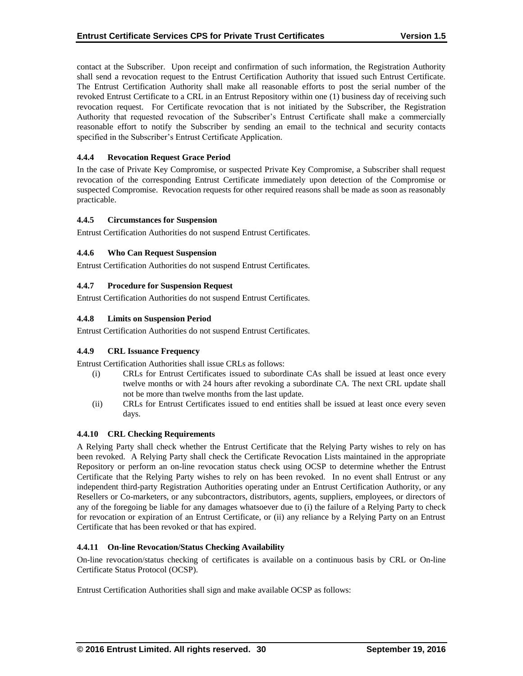contact at the Subscriber. Upon receipt and confirmation of such information, the Registration Authority shall send a revocation request to the Entrust Certification Authority that issued such Entrust Certificate. The Entrust Certification Authority shall make all reasonable efforts to post the serial number of the revoked Entrust Certificate to a CRL in an Entrust Repository within one (1) business day of receiving such revocation request. For Certificate revocation that is not initiated by the Subscriber, the Registration Authority that requested revocation of the Subscriber's Entrust Certificate shall make a commercially reasonable effort to notify the Subscriber by sending an email to the technical and security contacts specified in the Subscriber's Entrust Certificate Application.

## **4.4.4 Revocation Request Grace Period**

In the case of Private Key Compromise, or suspected Private Key Compromise, a Subscriber shall request revocation of the corresponding Entrust Certificate immediately upon detection of the Compromise or suspected Compromise. Revocation requests for other required reasons shall be made as soon as reasonably practicable.

#### **4.4.5 Circumstances for Suspension**

Entrust Certification Authorities do not suspend Entrust Certificates.

## **4.4.6 Who Can Request Suspension**

Entrust Certification Authorities do not suspend Entrust Certificates.

## **4.4.7 Procedure for Suspension Request**

Entrust Certification Authorities do not suspend Entrust Certificates.

## **4.4.8 Limits on Suspension Period**

Entrust Certification Authorities do not suspend Entrust Certificates.

#### **4.4.9 CRL Issuance Frequency**

Entrust Certification Authorities shall issue CRLs as follows:

- (i) CRLs for Entrust Certificates issued to subordinate CAs shall be issued at least once every twelve months or with 24 hours after revoking a subordinate CA. The next CRL update shall not be more than twelve months from the last update.
- (ii) CRLs for Entrust Certificates issued to end entities shall be issued at least once every seven days.

#### **4.4.10 CRL Checking Requirements**

A Relying Party shall check whether the Entrust Certificate that the Relying Party wishes to rely on has been revoked. A Relying Party shall check the Certificate Revocation Lists maintained in the appropriate Repository or perform an on-line revocation status check using OCSP to determine whether the Entrust Certificate that the Relying Party wishes to rely on has been revoked. In no event shall Entrust or any independent third-party Registration Authorities operating under an Entrust Certification Authority, or any Resellers or Co-marketers, or any subcontractors, distributors, agents, suppliers, employees, or directors of any of the foregoing be liable for any damages whatsoever due to (i) the failure of a Relying Party to check for revocation or expiration of an Entrust Certificate, or (ii) any reliance by a Relying Party on an Entrust Certificate that has been revoked or that has expired.

#### **4.4.11 On-line Revocation/Status Checking Availability**

On-line revocation/status checking of certificates is available on a continuous basis by CRL or On-line Certificate Status Protocol (OCSP).

Entrust Certification Authorities shall sign and make available OCSP as follows: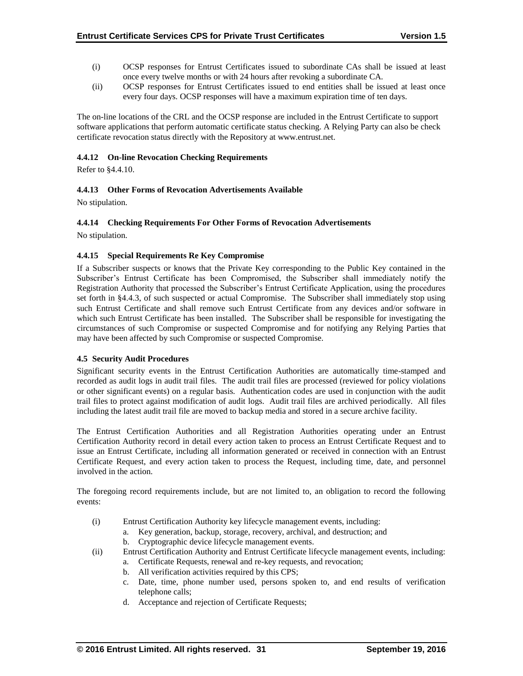- (i) OCSP responses for Entrust Certificates issued to subordinate CAs shall be issued at least once every twelve months or with 24 hours after revoking a subordinate CA.
- (ii) OCSP responses for Entrust Certificates issued to end entities shall be issued at least once every four days. OCSP responses will have a maximum expiration time of ten days.

The on-line locations of the CRL and the OCSP response are included in the Entrust Certificate to support software applications that perform automatic certificate status checking. A Relying Party can also be check certificate revocation status directly with the Repository at www.entrust.net.

## **4.4.12 On-line Revocation Checking Requirements**

Refer to §4.4.10.

## **4.4.13 Other Forms of Revocation Advertisements Available**

No stipulation.

#### **4.4.14 Checking Requirements For Other Forms of Revocation Advertisements**

No stipulation.

#### **4.4.15 Special Requirements Re Key Compromise**

If a Subscriber suspects or knows that the Private Key corresponding to the Public Key contained in the Subscriber's Entrust Certificate has been Compromised, the Subscriber shall immediately notify the Registration Authority that processed the Subscriber's Entrust Certificate Application, using the procedures set forth in §4.4.3, of such suspected or actual Compromise. The Subscriber shall immediately stop using such Entrust Certificate and shall remove such Entrust Certificate from any devices and/or software in which such Entrust Certificate has been installed. The Subscriber shall be responsible for investigating the circumstances of such Compromise or suspected Compromise and for notifying any Relying Parties that may have been affected by such Compromise or suspected Compromise.

#### **4.5 Security Audit Procedures**

Significant security events in the Entrust Certification Authorities are automatically time-stamped and recorded as audit logs in audit trail files. The audit trail files are processed (reviewed for policy violations or other significant events) on a regular basis. Authentication codes are used in conjunction with the audit trail files to protect against modification of audit logs. Audit trail files are archived periodically. All files including the latest audit trail file are moved to backup media and stored in a secure archive facility.

The Entrust Certification Authorities and all Registration Authorities operating under an Entrust Certification Authority record in detail every action taken to process an Entrust Certificate Request and to issue an Entrust Certificate, including all information generated or received in connection with an Entrust Certificate Request, and every action taken to process the Request, including time, date, and personnel involved in the action.

The foregoing record requirements include, but are not limited to, an obligation to record the following events:

- (i) Entrust Certification Authority key lifecycle management events, including:
	- a. Key generation, backup, storage, recovery, archival, and destruction; and
	- b. Cryptographic device lifecycle management events.
- (ii) Entrust Certification Authority and Entrust Certificate lifecycle management events, including:
	- a. Certificate Requests, renewal and re-key requests, and revocation;
	- b. All verification activities required by this CPS;
	- c. Date, time, phone number used, persons spoken to, and end results of verification telephone calls;
	- d. Acceptance and rejection of Certificate Requests;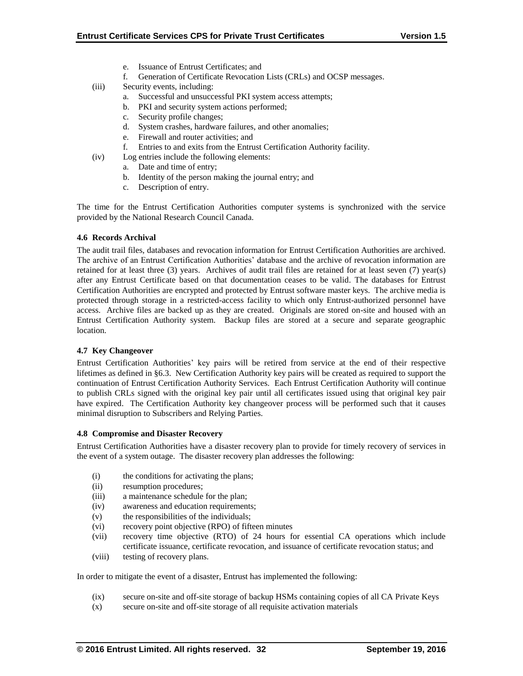- e. Issuance of Entrust Certificates; and
- f. Generation of Certificate Revocation Lists (CRLs) and OCSP messages.
- (iii) Security events, including:
	- a. Successful and unsuccessful PKI system access attempts;
	- b. PKI and security system actions performed;
	- c. Security profile changes;
	- d. System crashes, hardware failures, and other anomalies;
	- e. Firewall and router activities; and
	- f. Entries to and exits from the Entrust Certification Authority facility.
- (iv) Log entries include the following elements:
	- a. Date and time of entry;
	- b. Identity of the person making the journal entry; and
	- c. Description of entry.

The time for the Entrust Certification Authorities computer systems is synchronized with the service provided by the National Research Council Canada.

#### **4.6 Records Archival**

The audit trail files, databases and revocation information for Entrust Certification Authorities are archived. The archive of an Entrust Certification Authorities' database and the archive of revocation information are retained for at least three (3) years. Archives of audit trail files are retained for at least seven (7) year(s) after any Entrust Certificate based on that documentation ceases to be valid. The databases for Entrust Certification Authorities are encrypted and protected by Entrust software master keys. The archive media is protected through storage in a restricted-access facility to which only Entrust-authorized personnel have access. Archive files are backed up as they are created. Originals are stored on-site and housed with an Entrust Certification Authority system. Backup files are stored at a secure and separate geographic location.

#### **4.7 Key Changeover**

Entrust Certification Authorities' key pairs will be retired from service at the end of their respective lifetimes as defined in §6.3. New Certification Authority key pairs will be created as required to support the continuation of Entrust Certification Authority Services. Each Entrust Certification Authority will continue to publish CRLs signed with the original key pair until all certificates issued using that original key pair have expired. The Certification Authority key changeover process will be performed such that it causes minimal disruption to Subscribers and Relying Parties.

#### **4.8 Compromise and Disaster Recovery**

Entrust Certification Authorities have a disaster recovery plan to provide for timely recovery of services in the event of a system outage. The disaster recovery plan addresses the following:

- (i) the conditions for activating the plans;
- (ii) resumption procedures;
- (iii) a maintenance schedule for the plan;
- (iv) awareness and education requirements;
- (v) the responsibilities of the individuals;
- (vi) recovery point objective (RPO) of fifteen minutes
- (vii) recovery time objective (RTO) of 24 hours for essential CA operations which include certificate issuance, certificate revocation, and issuance of certificate revocation status; and
- (viii) testing of recovery plans.

In order to mitigate the event of a disaster, Entrust has implemented the following:

- (ix) secure on-site and off-site storage of backup HSMs containing copies of all CA Private Keys
- (x) secure on-site and off-site storage of all requisite activation materials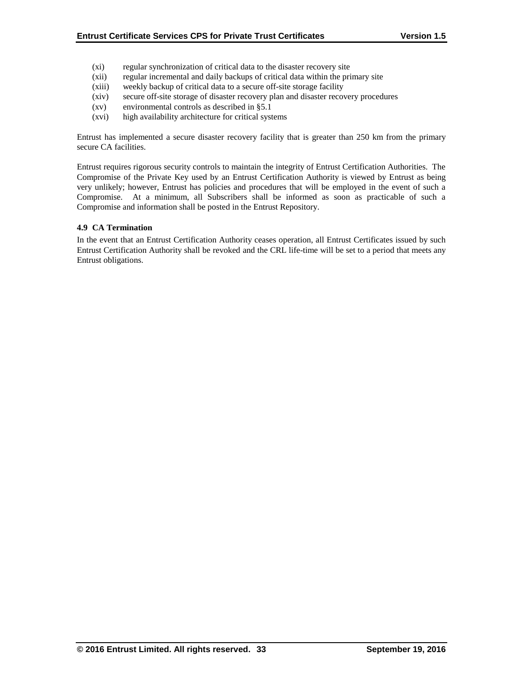- (xi) regular synchronization of critical data to the disaster recovery site
- (xii) regular incremental and daily backups of critical data within the primary site
- (xiii) weekly backup of critical data to a secure off-site storage facility
- (xiv) secure off-site storage of disaster recovery plan and disaster recovery procedures
- (xv) environmental controls as described in §5.1
- (xvi) high availability architecture for critical systems

Entrust has implemented a secure disaster recovery facility that is greater than 250 km from the primary secure CA facilities.

Entrust requires rigorous security controls to maintain the integrity of Entrust Certification Authorities. The Compromise of the Private Key used by an Entrust Certification Authority is viewed by Entrust as being very unlikely; however, Entrust has policies and procedures that will be employed in the event of such a Compromise. At a minimum, all Subscribers shall be informed as soon as practicable of such a Compromise and information shall be posted in the Entrust Repository.

## **4.9 CA Termination**

In the event that an Entrust Certification Authority ceases operation, all Entrust Certificates issued by such Entrust Certification Authority shall be revoked and the CRL life-time will be set to a period that meets any Entrust obligations.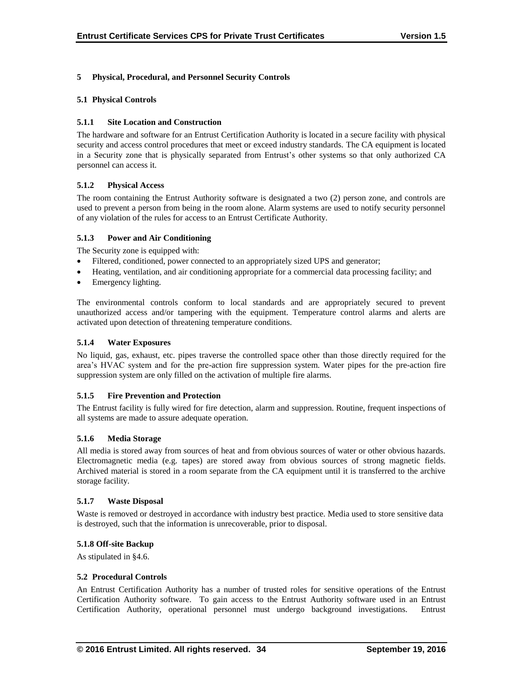## **5 Physical, Procedural, and Personnel Security Controls**

## **5.1 Physical Controls**

## **5.1.1 Site Location and Construction**

The hardware and software for an Entrust Certification Authority is located in a secure facility with physical security and access control procedures that meet or exceed industry standards. The CA equipment is located in a Security zone that is physically separated from Entrust's other systems so that only authorized CA personnel can access it.

## **5.1.2 Physical Access**

The room containing the Entrust Authority software is designated a two (2) person zone, and controls are used to prevent a person from being in the room alone. Alarm systems are used to notify security personnel of any violation of the rules for access to an Entrust Certificate Authority.

## **5.1.3 Power and Air Conditioning**

The Security zone is equipped with:

- Filtered, conditioned, power connected to an appropriately sized UPS and generator;
- Heating, ventilation, and air conditioning appropriate for a commercial data processing facility; and
- Emergency lighting.

The environmental controls conform to local standards and are appropriately secured to prevent unauthorized access and/or tampering with the equipment. Temperature control alarms and alerts are activated upon detection of threatening temperature conditions.

## **5.1.4 Water Exposures**

No liquid, gas, exhaust, etc. pipes traverse the controlled space other than those directly required for the area's HVAC system and for the pre-action fire suppression system. Water pipes for the pre-action fire suppression system are only filled on the activation of multiple fire alarms.

#### **5.1.5 Fire Prevention and Protection**

The Entrust facility is fully wired for fire detection, alarm and suppression. Routine, frequent inspections of all systems are made to assure adequate operation.

#### **5.1.6 Media Storage**

All media is stored away from sources of heat and from obvious sources of water or other obvious hazards. Electromagnetic media (e.g. tapes) are stored away from obvious sources of strong magnetic fields. Archived material is stored in a room separate from the CA equipment until it is transferred to the archive storage facility.

#### **5.1.7 Waste Disposal**

Waste is removed or destroyed in accordance with industry best practice. Media used to store sensitive data is destroyed, such that the information is unrecoverable, prior to disposal.

#### **5.1.8 Off-site Backup**

As stipulated in §4.6.

### **5.2 Procedural Controls**

An Entrust Certification Authority has a number of trusted roles for sensitive operations of the Entrust Certification Authority software. To gain access to the Entrust Authority software used in an Entrust Certification Authority, operational personnel must undergo background investigations. Entrust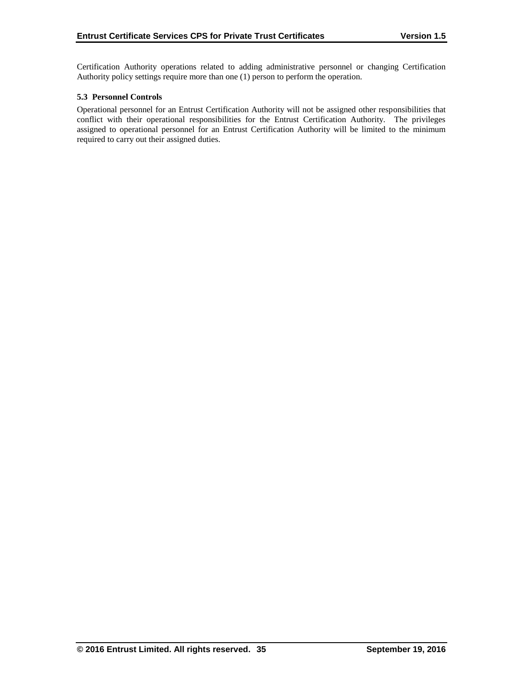Certification Authority operations related to adding administrative personnel or changing Certification Authority policy settings require more than one (1) person to perform the operation.

## **5.3 Personnel Controls**

Operational personnel for an Entrust Certification Authority will not be assigned other responsibilities that conflict with their operational responsibilities for the Entrust Certification Authority. The privileges assigned to operational personnel for an Entrust Certification Authority will be limited to the minimum required to carry out their assigned duties.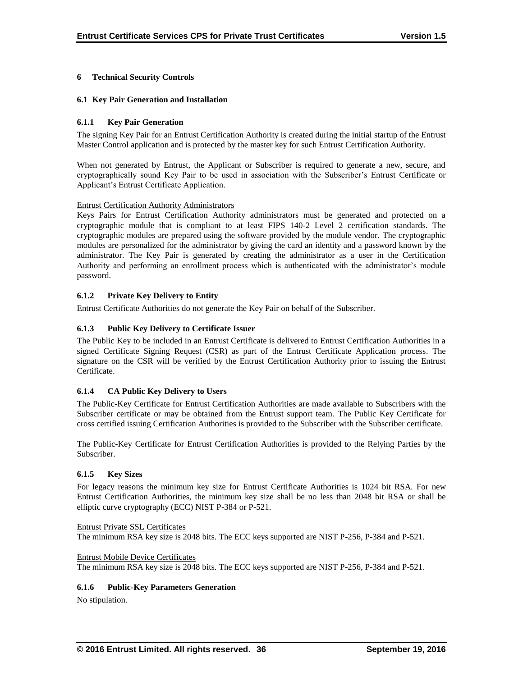# **6 Technical Security Controls**

## **6.1 Key Pair Generation and Installation**

## **6.1.1 Key Pair Generation**

The signing Key Pair for an Entrust Certification Authority is created during the initial startup of the Entrust Master Control application and is protected by the master key for such Entrust Certification Authority.

When not generated by Entrust, the Applicant or Subscriber is required to generate a new, secure, and cryptographically sound Key Pair to be used in association with the Subscriber's Entrust Certificate or Applicant's Entrust Certificate Application.

#### Entrust Certification Authority Administrators

Keys Pairs for Entrust Certification Authority administrators must be generated and protected on a cryptographic module that is compliant to at least FIPS 140-2 Level 2 certification standards. The cryptographic modules are prepared using the software provided by the module vendor. The cryptographic modules are personalized for the administrator by giving the card an identity and a password known by the administrator. The Key Pair is generated by creating the administrator as a user in the Certification Authority and performing an enrollment process which is authenticated with the administrator's module password.

# **6.1.2 Private Key Delivery to Entity**

Entrust Certificate Authorities do not generate the Key Pair on behalf of the Subscriber.

# **6.1.3 Public Key Delivery to Certificate Issuer**

The Public Key to be included in an Entrust Certificate is delivered to Entrust Certification Authorities in a signed Certificate Signing Request (CSR) as part of the Entrust Certificate Application process. The signature on the CSR will be verified by the Entrust Certification Authority prior to issuing the Entrust Certificate.

# **6.1.4 CA Public Key Delivery to Users**

The Public-Key Certificate for Entrust Certification Authorities are made available to Subscribers with the Subscriber certificate or may be obtained from the Entrust support team. The Public Key Certificate for cross certified issuing Certification Authorities is provided to the Subscriber with the Subscriber certificate.

The Public-Key Certificate for Entrust Certification Authorities is provided to the Relying Parties by the Subscriber.

#### **6.1.5 Key Sizes**

For legacy reasons the minimum key size for Entrust Certificate Authorities is 1024 bit RSA. For new Entrust Certification Authorities, the minimum key size shall be no less than 2048 bit RSA or shall be elliptic curve cryptography (ECC) NIST P-384 or P-521.

#### Entrust Private SSL Certificates

The minimum RSA key size is 2048 bits. The ECC keys supported are NIST P-256, P-384 and P-521.

#### Entrust Mobile Device Certificates

The minimum RSA key size is 2048 bits. The ECC keys supported are NIST P-256, P-384 and P-521.

#### **6.1.6 Public-Key Parameters Generation**

No stipulation.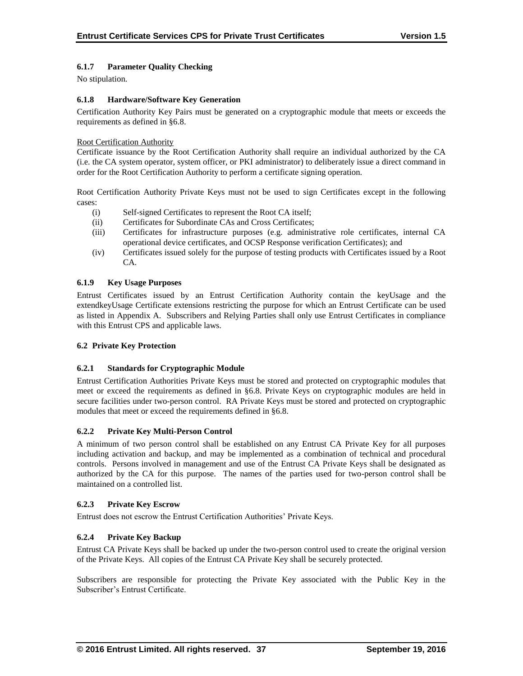# **6.1.7 Parameter Quality Checking**

No stipulation.

## **6.1.8 Hardware/Software Key Generation**

Certification Authority Key Pairs must be generated on a cryptographic module that meets or exceeds the requirements as defined in §6.8.

## Root Certification Authority

Certificate issuance by the Root Certification Authority shall require an individual authorized by the CA (i.e. the CA system operator, system officer, or PKI administrator) to deliberately issue a direct command in order for the Root Certification Authority to perform a certificate signing operation.

Root Certification Authority Private Keys must not be used to sign Certificates except in the following cases:

- (i) Self-signed Certificates to represent the Root CA itself;
- (ii) Certificates for Subordinate CAs and Cross Certificates;
- (iii) Certificates for infrastructure purposes (e.g. administrative role certificates, internal CA operational device certificates, and OCSP Response verification Certificates); and
- (iv) Certificates issued solely for the purpose of testing products with Certificates issued by a Root CA.

## **6.1.9 Key Usage Purposes**

Entrust Certificates issued by an Entrust Certification Authority contain the keyUsage and the extendkeyUsage Certificate extensions restricting the purpose for which an Entrust Certificate can be used as listed in Appendix A. Subscribers and Relying Parties shall only use Entrust Certificates in compliance with this Entrust CPS and applicable laws.

#### **6.2 Private Key Protection**

## **6.2.1 Standards for Cryptographic Module**

Entrust Certification Authorities Private Keys must be stored and protected on cryptographic modules that meet or exceed the requirements as defined in §6.8. Private Keys on cryptographic modules are held in secure facilities under two-person control. RA Private Keys must be stored and protected on cryptographic modules that meet or exceed the requirements defined in §6.8.

#### **6.2.2 Private Key Multi-Person Control**

A minimum of two person control shall be established on any Entrust CA Private Key for all purposes including activation and backup, and may be implemented as a combination of technical and procedural controls. Persons involved in management and use of the Entrust CA Private Keys shall be designated as authorized by the CA for this purpose. The names of the parties used for two-person control shall be maintained on a controlled list.

#### **6.2.3 Private Key Escrow**

Entrust does not escrow the Entrust Certification Authorities' Private Keys.

# **6.2.4 Private Key Backup**

Entrust CA Private Keys shall be backed up under the two-person control used to create the original version of the Private Keys. All copies of the Entrust CA Private Key shall be securely protected.

Subscribers are responsible for protecting the Private Key associated with the Public Key in the Subscriber's Entrust Certificate.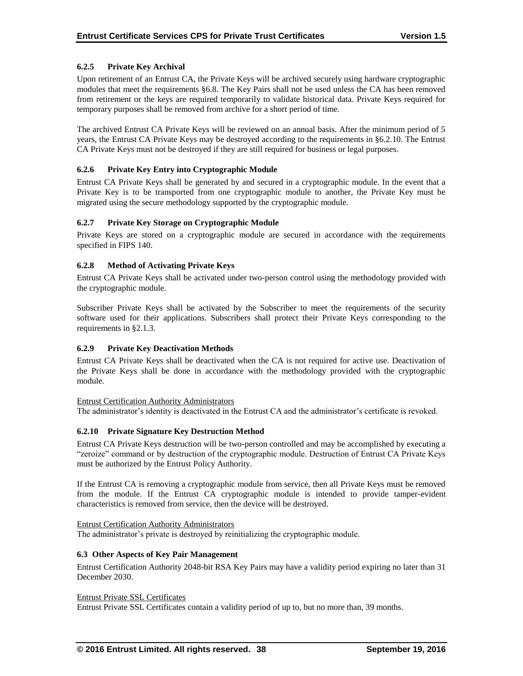## **6.2.5 Private Key Archival**

Upon retirement of an Entrust CA, the Private Keys will be archived securely using hardware cryptographic modules that meet the requirements §6.8. The Key Pairs shall not be used unless the CA has been removed from retirement or the keys are required temporarily to validate historical data. Private Keys required for temporary purposes shall be removed from archive for a short period of time.

The archived Entrust CA Private Keys will be reviewed on an annual basis. After the minimum period of 5 years, the Entrust CA Private Keys may be destroyed according to the requirements in §6.2.10. The Entrust CA Private Keys must not be destroyed if they are still required for business or legal purposes.

#### **6.2.6 Private Key Entry into Cryptographic Module**

Entrust CA Private Keys shall be generated by and secured in a cryptographic module. In the event that a Private Key is to be transported from one cryptographic module to another, the Private Key must be migrated using the secure methodology supported by the cryptographic module.

## **6.2.7 Private Key Storage on Cryptographic Module**

Private Keys are stored on a cryptographic module are secured in accordance with the requirements specified in FIPS 140.

## **6.2.8 Method of Activating Private Keys**

Entrust CA Private Keys shall be activated under two-person control using the methodology provided with the cryptographic module.

Subscriber Private Keys shall be activated by the Subscriber to meet the requirements of the security software used for their applications. Subscribers shall protect their Private Keys corresponding to the requirements in §2.1.3.

#### **6.2.9 Private Key Deactivation Methods**

Entrust CA Private Keys shall be deactivated when the CA is not required for active use. Deactivation of the Private Keys shall be done in accordance with the methodology provided with the cryptographic module.

#### Entrust Certification Authority Administrators

The administrator's identity is deactivated in the Entrust CA and the administrator's certificate is revoked.

#### **6.2.10 Private Signature Key Destruction Method**

Entrust CA Private Keys destruction will be two-person controlled and may be accomplished by executing a "zeroize" command or by destruction of the cryptographic module. Destruction of Entrust CA Private Keys must be authorized by the Entrust Policy Authority.

If the Entrust CA is removing a cryptographic module from service, then all Private Keys must be removed from the module. If the Entrust CA cryptographic module is intended to provide tamper-evident characteristics is removed from service, then the device will be destroyed.

#### Entrust Certification Authority Administrators

The administrator's private is destroyed by reinitializing the cryptographic module.

#### **6.3 Other Aspects of Key Pair Management**

Entrust Certification Authority 2048-bit RSA Key Pairs may have a validity period expiring no later than 31 December 2030.

#### Entrust Private SSL Certificates

Entrust Private SSL Certificates contain a validity period of up to, but no more than, 39 months.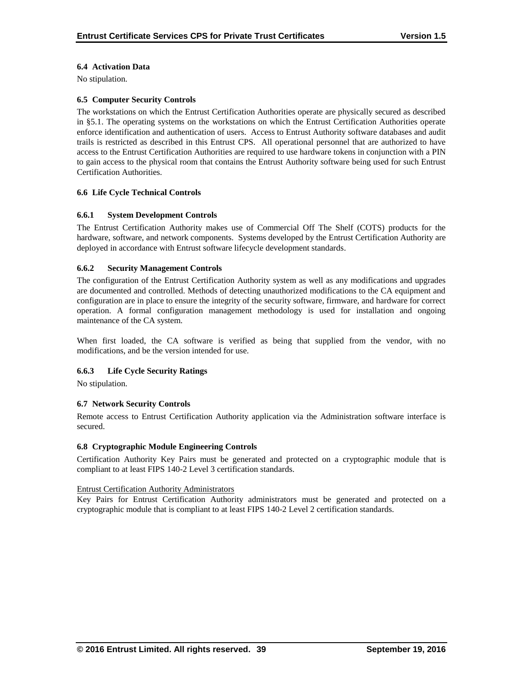## **6.4 Activation Data**

No stipulation.

#### **6.5 Computer Security Controls**

The workstations on which the Entrust Certification Authorities operate are physically secured as described in §5.1. The operating systems on the workstations on which the Entrust Certification Authorities operate enforce identification and authentication of users. Access to Entrust Authority software databases and audit trails is restricted as described in this Entrust CPS. All operational personnel that are authorized to have access to the Entrust Certification Authorities are required to use hardware tokens in conjunction with a PIN to gain access to the physical room that contains the Entrust Authority software being used for such Entrust Certification Authorities.

#### **6.6 Life Cycle Technical Controls**

#### **6.6.1 System Development Controls**

The Entrust Certification Authority makes use of Commercial Off The Shelf (COTS) products for the hardware, software, and network components. Systems developed by the Entrust Certification Authority are deployed in accordance with Entrust software lifecycle development standards.

#### **6.6.2 Security Management Controls**

The configuration of the Entrust Certification Authority system as well as any modifications and upgrades are documented and controlled. Methods of detecting unauthorized modifications to the CA equipment and configuration are in place to ensure the integrity of the security software, firmware, and hardware for correct operation. A formal configuration management methodology is used for installation and ongoing maintenance of the CA system.

When first loaded, the CA software is verified as being that supplied from the vendor, with no modifications, and be the version intended for use.

#### **6.6.3 Life Cycle Security Ratings**

No stipulation.

#### **6.7 Network Security Controls**

Remote access to Entrust Certification Authority application via the Administration software interface is secured.

#### **6.8 Cryptographic Module Engineering Controls**

Certification Authority Key Pairs must be generated and protected on a cryptographic module that is compliant to at least FIPS 140-2 Level 3 certification standards.

#### Entrust Certification Authority Administrators

Key Pairs for Entrust Certification Authority administrators must be generated and protected on a cryptographic module that is compliant to at least FIPS 140-2 Level 2 certification standards.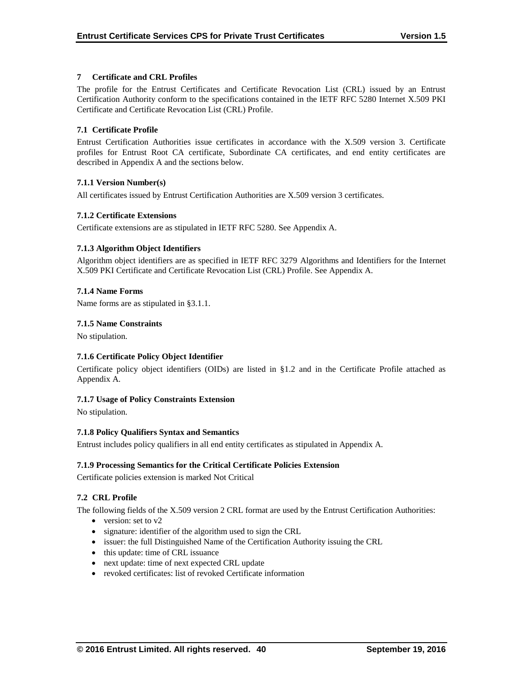## **7 Certificate and CRL Profiles**

The profile for the Entrust Certificates and Certificate Revocation List (CRL) issued by an Entrust Certification Authority conform to the specifications contained in the IETF RFC 5280 Internet X.509 PKI Certificate and Certificate Revocation List (CRL) Profile.

## **7.1 Certificate Profile**

Entrust Certification Authorities issue certificates in accordance with the X.509 version 3. Certificate profiles for Entrust Root CA certificate, Subordinate CA certificates, and end entity certificates are described in Appendix A and the sections below.

## **7.1.1 Version Number(s)**

All certificates issued by Entrust Certification Authorities are X.509 version 3 certificates.

## **7.1.2 Certificate Extensions**

Certificate extensions are as stipulated in IETF RFC 5280. See Appendix A.

## **7.1.3 Algorithm Object Identifiers**

Algorithm object identifiers are as specified in IETF RFC 3279 Algorithms and Identifiers for the Internet X.509 PKI Certificate and Certificate Revocation List (CRL) Profile. See Appendix A.

## **7.1.4 Name Forms**

Name forms are as stipulated in §3.1.1.

## **7.1.5 Name Constraints**

No stipulation.

# **7.1.6 Certificate Policy Object Identifier**

Certificate policy object identifiers (OIDs) are listed in §1.2 and in the Certificate Profile attached as Appendix A.

#### **7.1.7 Usage of Policy Constraints Extension**

No stipulation.

#### **7.1.8 Policy Qualifiers Syntax and Semantics**

Entrust includes policy qualifiers in all end entity certificates as stipulated in Appendix A.

# **7.1.9 Processing Semantics for the Critical Certificate Policies Extension**

Certificate policies extension is marked Not Critical

# **7.2 CRL Profile**

The following fields of the X.509 version 2 CRL format are used by the Entrust Certification Authorities:

- version: set to  $v2$
- signature: identifier of the algorithm used to sign the CRL
- issuer: the full Distinguished Name of the Certification Authority issuing the CRL
- this update: time of CRL issuance
- next update: time of next expected CRL update
- revoked certificates: list of revoked Certificate information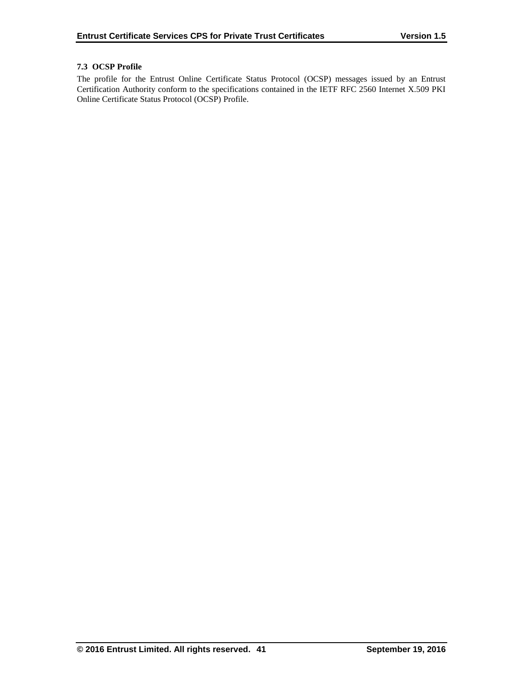# **7.3 OCSP Profile**

The profile for the Entrust Online Certificate Status Protocol (OCSP) messages issued by an Entrust Certification Authority conform to the specifications contained in the IETF RFC 2560 Internet X.509 PKI Online Certificate Status Protocol (OCSP) Profile.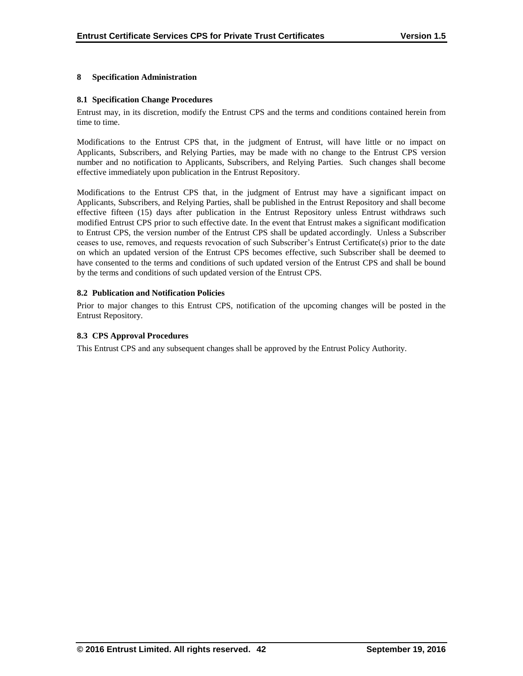#### **8 Specification Administration**

#### **8.1 Specification Change Procedures**

Entrust may, in its discretion, modify the Entrust CPS and the terms and conditions contained herein from time to time.

Modifications to the Entrust CPS that, in the judgment of Entrust, will have little or no impact on Applicants, Subscribers, and Relying Parties, may be made with no change to the Entrust CPS version number and no notification to Applicants, Subscribers, and Relying Parties. Such changes shall become effective immediately upon publication in the Entrust Repository.

Modifications to the Entrust CPS that, in the judgment of Entrust may have a significant impact on Applicants, Subscribers, and Relying Parties, shall be published in the Entrust Repository and shall become effective fifteen (15) days after publication in the Entrust Repository unless Entrust withdraws such modified Entrust CPS prior to such effective date. In the event that Entrust makes a significant modification to Entrust CPS, the version number of the Entrust CPS shall be updated accordingly. Unless a Subscriber ceases to use, removes, and requests revocation of such Subscriber's Entrust Certificate(s) prior to the date on which an updated version of the Entrust CPS becomes effective, such Subscriber shall be deemed to have consented to the terms and conditions of such updated version of the Entrust CPS and shall be bound by the terms and conditions of such updated version of the Entrust CPS.

#### **8.2 Publication and Notification Policies**

Prior to major changes to this Entrust CPS, notification of the upcoming changes will be posted in the Entrust Repository.

#### **8.3 CPS Approval Procedures**

This Entrust CPS and any subsequent changes shall be approved by the Entrust Policy Authority.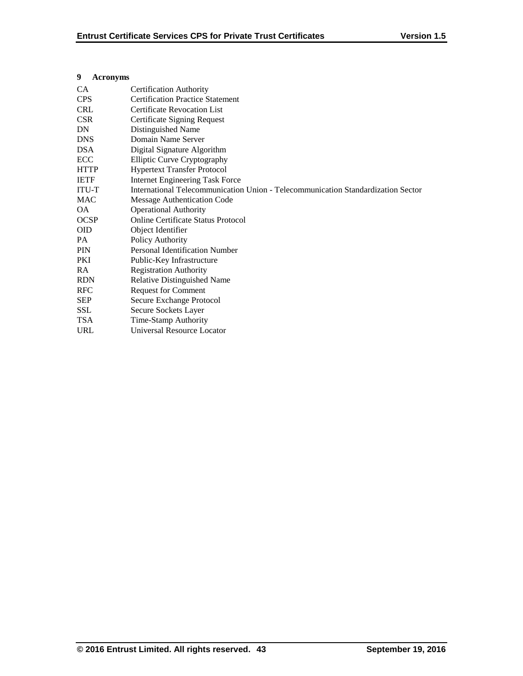| $11.101$ OH $y$ HHs |                                                                                  |
|---------------------|----------------------------------------------------------------------------------|
| CA.                 | <b>Certification Authority</b>                                                   |
| CPS                 | <b>Certification Practice Statement</b>                                          |
| <b>CRL</b>          | Certificate Revocation List                                                      |
| <b>CSR</b>          | Certificate Signing Request                                                      |
| DN.                 | Distinguished Name                                                               |
| <b>DNS</b>          | Domain Name Server                                                               |
| <b>DSA</b>          | Digital Signature Algorithm                                                      |
| ECC                 | <b>Elliptic Curve Cryptography</b>                                               |
| <b>HTTP</b>         | <b>Hypertext Transfer Protocol</b>                                               |
| <b>IETF</b>         | <b>Internet Engineering Task Force</b>                                           |
| <b>ITU-T</b>        | International Telecommunication Union - Telecommunication Standardization Sector |
| <b>MAC</b>          | Message Authentication Code                                                      |
| ΟA.                 | <b>Operational Authority</b>                                                     |
| <b>OCSP</b>         | <b>Online Certificate Status Protocol</b>                                        |
| <b>OID</b>          | Object Identifier                                                                |
| PA.                 | Policy Authority                                                                 |
| <b>PIN</b>          | <b>Personal Identification Number</b>                                            |
| PKI                 | Public-Key Infrastructure                                                        |
| RA.                 | <b>Registration Authority</b>                                                    |
| <b>RDN</b>          | <b>Relative Distinguished Name</b>                                               |
| <b>RFC</b>          | <b>Request for Comment</b>                                                       |
| <b>SEP</b>          | Secure Exchange Protocol                                                         |
| SSL                 | Secure Sockets Layer                                                             |
| <b>TSA</b>          | Time-Stamp Authority                                                             |
| <b>URL</b>          | <b>Universal Resource Locator</b>                                                |
|                     |                                                                                  |

## **9 Acronyms**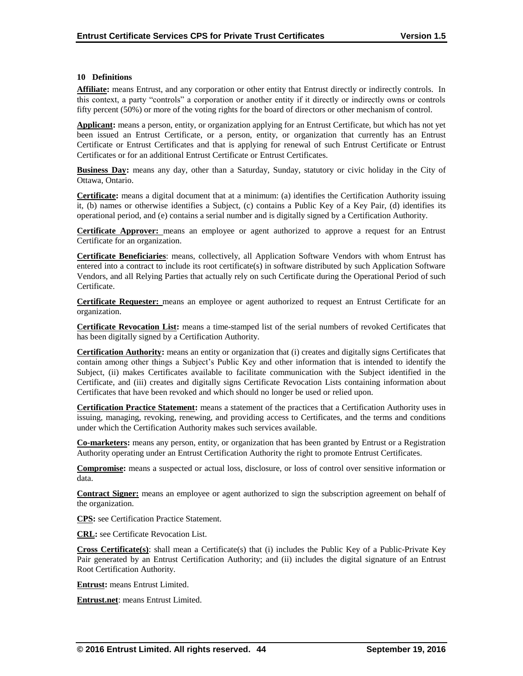#### **10 Definitions**

**Affiliate:** means Entrust, and any corporation or other entity that Entrust directly or indirectly controls. In this context, a party "controls" a corporation or another entity if it directly or indirectly owns or controls fifty percent (50%) or more of the voting rights for the board of directors or other mechanism of control.

**Applicant:** means a person, entity, or organization applying for an Entrust Certificate, but which has not yet been issued an Entrust Certificate, or a person, entity, or organization that currently has an Entrust Certificate or Entrust Certificates and that is applying for renewal of such Entrust Certificate or Entrust Certificates or for an additional Entrust Certificate or Entrust Certificates.

**Business Day:** means any day, other than a Saturday, Sunday, statutory or civic holiday in the City of Ottawa, Ontario.

**Certificate:** means a digital document that at a minimum: (a) identifies the Certification Authority issuing it, (b) names or otherwise identifies a Subject, (c) contains a Public Key of a Key Pair, (d) identifies its operational period, and (e) contains a serial number and is digitally signed by a Certification Authority.

**Certificate Approver:** means an employee or agent authorized to approve a request for an Entrust Certificate for an organization.

**Certificate Beneficiaries**: means, collectively, all Application Software Vendors with whom Entrust has entered into a contract to include its root certificate(s) in software distributed by such Application Software Vendors, and all Relying Parties that actually rely on such Certificate during the Operational Period of such Certificate.

**Certificate Requester:** means an employee or agent authorized to request an Entrust Certificate for an organization.

**Certificate Revocation List:** means a time-stamped list of the serial numbers of revoked Certificates that has been digitally signed by a Certification Authority.

**Certification Authority:** means an entity or organization that (i) creates and digitally signs Certificates that contain among other things a Subject's Public Key and other information that is intended to identify the Subject, (ii) makes Certificates available to facilitate communication with the Subject identified in the Certificate, and (iii) creates and digitally signs Certificate Revocation Lists containing information about Certificates that have been revoked and which should no longer be used or relied upon.

**Certification Practice Statement:** means a statement of the practices that a Certification Authority uses in issuing, managing, revoking, renewing, and providing access to Certificates, and the terms and conditions under which the Certification Authority makes such services available.

**Co-marketers:** means any person, entity, or organization that has been granted by Entrust or a Registration Authority operating under an Entrust Certification Authority the right to promote Entrust Certificates.

**Compromise:** means a suspected or actual loss, disclosure, or loss of control over sensitive information or data.

**Contract Signer:** means an employee or agent authorized to sign the subscription agreement on behalf of the organization.

**CPS:** see Certification Practice Statement.

**CRL:** see Certificate Revocation List.

**Cross Certificate(s)**: shall mean a Certificate(s) that (i) includes the Public Key of a Public-Private Key Pair generated by an Entrust Certification Authority; and (ii) includes the digital signature of an Entrust Root Certification Authority.

**Entrust:** means Entrust Limited.

**Entrust.net**: means Entrust Limited.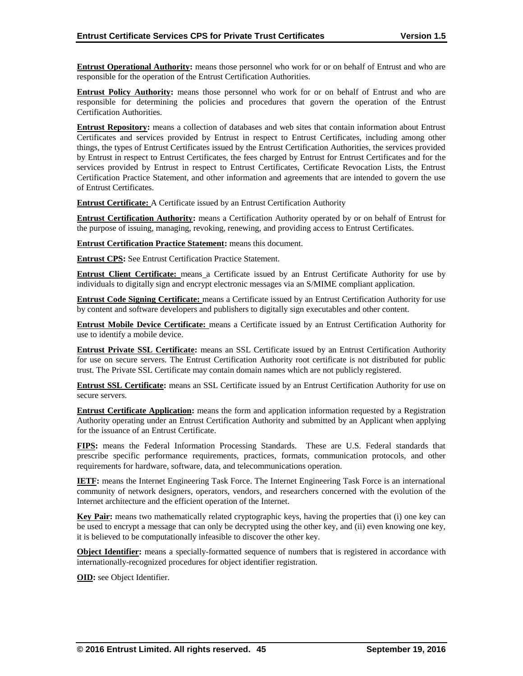**Entrust Operational Authority:** means those personnel who work for or on behalf of Entrust and who are responsible for the operation of the Entrust Certification Authorities.

**Entrust Policy Authority:** means those personnel who work for or on behalf of Entrust and who are responsible for determining the policies and procedures that govern the operation of the Entrust Certification Authorities.

**Entrust Repository:** means a collection of databases and web sites that contain information about Entrust Certificates and services provided by Entrust in respect to Entrust Certificates, including among other things, the types of Entrust Certificates issued by the Entrust Certification Authorities, the services provided by Entrust in respect to Entrust Certificates, the fees charged by Entrust for Entrust Certificates and for the services provided by Entrust in respect to Entrust Certificates, Certificate Revocation Lists, the Entrust Certification Practice Statement, and other information and agreements that are intended to govern the use of Entrust Certificates.

**Entrust Certificate:** A Certificate issued by an Entrust Certification Authority

**Entrust Certification Authority:** means a Certification Authority operated by or on behalf of Entrust for the purpose of issuing, managing, revoking, renewing, and providing access to Entrust Certificates.

**Entrust Certification Practice Statement:** means this document.

**Entrust CPS:** See Entrust Certification Practice Statement.

**Entrust Client Certificate:** means a Certificate issued by an Entrust Certificate Authority for use by individuals to digitally sign and encrypt electronic messages via an S/MIME compliant application.

**Entrust Code Signing Certificate:** means a Certificate issued by an Entrust Certification Authority for use by content and software developers and publishers to digitally sign executables and other content.

**Entrust Mobile Device Certificate:** means a Certificate issued by an Entrust Certification Authority for use to identify a mobile device.

**Entrust Private SSL Certificate:** means an SSL Certificate issued by an Entrust Certification Authority for use on secure servers. The Entrust Certification Authority root certificate is not distributed for public trust. The Private SSL Certificate may contain domain names which are not publicly registered.

**Entrust SSL Certificate:** means an SSL Certificate issued by an Entrust Certification Authority for use on secure servers.

**Entrust Certificate Application:** means the form and application information requested by a Registration Authority operating under an Entrust Certification Authority and submitted by an Applicant when applying for the issuance of an Entrust Certificate.

**FIPS:** means the Federal Information Processing Standards. These are U.S. Federal standards that prescribe specific performance requirements, practices, formats, communication protocols, and other requirements for hardware, software, data, and telecommunications operation.

**IETF:** means the Internet Engineering Task Force. The Internet Engineering Task Force is an international community of network designers, operators, vendors, and researchers concerned with the evolution of the Internet architecture and the efficient operation of the Internet.

**Key Pair:** means two mathematically related cryptographic keys, having the properties that (i) one key can be used to encrypt a message that can only be decrypted using the other key, and (ii) even knowing one key, it is believed to be computationally infeasible to discover the other key.

**Object Identifier:** means a specially-formatted sequence of numbers that is registered in accordance with internationally-recognized procedures for object identifier registration.

**OID:** see Object Identifier.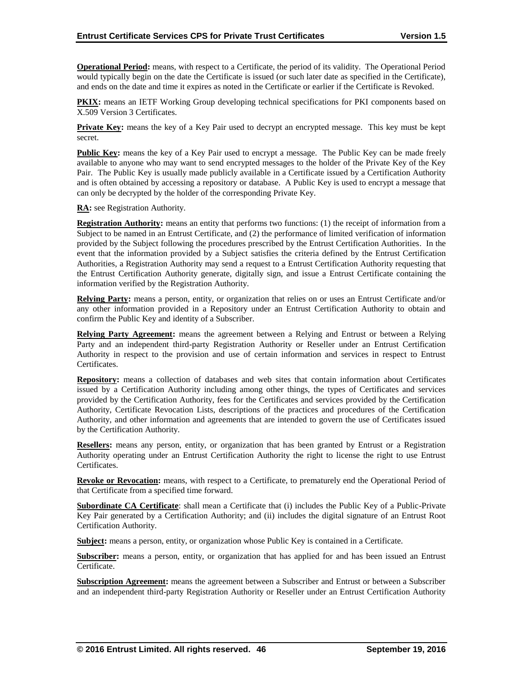**Operational Period:** means, with respect to a Certificate, the period of its validity. The Operational Period would typically begin on the date the Certificate is issued (or such later date as specified in the Certificate), and ends on the date and time it expires as noted in the Certificate or earlier if the Certificate is Revoked.

**PKIX:** means an IETF Working Group developing technical specifications for PKI components based on X.509 Version 3 Certificates.

**Private Key:** means the key of a Key Pair used to decrypt an encrypted message. This key must be kept secret.

**Public Key:** means the key of a Key Pair used to encrypt a message. The Public Key can be made freely available to anyone who may want to send encrypted messages to the holder of the Private Key of the Key Pair. The Public Key is usually made publicly available in a Certificate issued by a Certification Authority and is often obtained by accessing a repository or database. A Public Key is used to encrypt a message that can only be decrypted by the holder of the corresponding Private Key.

**RA:** see Registration Authority.

**Registration Authority:** means an entity that performs two functions: (1) the receipt of information from a Subject to be named in an Entrust Certificate, and (2) the performance of limited verification of information provided by the Subject following the procedures prescribed by the Entrust Certification Authorities. In the event that the information provided by a Subject satisfies the criteria defined by the Entrust Certification Authorities, a Registration Authority may send a request to a Entrust Certification Authority requesting that the Entrust Certification Authority generate, digitally sign, and issue a Entrust Certificate containing the information verified by the Registration Authority.

**Relying Party:** means a person, entity, or organization that relies on or uses an Entrust Certificate and/or any other information provided in a Repository under an Entrust Certification Authority to obtain and confirm the Public Key and identity of a Subscriber.

**Relying Party Agreement:** means the agreement between a Relying and Entrust or between a Relying Party and an independent third-party Registration Authority or Reseller under an Entrust Certification Authority in respect to the provision and use of certain information and services in respect to Entrust Certificates.

**Repository:** means a collection of databases and web sites that contain information about Certificates issued by a Certification Authority including among other things, the types of Certificates and services provided by the Certification Authority, fees for the Certificates and services provided by the Certification Authority, Certificate Revocation Lists, descriptions of the practices and procedures of the Certification Authority, and other information and agreements that are intended to govern the use of Certificates issued by the Certification Authority.

**Resellers:** means any person, entity, or organization that has been granted by Entrust or a Registration Authority operating under an Entrust Certification Authority the right to license the right to use Entrust Certificates.

**Revoke or Revocation:** means, with respect to a Certificate, to prematurely end the Operational Period of that Certificate from a specified time forward.

**Subordinate CA Certificate**: shall mean a Certificate that (i) includes the Public Key of a Public-Private Key Pair generated by a Certification Authority; and (ii) includes the digital signature of an Entrust Root Certification Authority.

**Subject:** means a person, entity, or organization whose Public Key is contained in a Certificate.

**Subscriber:** means a person, entity, or organization that has applied for and has been issued an Entrust Certificate.

**Subscription Agreement:** means the agreement between a Subscriber and Entrust or between a Subscriber and an independent third-party Registration Authority or Reseller under an Entrust Certification Authority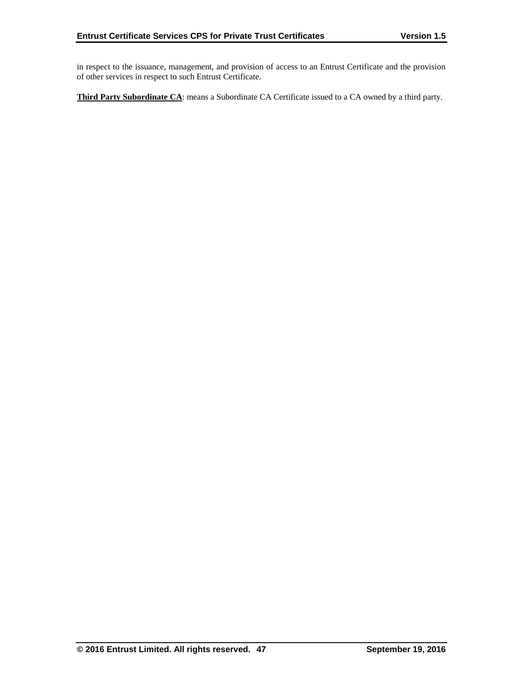in respect to the issuance, management, and provision of access to an Entrust Certificate and the provision of other services in respect to such Entrust Certificate.

**Third Party Subordinate CA**: means a Subordinate CA Certificate issued to a CA owned by a third party.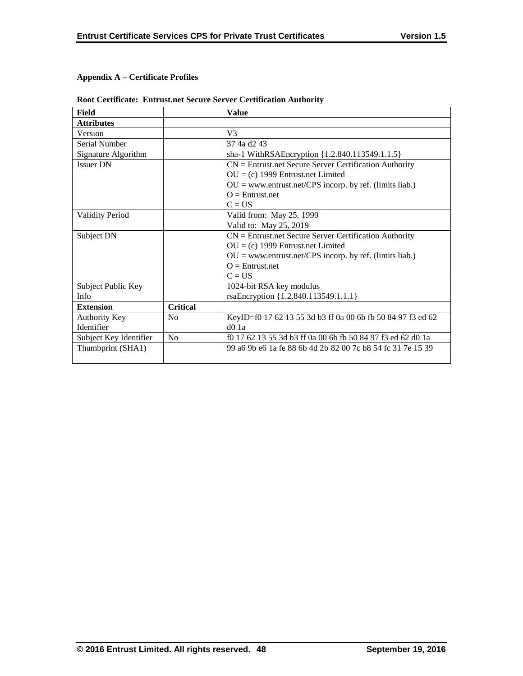# **Appendix A – Certificate Profiles**

| Field                  |                 | <b>Value</b>                                                |
|------------------------|-----------------|-------------------------------------------------------------|
| <b>Attributes</b>      |                 |                                                             |
| Version                |                 | V <sub>3</sub>                                              |
| Serial Number          |                 | 37 4a d <sub>2</sub> 43                                     |
| Signature Algorithm    |                 | sha-1 WithRSAEncryption {1.2.840.113549.1.1.5}              |
| <b>Issuer DN</b>       |                 | $CN =$ Entrust.net Secure Server Certification Authority    |
|                        |                 | $OU = (c)$ 1999 Entrust.net Limited                         |
|                        |                 | $OU = www.entrust.net/CPS incorp. by ref. (limits liab.)$   |
|                        |                 | $Q =$ Entrust.net                                           |
|                        |                 | $C = US$                                                    |
| <b>Validity Period</b> |                 | Valid from: May 25, 1999                                    |
|                        |                 | Valid to: May 25, 2019                                      |
| Subject DN             |                 | $CN =$ Entrust.net Secure Server Certification Authority    |
|                        |                 | $OU = (c)$ 1999 Entrust.net Limited                         |
|                        |                 | $OU = www.entrust.net/CPS incorp. by ref. (limits liab.)$   |
|                        |                 | $Q =$ Entrust.net                                           |
|                        |                 | $C = US$                                                    |
| Subject Public Key     |                 | 1024-bit RSA key modulus                                    |
| Info                   |                 | rsaEncryption {1.2.840.113549.1.1.1}                        |
| <b>Extension</b>       | <b>Critical</b> |                                                             |
| <b>Authority Key</b>   | N <sub>0</sub>  | KeyID=f0 17 62 13 55 3d b3 ff 0a 00 6b fb 50 84 97 f3 ed 62 |
| Identifier             |                 | $d0$ 1a                                                     |
| Subject Key Identifier | N <sub>o</sub>  | f0 17 62 13 55 3d b3 ff 0a 00 6b fb 50 84 97 f3 ed 62 d0 1a |
| Thumbprint (SHA1)      |                 | 99 a6 9b e6 1a fe 88 6b 4d 2b 82 00 7c b8 54 fc 31 7e 15 39 |
|                        |                 |                                                             |

# **Root Certificate: Entrust.net Secure Server Certification Authority**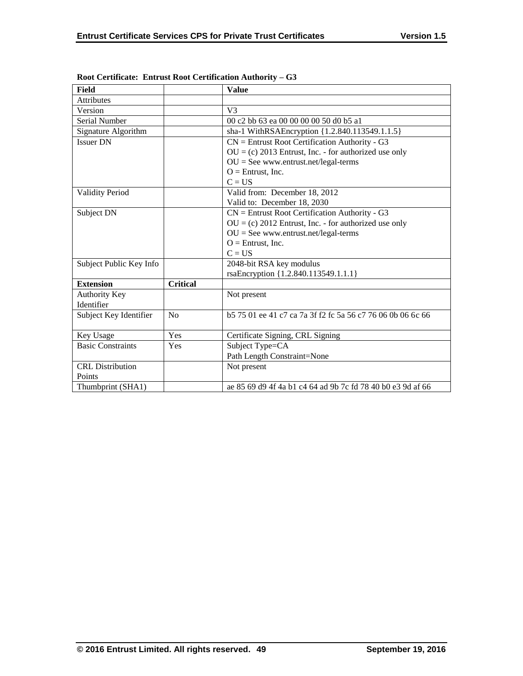| <b>Field</b>             |                 | <b>Value</b>                                                |
|--------------------------|-----------------|-------------------------------------------------------------|
| Attributes               |                 |                                                             |
| Version                  |                 | V <sup>3</sup>                                              |
| Serial Number            |                 | 00 c2 bb 63 ea 00 00 00 00 50 d0 b5 a1                      |
| Signature Algorithm      |                 | sha-1 WithRSAEncryption {1.2.840.113549.1.1.5}              |
| <b>Issuer DN</b>         |                 | $CN =$ Entrust Root Certification Authority - G3            |
|                          |                 | $OU = (c) 2013$ Entrust, Inc. - for authorized use only     |
|                          |                 | $OU = See$ www.entrust.net/legal-terms                      |
|                          |                 | $O =$ Entrust, Inc.                                         |
|                          |                 | $C = US$                                                    |
| <b>Validity Period</b>   |                 | Valid from: December 18, 2012                               |
|                          |                 | Valid to: December 18, 2030                                 |
| Subject DN               |                 | $CN =$ Entrust Root Certification Authority - G3            |
|                          |                 | $OU = (c) 2012$ Entrust, Inc. - for authorized use only     |
|                          |                 | $OU = See$ www.entrust.net/legal-terms                      |
|                          |                 | $O =$ Entrust, Inc.                                         |
|                          |                 | $C = US$                                                    |
| Subject Public Key Info  |                 | 2048-bit RSA key modulus                                    |
|                          |                 | rsaEncryption {1.2.840.113549.1.1.1}                        |
| <b>Extension</b>         | <b>Critical</b> |                                                             |
| <b>Authority Key</b>     |                 | Not present                                                 |
| Identifier               |                 |                                                             |
| Subject Key Identifier   | No              | b 575 01 ee 41 c7 ca 7a 3f f2 fc 5a 56 c7 76 06 0b 06 6c 66 |
|                          |                 |                                                             |
| Key Usage                | Yes             | Certificate Signing, CRL Signing                            |
| <b>Basic Constraints</b> | Yes             | Subject Type=CA                                             |
|                          |                 | Path Length Constraint=None                                 |
| <b>CRL</b> Distribution  |                 | Not present                                                 |
| Points                   |                 |                                                             |
| Thumbprint (SHA1)        |                 | ae 85 69 d9 4f 4a b1 c4 64 ad 9b 7c fd 78 40 b0 e3 9d af 66 |

**Root Certificate: Entrust Root Certification Authority – G3**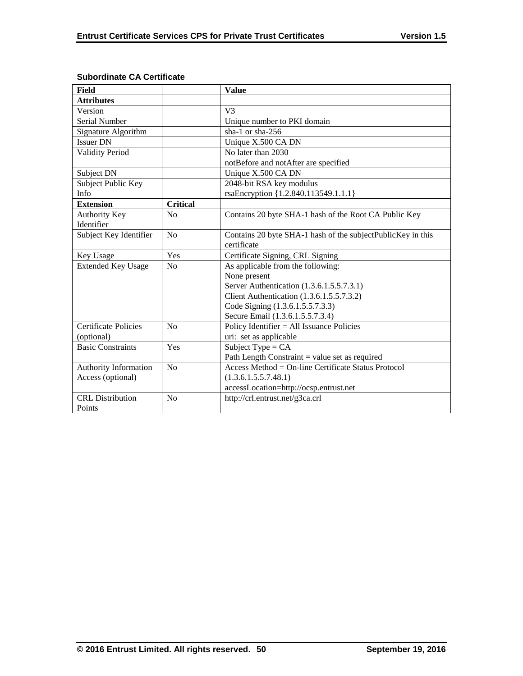| Field                       |                 | <b>Value</b>                                                |
|-----------------------------|-----------------|-------------------------------------------------------------|
| <b>Attributes</b>           |                 |                                                             |
| Version                     |                 | V <sub>3</sub>                                              |
| Serial Number               |                 | Unique number to PKI domain                                 |
| Signature Algorithm         |                 | sha-1 or sha-256                                            |
| <b>Issuer DN</b>            |                 | Unique X.500 CA DN                                          |
| <b>Validity Period</b>      |                 | No later than 2030                                          |
|                             |                 | notBefore and notAfter are specified                        |
| Subject DN                  |                 | Unique X.500 CA DN                                          |
| Subject Public Key          |                 | 2048-bit RSA key modulus                                    |
| Info                        |                 | rsaEncryption {1.2.840.113549.1.1.1}                        |
| <b>Extension</b>            | <b>Critical</b> |                                                             |
| Authority Key               | No              | Contains 20 byte SHA-1 hash of the Root CA Public Key       |
| Identifier                  |                 |                                                             |
| Subject Key Identifier      | N <sub>o</sub>  | Contains 20 byte SHA-1 hash of the subjectPublicKey in this |
|                             |                 | certificate                                                 |
| Key Usage                   | Yes             | Certificate Signing, CRL Signing                            |
| <b>Extended Key Usage</b>   | N <sub>o</sub>  | As applicable from the following:                           |
|                             |                 | None present                                                |
|                             |                 | Server Authentication (1.3.6.1.5.5.7.3.1)                   |
|                             |                 | Client Authentication (1.3.6.1.5.5.7.3.2)                   |
|                             |                 | Code Signing (1.3.6.1.5.5.7.3.3)                            |
|                             |                 | Secure Email (1.3.6.1.5.5.7.3.4)                            |
| <b>Certificate Policies</b> | No              | Policy Identifier = All Issuance Policies                   |
| (optional)                  |                 | uri: set as applicable                                      |
| <b>Basic Constraints</b>    | Yes             | Subject Type = $CA$                                         |
|                             |                 | Path Length Constraint $=$ value set as required            |
| Authority Information       | No              | Access Method = $On$ -line Certificate Status Protocol      |
| Access (optional)           |                 | (1.3.6.1.5.5.7.48.1)                                        |
|                             |                 | accessLocation=http://ocsp.entrust.net                      |
| <b>CRL</b> Distribution     | No              | http://crl.entrust.net/g3ca.crl                             |
| Points                      |                 |                                                             |

# **Subordinate CA Certificate**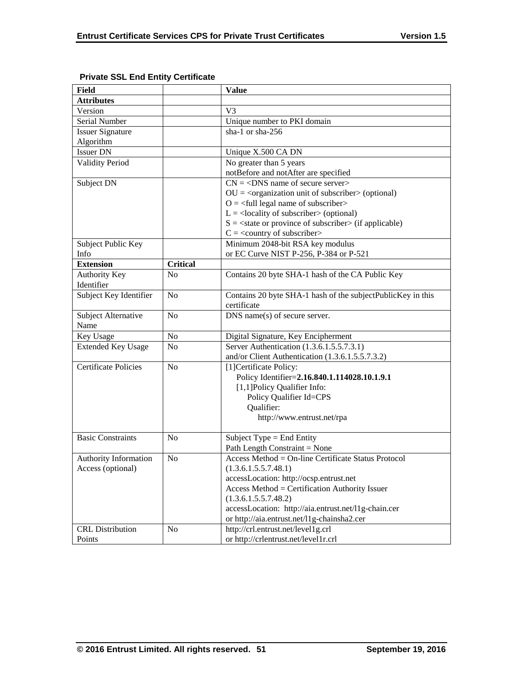| <b>Field</b>                |                 | <b>Value</b>                                                           |
|-----------------------------|-----------------|------------------------------------------------------------------------|
| <b>Attributes</b>           |                 |                                                                        |
| Version                     |                 | V <sub>3</sub>                                                         |
| Serial Number               |                 | Unique number to PKI domain                                            |
| <b>Issuer Signature</b>     |                 | sha-1 or sha-256                                                       |
| Algorithm                   |                 |                                                                        |
| <b>Issuer DN</b>            |                 | Unique X.500 CA DN                                                     |
| <b>Validity Period</b>      |                 | No greater than 5 years                                                |
|                             |                 | notBefore and notAfter are specified                                   |
| Subject DN                  |                 | $CN = <$ DNS name of secure server>                                    |
|                             |                 | $OU = corganization unit of subscripter > (optional)$                  |
|                             |                 | $O = \left\langle \text{full legal name of subscripter} \right\rangle$ |
|                             |                 | $L =$ <locality of="" subscriber=""> (optional)</locality>             |
|                             |                 | $S = \text{state or province of subscriber} > (if applicable)$         |
|                             |                 | $C = \langle$ country of subscriber>                                   |
| Subject Public Key          |                 | Minimum 2048-bit RSA key modulus                                       |
| Info                        |                 | or EC Curve NIST P-256, P-384 or P-521                                 |
| <b>Extension</b>            | <b>Critical</b> |                                                                        |
| <b>Authority Key</b>        | N <sub>o</sub>  | Contains 20 byte SHA-1 hash of the CA Public Key                       |
| Identifier                  |                 |                                                                        |
| Subject Key Identifier      | N <sub>o</sub>  | Contains 20 byte SHA-1 hash of the subjectPublicKey in this            |
|                             |                 | certificate                                                            |
| Subject Alternative         | N <sub>o</sub>  | DNS name(s) of secure server.                                          |
| Name                        |                 |                                                                        |
| Key Usage                   | No              | Digital Signature, Key Encipherment                                    |
| <b>Extended Key Usage</b>   | N <sub>0</sub>  | Server Authentication (1.3.6.1.5.5.7.3.1)                              |
|                             |                 | and/or Client Authentication (1.3.6.1.5.5.7.3.2)                       |
| <b>Certificate Policies</b> | N <sub>0</sub>  | [1] Certificate Policy:                                                |
|                             |                 | Policy Identifier=2.16.840.1.114028.10.1.9.1                           |
|                             |                 | [1,1] Policy Qualifier Info:                                           |
|                             |                 | Policy Qualifier Id=CPS                                                |
|                             |                 | Qualifier:                                                             |
|                             |                 | http://www.entrust.net/rpa                                             |
|                             |                 |                                                                        |
| <b>Basic Constraints</b>    | N <sub>0</sub>  | Subject Type $=$ End Entity                                            |
|                             |                 | Path Length Constraint = None                                          |
| Authority Information       | No              | Access Method = On-line Certificate Status Protocol                    |
| Access (optional)           |                 | (1.3.6.1.5.5.7.48.1)                                                   |
|                             |                 | accessLocation: http://ocsp.entrust.net                                |
|                             |                 | Access Method = Certification Authority Issuer                         |
|                             |                 | (1.3.6.1.5.5.7.48.2)                                                   |
|                             |                 | accessLocation: http://aia.entrust.net/l1g-chain.cer                   |
|                             |                 | or http://aia.entrust.net/11g-chainsha2.cer                            |
| <b>CRL</b> Distribution     | No              | http://crl.entrust.net/level1g.crl                                     |
| Points                      |                 | or http://crlentrust.net/level1r.crl                                   |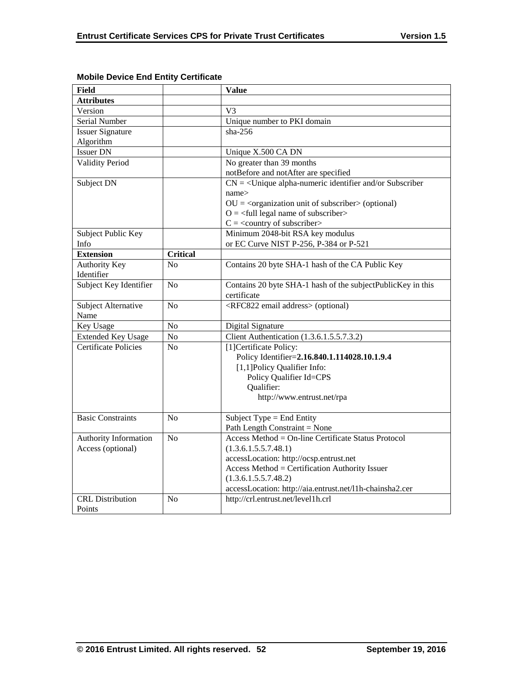| <b>Field</b>                |                 | <b>Value</b>                                                           |
|-----------------------------|-----------------|------------------------------------------------------------------------|
| <b>Attributes</b>           |                 |                                                                        |
| Version                     |                 | V <sub>3</sub>                                                         |
| Serial Number               |                 | Unique number to PKI domain                                            |
| <b>Issuer Signature</b>     |                 | $sha-256$                                                              |
| Algorithm                   |                 |                                                                        |
| <b>Issuer DN</b>            |                 | Unique X.500 CA DN                                                     |
| <b>Validity Period</b>      |                 | No greater than 39 months                                              |
|                             |                 | notBefore and notAfter are specified                                   |
| Subject DN                  |                 | $CN = \langle$ Unique alpha-numeric identifier and/or Subscriber       |
|                             |                 | name>                                                                  |
|                             |                 | $OU = corganization unit of subscriber > (optional)$                   |
|                             |                 | $O = \left\langle \text{full legal name of subscripter} \right\rangle$ |
|                             |                 | $C = \langle$ country of subscriber>                                   |
| Subject Public Key          |                 | Minimum 2048-bit RSA key modulus                                       |
| Info                        |                 | or EC Curve NIST P-256, P-384 or P-521                                 |
| <b>Extension</b>            | <b>Critical</b> |                                                                        |
| <b>Authority Key</b>        | N <sub>0</sub>  | Contains 20 byte SHA-1 hash of the CA Public Key                       |
| Identifier                  |                 |                                                                        |
| Subject Key Identifier      | N <sub>o</sub>  | Contains 20 byte SHA-1 hash of the subjectPublicKey in this            |
|                             |                 | certificate                                                            |
| Subject Alternative         | No              | <rfc822 address="" email=""> (optional)</rfc822>                       |
| Name                        |                 |                                                                        |
| Key Usage                   | N <sub>o</sub>  | Digital Signature                                                      |
| <b>Extended Key Usage</b>   | $\rm No$        | Client Authentication (1.3.6.1.5.5.7.3.2)                              |
| <b>Certificate Policies</b> | N <sub>0</sub>  | [1] Certificate Policy:                                                |
|                             |                 | Policy Identifier=2.16.840.1.114028.10.1.9.4                           |
|                             |                 | [1,1]Policy Qualifier Info:                                            |
|                             |                 | Policy Qualifier Id=CPS                                                |
|                             |                 | Qualifier:                                                             |
|                             |                 | http://www.entrust.net/rpa                                             |
|                             |                 |                                                                        |
| <b>Basic Constraints</b>    | N <sub>0</sub>  | Subject Type = End Entity                                              |
|                             |                 | Path Length Constraint = None                                          |
| Authority Information       | No              | Access Method = On-line Certificate Status Protocol                    |
| Access (optional)           |                 | (1.3.6.1.5.5.7.48.1)                                                   |
|                             |                 | accessLocation: http://ocsp.entrust.net                                |
|                             |                 | Access Method = Certification Authority Issuer                         |
|                             |                 | (1.3.6.1.5.5.7.48.2)                                                   |
|                             |                 | accessLocation: http://aia.entrust.net/l1h-chainsha2.cer               |
| <b>CRL</b> Distribution     | N <sub>o</sub>  | http://crl.entrust.net/level1h.crl                                     |
| Points                      |                 |                                                                        |

# **Mobile Device End Entity Certificate**